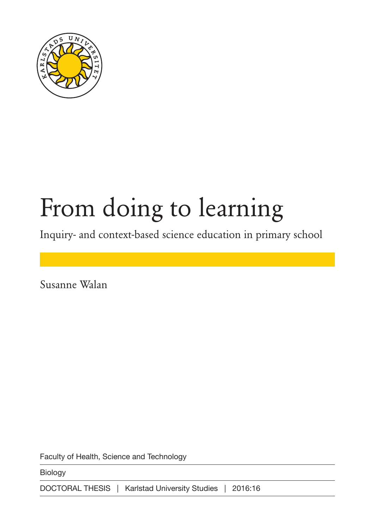

# From doing to learning

Inquiry- and context-based science education in primary school

Susanne Walan

Faculty of Health, Science and Technology

Biology

DOCTORAL THESIS | Karlstad University Studies | 2016:16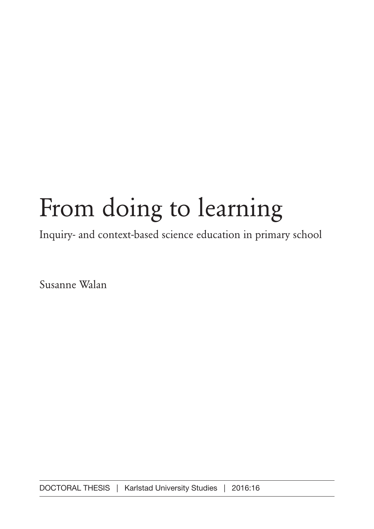# From doing to learning

Inquiry- and context-based science education in primary school

Susanne Walan

DOCTORAL THESIS | Karlstad University Studies | 2016:16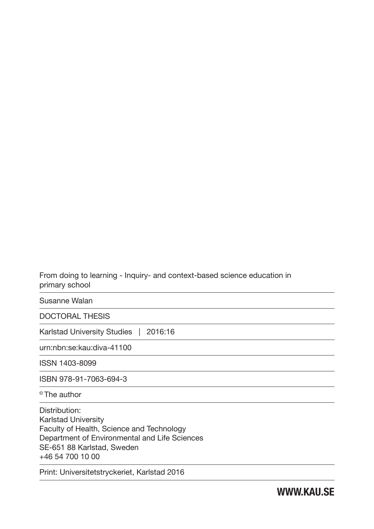From doing to learning - Inquiry- and context-based science education in primary school

Susanne Walan

DOCTORAL THESIS

Karlstad University Studies | 2016:16

urn:nbn:se:kau:diva-41100

ISSN 1403-8099

ISBN 978-91-7063-694-3

© The author

Distribution: Karlstad University Faculty of Health, Science and Technology Department of Environmental and Life Sciences SE-651 88 Karlstad, Sweden +46 54 700 10 00

Print: Universitetstryckeriet, Karlstad 2016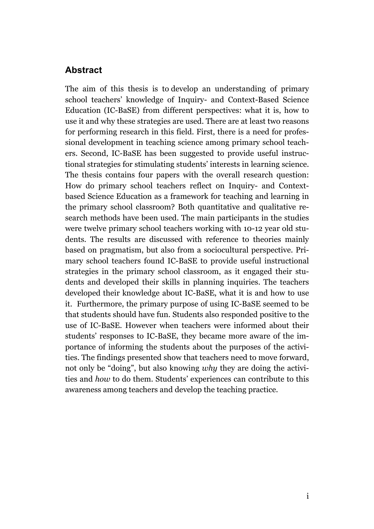### **Abstract**

The aim of this thesis is to develop an understanding of primary school teachers' knowledge of Inquiry- and Context-Based Science Education (IC-BaSE) from different perspectives: what it is, how to use it and why these strategies are used. There are at least two reasons for performing research in this field. First, there is a need for professional development in teaching science among primary school teachers. Second, IC-BaSE has been suggested to provide useful instructional strategies for stimulating students' interests in learning science. The thesis contains four papers with the overall research question: How do primary school teachers reflect on Inquiry- and Contextbased Science Education as a framework for teaching and learning in the primary school classroom? Both quantitative and qualitative research methods have been used. The main participants in the studies were twelve primary school teachers working with 10-12 year old students. The results are discussed with reference to theories mainly based on pragmatism, but also from a sociocultural perspective. Primary school teachers found IC-BaSE to provide useful instructional strategies in the primary school classroom, as it engaged their students and developed their skills in planning inquiries. The teachers developed their knowledge about IC-BaSE, what it is and how to use it. Furthermore, the primary purpose of using IC-BaSE seemed to be that students should have fun. Students also responded positive to the use of IC-BaSE. However when teachers were informed about their students' responses to IC-BaSE, they became more aware of the importance of informing the students about the purposes of the activities. The findings presented show that teachers need to move forward, not only be "doing", but also knowing *why* they are doing the activities and *how* to do them. Students' experiences can contribute to this awareness among teachers and develop the teaching practice.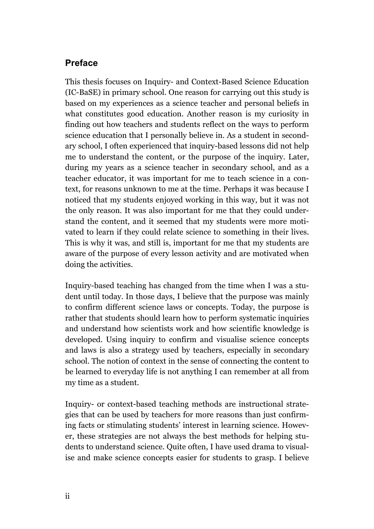# **Preface**

This thesis focuses on Inquiry- and Context-Based Science Education (IC-BaSE) in primary school. One reason for carrying out this study is based on my experiences as a science teacher and personal beliefs in what constitutes good education. Another reason is my curiosity in finding out how teachers and students reflect on the ways to perform science education that I personally believe in. As a student in secondary school, I often experienced that inquiry-based lessons did not help me to understand the content, or the purpose of the inquiry. Later, during my years as a science teacher in secondary school, and as a teacher educator, it was important for me to teach science in a context, for reasons unknown to me at the time. Perhaps it was because I noticed that my students enjoyed working in this way, but it was not the only reason. It was also important for me that they could understand the content, and it seemed that my students were more motivated to learn if they could relate science to something in their lives. This is why it was, and still is, important for me that my students are aware of the purpose of every lesson activity and are motivated when doing the activities.

Inquiry-based teaching has changed from the time when I was a student until today. In those days, I believe that the purpose was mainly to confirm different science laws or concepts. Today, the purpose is rather that students should learn how to perform systematic inquiries and understand how scientists work and how scientific knowledge is developed. Using inquiry to confirm and visualise science concepts and laws is also a strategy used by teachers, especially in secondary school. The notion of context in the sense of connecting the content to be learned to everyday life is not anything I can remember at all from my time as a student.

Inquiry- or context-based teaching methods are instructional strategies that can be used by teachers for more reasons than just confirming facts or stimulating students' interest in learning science. However, these strategies are not always the best methods for helping students to understand science. Quite often, I have used drama to visualise and make science concepts easier for students to grasp. I believe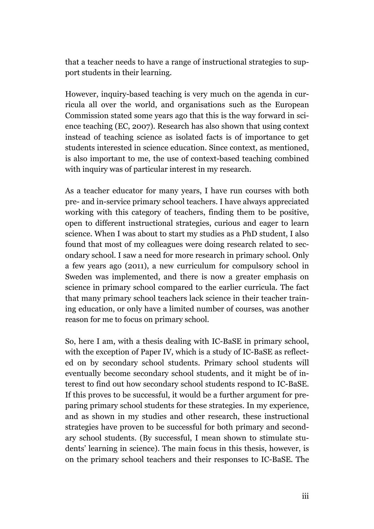that a teacher needs to have a range of instructional strategies to support students in their learning.

However, inquiry-based teaching is very much on the agenda in curricula all over the world, and organisations such as the European Commission stated some years ago that this is the way forward in science teaching (EC, 2007). Research has also shown that using context instead of teaching science as isolated facts is of importance to get students interested in science education. Since context, as mentioned, is also important to me, the use of context-based teaching combined with inquiry was of particular interest in my research.

As a teacher educator for many years, I have run courses with both pre- and in-service primary school teachers. I have always appreciated working with this category of teachers, finding them to be positive, open to different instructional strategies, curious and eager to learn science. When I was about to start my studies as a PhD student, I also found that most of my colleagues were doing research related to secondary school. I saw a need for more research in primary school. Only a few years ago (2011), a new curriculum for compulsory school in Sweden was implemented, and there is now a greater emphasis on science in primary school compared to the earlier curricula. The fact that many primary school teachers lack science in their teacher training education, or only have a limited number of courses, was another reason for me to focus on primary school.

So, here I am, with a thesis dealing with IC-BaSE in primary school, with the exception of Paper IV, which is a study of IC-BaSE as reflected on by secondary school students. Primary school students will eventually become secondary school students, and it might be of interest to find out how secondary school students respond to IC-BaSE. If this proves to be successful, it would be a further argument for preparing primary school students for these strategies. In my experience, and as shown in my studies and other research, these instructional strategies have proven to be successful for both primary and secondary school students. (By successful, I mean shown to stimulate students' learning in science). The main focus in this thesis, however, is on the primary school teachers and their responses to IC-BaSE. The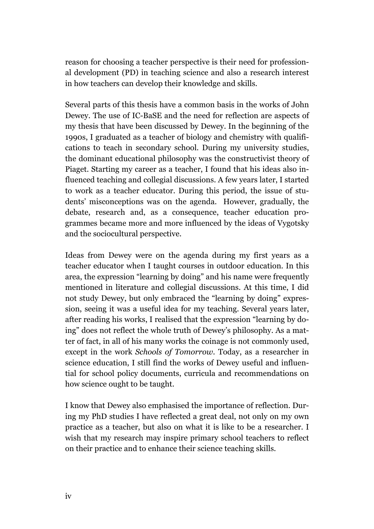reason for choosing a teacher perspective is their need for professional development (PD) in teaching science and also a research interest in how teachers can develop their knowledge and skills.

Several parts of this thesis have a common basis in the works of John Dewey. The use of IC-BaSE and the need for reflection are aspects of my thesis that have been discussed by Dewey. In the beginning of the 1990s, I graduated as a teacher of biology and chemistry with qualifications to teach in secondary school. During my university studies, the dominant educational philosophy was the constructivist theory of Piaget. Starting my career as a teacher, I found that his ideas also influenced teaching and collegial discussions. A few years later, I started to work as a teacher educator. During this period, the issue of students' misconceptions was on the agenda. However, gradually, the debate, research and, as a consequence, teacher education programmes became more and more influenced by the ideas of Vygotsky and the sociocultural perspective.

Ideas from Dewey were on the agenda during my first years as a teacher educator when I taught courses in outdoor education. In this area, the expression "learning by doing" and his name were frequently mentioned in literature and collegial discussions. At this time, I did not study Dewey, but only embraced the "learning by doing" expression, seeing it was a useful idea for my teaching. Several years later, after reading his works, I realised that the expression "learning by doing" does not reflect the whole truth of Dewey's philosophy. As a matter of fact, in all of his many works the coinage is not commonly used, except in the work *Schools of Tomorrow.* Today, as a researcher in science education, I still find the works of Dewey useful and influential for school policy documents, curricula and recommendations on how science ought to be taught.

I know that Dewey also emphasised the importance of reflection. During my PhD studies I have reflected a great deal, not only on my own practice as a teacher, but also on what it is like to be a researcher. I wish that my research may inspire primary school teachers to reflect on their practice and to enhance their science teaching skills.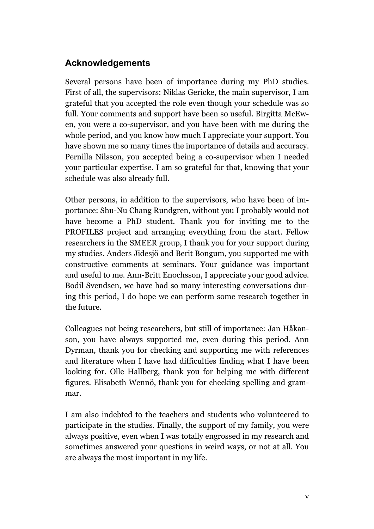# **Acknowledgements**

Several persons have been of importance during my PhD studies. First of all, the supervisors: Niklas Gericke, the main supervisor, I am grateful that you accepted the role even though your schedule was so full. Your comments and support have been so useful. Birgitta McEwen, you were a co-supervisor, and you have been with me during the whole period, and you know how much I appreciate your support. You have shown me so many times the importance of details and accuracy. Pernilla Nilsson, you accepted being a co-supervisor when I needed your particular expertise. I am so grateful for that, knowing that your schedule was also already full.

Other persons, in addition to the supervisors, who have been of importance: Shu-Nu Chang Rundgren, without you I probably would not have become a PhD student. Thank you for inviting me to the PROFILES project and arranging everything from the start. Fellow researchers in the SMEER group, I thank you for your support during my studies. Anders Jidesjö and Berit Bongum, you supported me with constructive comments at seminars. Your guidance was important and useful to me. Ann-Britt Enochsson, I appreciate your good advice. Bodil Svendsen, we have had so many interesting conversations during this period, I do hope we can perform some research together in the future.

Colleagues not being researchers, but still of importance: Jan Håkanson, you have always supported me, even during this period. Ann Dyrman, thank you for checking and supporting me with references and literature when I have had difficulties finding what I have been looking for. Olle Hallberg, thank you for helping me with different figures. Elisabeth Wennö, thank you for checking spelling and grammar.

I am also indebted to the teachers and students who volunteered to participate in the studies. Finally, the support of my family, you were always positive, even when I was totally engrossed in my research and sometimes answered your questions in weird ways, or not at all. You are always the most important in my life.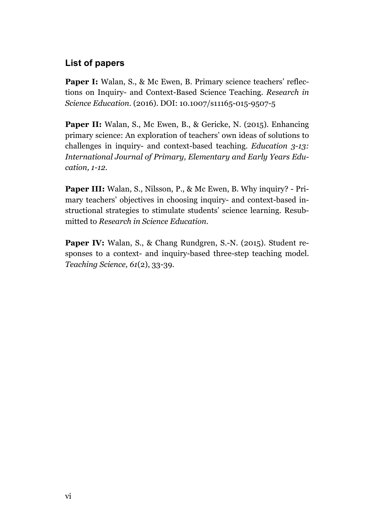# **List of papers**

Paper I: Walan, S., & Mc Ewen, B. Primary science teachers' reflections on Inquiry- and Context-Based Science Teaching. *Research in Science Education.* (2016). DOI: 10.1007/s11165-015-9507-5

**Paper II:** Walan, S., Mc Ewen, B., & Gericke, N. (2015). Enhancing primary science: An exploration of teachers' own ideas of solutions to challenges in inquiry- and context-based teaching. *Education 3-13: International Journal of Primary, Elementary and Early Years Education, 1-12.*

**Paper III:** Walan, S., Nilsson, P., & Mc Ewen, B. Why inquiry? - Primary teachers' objectives in choosing inquiry- and context-based instructional strategies to stimulate students' science learning. Resubmitted to *Research in Science Education.*

Paper IV: Walan, S., & Chang Rundgren, S.-N. (2015). Student responses to a context- and inquiry-based three-step teaching model. *Teaching Science, 61*(2), 33-39.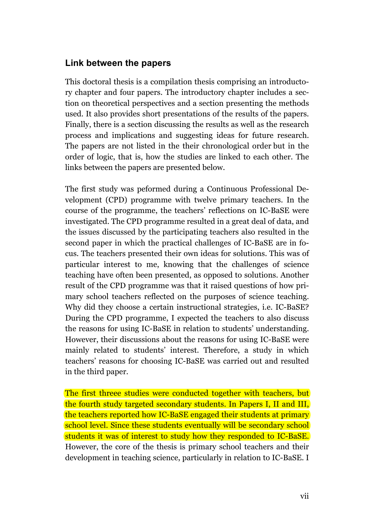# **Link between the papers**

This doctoral thesis is a compilation thesis comprising an introductory chapter and four papers. The introductory chapter includes a section on theoretical perspectives and a section presenting the methods used. It also provides short presentations of the results of the papers. Finally, there is a section discussing the results as well as the research process and implications and suggesting ideas for future research. The papers are not listed in the their chronological order but in the order of logic, that is, how the studies are linked to each other. The links between the papers are presented below.

The first study was peformed during a Continuous Professional Development (CPD) programme with twelve primary teachers. In the course of the programme, the teachers' reflections on IC-BaSE were investigated. The CPD programme resulted in a great deal of data, and the issues discussed by the participating teachers also resulted in the second paper in which the practical challenges of IC-BaSE are in focus. The teachers presented their own ideas for solutions. This was of particular interest to me, knowing that the challenges of science teaching have often been presented, as opposed to solutions. Another result of the CPD programme was that it raised questions of how primary school teachers reflected on the purposes of science teaching. Why did they choose a certain instructional strategies, i.e. IC-BaSE? During the CPD programme, I expected the teachers to also discuss the reasons for using IC-BaSE in relation to students' understanding. However, their discussions about the reasons for using IC-BaSE were mainly related to students' interest. Therefore, a study in which teachers' reasons for choosing IC-BaSE was carried out and resulted in the third paper.

The first threee studies were conducted together with teachers, but the fourth study targeted secondary students. In Papers I, II and III, the teachers reported how IC-BaSE engaged their students at primary school level. Since these students eventually will be secondary school students it was of interest to study how they responded to IC-BaSE. However, the core of the thesis is primary school teachers and their development in teaching science, particularly in relation to IC-BaSE. I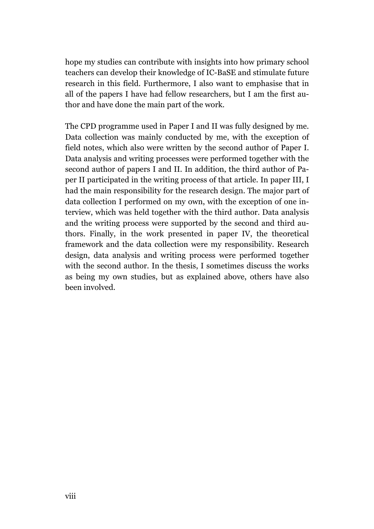hope my studies can contribute with insights into how primary school teachers can develop their knowledge of IC-BaSE and stimulate future research in this field. Furthermore, I also want to emphasise that in all of the papers I have had fellow researchers, but I am the first author and have done the main part of the work.

The CPD programme used in Paper I and II was fully designed by me. Data collection was mainly conducted by me, with the exception of field notes, which also were written by the second author of Paper I. Data analysis and writing processes were performed together with the second author of papers I and II. In addition, the third author of Paper II participated in the writing process of that article. In paper III, I had the main responsibility for the research design. The major part of data collection I performed on my own, with the exception of one interview, which was held together with the third author. Data analysis and the writing process were supported by the second and third authors. Finally, in the work presented in paper IV, the theoretical framework and the data collection were my responsibility. Research design, data analysis and writing process were performed together with the second author. In the thesis, I sometimes discuss the works as being my own studies, but as explained above, others have also been involved.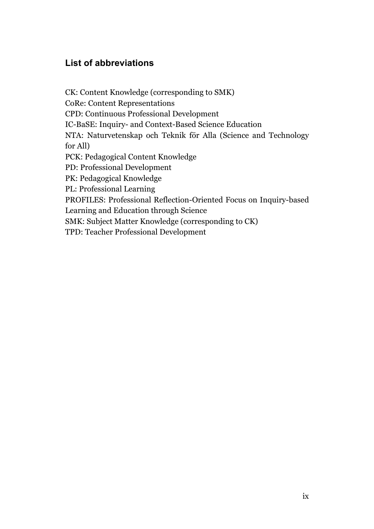# **List of abbreviations**

CK: Content Knowledge (corresponding to SMK) CoRe: Content Representations CPD: Continuous Professional Development IC-BaSE: Inquiry- and Context-Based Science Education NTA: Naturvetenskap och Teknik för Alla (Science and Technology for All) PCK: Pedagogical Content Knowledge PD: Professional Development PK: Pedagogical Knowledge PL: Professional Learning PROFILES: Professional Reflection-Oriented Focus on Inquiry-based Learning and Education through Science SMK: Subject Matter Knowledge (corresponding to CK) TPD: Teacher Professional Development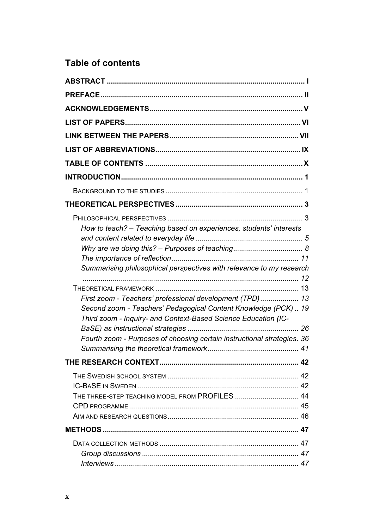# **Table of contents**

| How to teach? - Teaching based on experiences, students' interests                                                                                                                             |  |
|------------------------------------------------------------------------------------------------------------------------------------------------------------------------------------------------|--|
|                                                                                                                                                                                                |  |
|                                                                                                                                                                                                |  |
| Summarising philosophical perspectives with relevance to my research                                                                                                                           |  |
|                                                                                                                                                                                                |  |
|                                                                                                                                                                                                |  |
| First zoom - Teachers' professional development (TPD)  13<br>Second zoom - Teachers' Pedagogical Content Knowledge (PCK)  19<br>Third zoom - Inquiry- and Context-Based Science Education (IC- |  |
|                                                                                                                                                                                                |  |
| Fourth zoom - Purposes of choosing certain instructional strategies. 36                                                                                                                        |  |
|                                                                                                                                                                                                |  |
| THE THREE-STEP TEACHING MODEL FROM PROFILES 44                                                                                                                                                 |  |
|                                                                                                                                                                                                |  |
|                                                                                                                                                                                                |  |
|                                                                                                                                                                                                |  |
|                                                                                                                                                                                                |  |
|                                                                                                                                                                                                |  |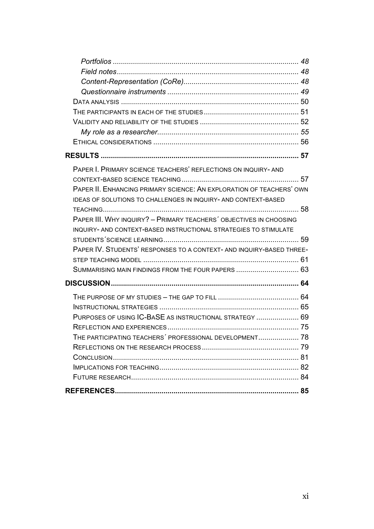| PAPER I. PRIMARY SCIENCE TEACHERS' REFLECTIONS ON INQUIRY-AND        |  |
|----------------------------------------------------------------------|--|
|                                                                      |  |
| PAPER II. ENHANCING PRIMARY SCIENCE: AN EXPLORATION OF TEACHERS' OWN |  |
| IDEAS OF SOLUTIONS TO CHALLENGES IN INQUIRY- AND CONTEXT-BASED       |  |
|                                                                      |  |
| PAPER III. WHY INQUIRY? - PRIMARY TEACHERS' OBJECTIVES IN CHOOSING   |  |
| INQUIRY- AND CONTEXT-BASED INSTRUCTIONAL STRATEGIES TO STIMULATE     |  |
|                                                                      |  |
| PAPER IV. STUDENTS' RESPONSES TO A CONTEXT- AND INQUIRY-BASED THREE- |  |
|                                                                      |  |
| SUMMARISING MAIN FINDINGS FROM THE FOUR PAPERS  63                   |  |
|                                                                      |  |
|                                                                      |  |
|                                                                      |  |
| PURPOSES OF USING IC-BASE AS INSTRUCTIONAL STRATEGY  69              |  |
|                                                                      |  |
| THE PARTICIPATING TEACHERS' PROFESSIONAL DEVELOPMENT 78              |  |
|                                                                      |  |
|                                                                      |  |
|                                                                      |  |
|                                                                      |  |
|                                                                      |  |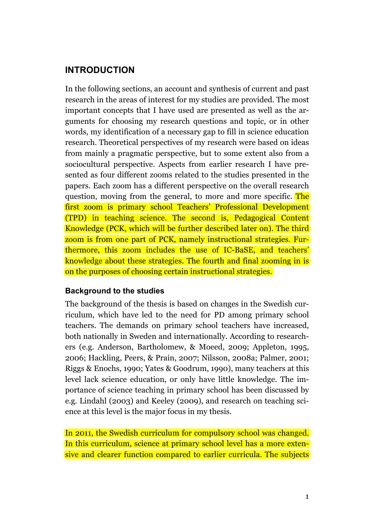# **INTRODUCTION**

In the following sections, an account and synthesis of current and past research in the areas of interest for my studies are provided. The most important concepts that I have used are presented as well as the arguments for choosing my research questions and topic, or in other words, my identification of a necessary gap to fill in science education research. Theoretical perspectives of my research were based on ideas from mainly a pragmatic perspective, but to some extent also from a sociocultural perspective. Aspects from earlier research I have presented as four different zooms related to the studies presented in the papers. Each zoom has a different perspective on the overall research question, moving from the general, to more and more specific. The first zoom is primary school Teachers' Professional Development (TPD) in teaching science. The second is, Pedagogical Content Knowledge (PCK, which will be further described later on). The third zoom is from one part of PCK, namely instructional strategies. Furthermore, this zoom includes the use of IC-BaSE, and teachers' knowledge about these strategies. The fourth and final zooming in is on the purposes of choosing certain instructional strategies.

# **Background to the studies**

The background of the thesis is based on changes in the Swedish curriculum, which have led to the need for PD among primary school teachers. The demands on primary school teachers have increased, both nationally in Sweden and internationally. According to researchers (e.g. Anderson, Bartholomew, & Moeed, 2009; Appleton, 1995, 2006; Hackling, Peers, & Prain, 2007; Nilsson, 2008a; Palmer, 2001; Riggs & Enochs, 1990; Yates & Goodrum, 1990), many teachers at this level lack science education, or only have little knowledge. The importance of science teaching in primary school has been discussed by e.g. Lindahl (2003) and Keeley (2009), and research on teaching science at this level is the major focus in my thesis.

In 2011, the Swedish curriculum for compulsory school was changed. In this curriculum, science at primary school level has a more extensive and clearer function compared to earlier curricula. The subjects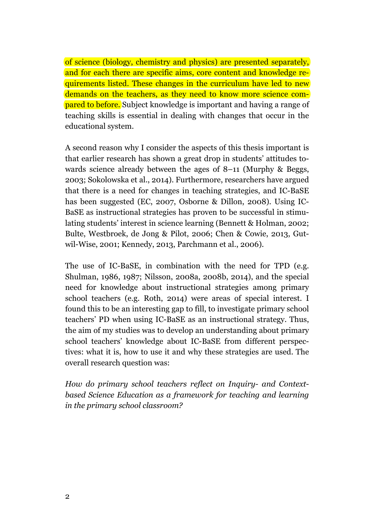of science (biology, chemistry and physics) are presented separately, and for each there are specific aims, core content and knowledge requirements listed. These changes in the curriculum have led to new demands on the teachers, as they need to know more science com**pared to before.** Subject knowledge is important and having a range of teaching skills is essential in dealing with changes that occur in the educational system.

A second reason why I consider the aspects of this thesis important is that earlier research has shown a great drop in students' attitudes towards science already between the ages of 8–11 (Murphy & Beggs, 2003; Sokolowska et al., 2014). Furthermore, researchers have argued that there is a need for changes in teaching strategies, and IC-BaSE has been suggested (EC, 2007, Osborne & Dillon, 2008). Using IC-BaSE as instructional strategies has proven to be successful in stimulating students' interest in science learning (Bennett & Holman, 2002; Bulte, Westbroek, de Jong & Pilot, 2006; Chen & Cowie, 2013, Gutwil-Wise, 2001; Kennedy, 2013, Parchmann et al., 2006).

The use of IC-BaSE, in combination with the need for TPD (e.g. Shulman, 1986, 1987; Nilsson, 2008a, 2008b, 2014), and the special need for knowledge about instructional strategies among primary school teachers (e.g. Roth, 2014) were areas of special interest. I found this to be an interesting gap to fill, to investigate primary school teachers' PD when using IC-BaSE as an instructional strategy. Thus, the aim of my studies was to develop an understanding about primary school teachers' knowledge about IC-BaSE from different perspectives: what it is, how to use it and why these strategies are used. The overall research question was:

*How do primary school teachers reflect on Inquiry- and Contextbased Science Education as a framework for teaching and learning in the primary school classroom?*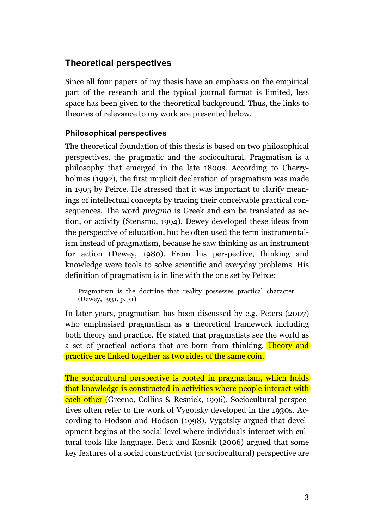# **Theoretical perspectives**

Since all four papers of my thesis have an emphasis on the empirical part of the research and the typical journal format is limited, less space has been given to the theoretical background. Thus, the links to theories of relevance to my work are presented below.

# **Philosophical perspectives**

The theoretical foundation of this thesis is based on two philosophical perspectives, the pragmatic and the sociocultural. Pragmatism is a philosophy that emerged in the late 1800s. According to Cherryholmes (1992), the first implicit declaration of pragmatism was made in 1905 by Peirce. He stressed that it was important to clarify meanings of intellectual concepts by tracing their conceivable practical consequences. The word *pragma* is Greek and can be translated as action, or activity (Stensmo, 1994). Dewey developed these ideas from the perspective of education, but he often used the term instrumentalism instead of pragmatism, because he saw thinking as an instrument for action (Dewey, 1980). From his perspective, thinking and knowledge were tools to solve scientific and everyday problems. His definition of pragmatism is in line with the one set by Peirce:

Pragmatism is the doctrine that reality possesses practical character. (Dewey, 1931, p. 31)

In later years, pragmatism has been discussed by e.g. Peters (2007) who emphasised pragmatism as a theoretical framework including both theory and practice. He stated that pragmatists see the world as a set of practical actions that are born from thinking. Theory and practice are linked together as two sides of the same coin.

The sociocultural perspective is rooted in pragmatism, which holds that knowledge is constructed in activities where people interact with each other (Greeno, Collins & Resnick, 1996). Sociocultural perspectives often refer to the work of Vygotsky developed in the 1930s. According to Hodson and Hodson (1998), Vygotsky argued that development begins at the social level where individuals interact with cultural tools like language. Beck and Kosnik (2006) argued that some key features of a social constructivist (or sociocultural) perspective are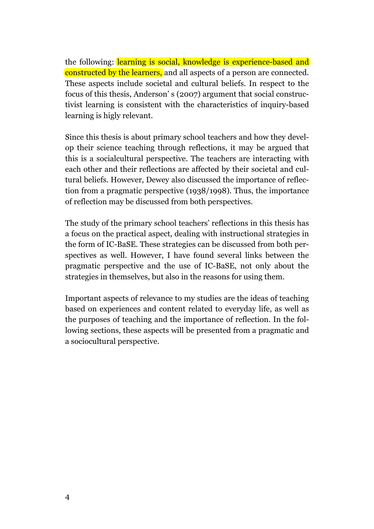the following: learning is social, knowledge is experience-based and constructed by the learners, and all aspects of a person are connected. These aspects include societal and cultural beliefs. In respect to the focus of this thesis, Anderson' s (2007) argument that social constructivist learning is consistent with the characteristics of inquiry-based learning is higly relevant.

Since this thesis is about primary school teachers and how they develop their science teaching through reflections, it may be argued that this is a socialcultural perspective. The teachers are interacting with each other and their reflections are affected by their societal and cultural beliefs. However, Dewey also discussed the importance of reflection from a pragmatic perspective (1938/1998). Thus, the importance of reflection may be discussed from both perspectives.

The study of the primary school teachers' reflections in this thesis has a focus on the practical aspect, dealing with instructional strategies in the form of IC-BaSE. These strategies can be discussed from both perspectives as well. However, I have found several links between the pragmatic perspective and the use of IC-BaSE, not only about the strategies in themselves, but also in the reasons for using them.

Important aspects of relevance to my studies are the ideas of teaching based on experiences and content related to everyday life, as well as the purposes of teaching and the importance of reflection. In the following sections, these aspects will be presented from a pragmatic and a sociocultural perspective.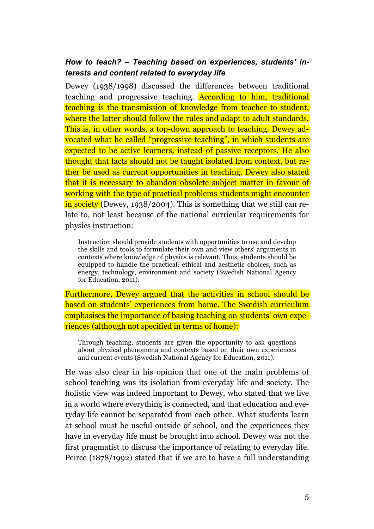# *How to teach? – Teaching based on experiences, students' interests and content related to everyday life*

Dewey (1938/1998) discussed the differences between traditional teaching and progressive teaching. According to him, traditional teaching is the transmission of knowledge from teacher to student, where the latter should follow the rules and adapt to adult standards. This is, in other words, a top-down approach to teaching. Dewey advocated what he called "progressive teaching", in which students are expected to be active learners, instead of passive receptors. He also thought that facts should not be taught isolated from context, but rather be used as current opportunities in teaching. Dewey also stated that it is necessary to abandon obsolete subject matter in favour of working with the type of practical problems students might encounter in society (Dewey, 1938/2004). This is something that we still can relate to, not least because of the national curricular requirements for physics instruction:

Instruction should provide students with opportunities to use and develop the skills and tools to formulate their own and view others' arguments in contexts where knowledge of physics is relevant. Thus, students should be equipped to handle the practical, ethical and aesthetic choices, such as energy, technology, environment and society (Swedish National Agency for Education, 2011).

Furthermore, Dewey argued that the activities in school should be based on students' experiences from home. The Swedish curriculum emphasises the importance of basing teaching on students' own experiences (although not specified in terms of home):

Through teaching, students are given the opportunity to ask questions about physical phenomena and contexts based on their own experiences and current events (Swedish National Agency for Education, 2011).

He was also clear in his opinion that one of the main problems of school teaching was its isolation from everyday life and society. The holistic view was indeed important to Dewey, who stated that we live in a world where everything is connected, and that education and everyday life cannot be separated from each other. What students learn at school must be useful outside of school, and the experiences they have in everyday life must be brought into school. Dewey was not the first pragmatist to discuss the importance of relating to everyday life. Peirce (1878/1992) stated that if we are to have a full understanding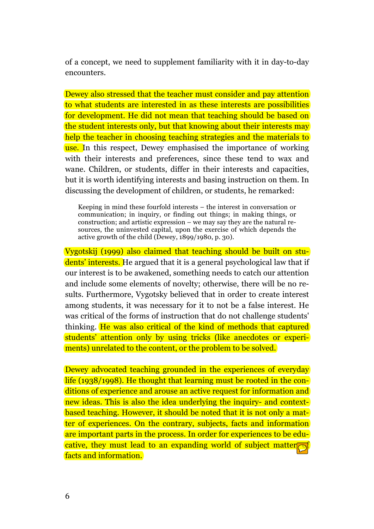of a concept, we need to supplement familiarity with it in day-to-day encounters.

Dewey also stressed that the teacher must consider and pay attention to what students are interested in as these interests are possibilities for development. He did not mean that teaching should be based on the student interests only, but that knowing about their interests may help the teacher in choosing teaching strategies and the materials to use. In this respect, Dewey emphasised the importance of working with their interests and preferences, since these tend to wax and wane. Children, or students, differ in their interests and capacities, but it is worth identifying interests and basing instruction on them. In discussing the development of children, or students, he remarked:

Keeping in mind these fourfold interests – the interest in conversation or communication; in inquiry, or finding out things; in making things, or construction; and artistic expression – we may say they are the natural resources, the uninvested capital, upon the exercise of which depends the active growth of the child (Dewey, 1899/1980, p. 30).

Vygotskij (1999) also claimed that teaching should be built on students' interests. He argued that it is a general psychological law that if our interest is to be awakened, something needs to catch our attention and include some elements of novelty; otherwise, there will be no results. Furthermore, Vygotsky believed that in order to create interest among students, it was necessary for it to not be a false interest. He was critical of the forms of instruction that do not challenge students' thinking. He was also critical of the kind of methods that captured students' attention only by using tricks (like anecdotes or experiments) unrelated to the content, or the problem to be solved.

Dewey advocated teaching grounded in the experiences of everyday life (1938/1998). He thought that learning must be rooted in the conditions of experience and arouse an active request for information and new ideas. This is also the idea underlying the inquiry- and contextbased teaching. However, it should be noted that it is not only a matter of experiences. On the contrary, subjects, facts and information are important parts in the process. In order for experiences to be educative, they must lead to an expanding world of subject matter $\sigma$ facts and information.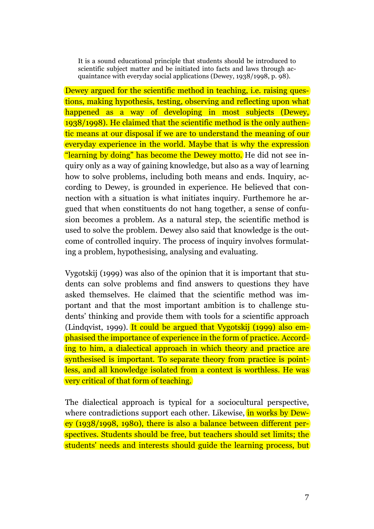It is a sound educational principle that students should be introduced to scientific subject matter and be initiated into facts and laws through acquaintance with everyday social applications (Dewey, 1938/1998, p. 98).

Dewey argued for the scientific method in teaching, i.e. raising questions, making hypothesis, testing, observing and reflecting upon what happened as a way of developing in most subjects (Dewey, 1938/1998). He claimed that the scientific method is the only authentic means at our disposal if we are to understand the meaning of our everyday experience in the world. Maybe that is why the expression "learning by doing" has become the Dewey motto. He did not see inquiry only as a way of gaining knowledge, but also as a way of learning how to solve problems, including both means and ends. Inquiry, according to Dewey, is grounded in experience. He believed that connection with a situation is what initiates inquiry. Furthemore he argued that when constituents do not hang together, a sense of confusion becomes a problem. As a natural step, the scientific method is used to solve the problem. Dewey also said that knowledge is the outcome of controlled inquiry. The process of inquiry involves formulating a problem, hypothesising, analysing and evaluating.

Vygotskij (1999) was also of the opinion that it is important that students can solve problems and find answers to questions they have asked themselves. He claimed that the scientific method was important and that the most important ambition is to challenge students' thinking and provide them with tools for a scientific approach (Lindqvist, 1999). It could be argued that Vygotskij (1999) also emphasised the importance of experience in the form of practice. According to him, a dialectical approach in which theory and practice are synthesised is important. To separate theory from practice is pointless, and all knowledge isolated from a context is worthless. He was very critical of that form of teaching.

The dialectical approach is typical for a sociocultural perspective, where contradictions support each other. Likewise, in works by Dewey (1938/1998, 1980), there is also a balance between different perspectives. Students should be free, but teachers should set limits; the students' needs and interests should guide the learning process, but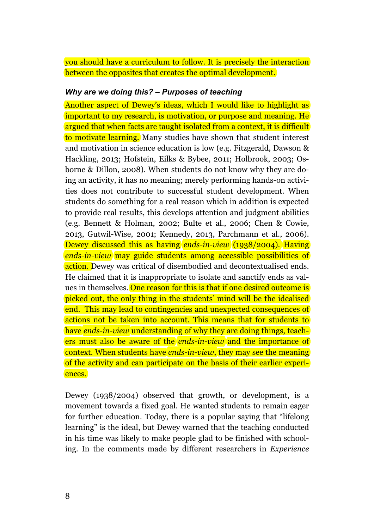you should have a curriculum to follow. It is precisely the interaction between the opposites that creates the optimal development.

#### *Why are we doing this? – Purposes of teaching*

Another aspect of Dewey's ideas, which I would like to highlight as important to my research, is motivation, or purpose and meaning. He argued that when facts are taught isolated from a context, it is difficult to motivate learning. Many studies have shown that student interest and motivation in science education is low (e.g. Fitzgerald, Dawson & Hackling, 2013; Hofstein, Eilks & Bybee, 2011; Holbrook, 2003; Osborne & Dillon, 2008). When students do not know why they are doing an activity, it has no meaning; merely performing hands-on activities does not contribute to successful student development. When students do something for a real reason which in addition is expected to provide real results, this develops attention and judgment abilities (e.g. Bennett & Holman, 2002; Bulte et al., 2006; Chen & Cowie, 2013, Gutwil-Wise, 2001; Kennedy, 2013, Parchmann et al., 2006). Dewey discussed this as having *ends-in-view* (1938/2004)*.* Having *ends-in-view* may guide students among accessible possibilities of action. Dewey was critical of disembodied and decontextualised ends. He claimed that it is inappropriate to isolate and sanctify ends as values in themselves. One reason for this is that if one desired outcome is picked out, the only thing in the students' mind will be the idealised end. This may lead to contingencies and unexpected consequences of actions not be taken into account. This means that for students to have *ends-in-view* understanding of why they are doing things, teachers must also be aware of the *ends-in-view* and the importance of context. When students have *ends-in-view*, they may see the meaning of the activity and can participate on the basis of their earlier experiences.

Dewey (1938/2004) observed that growth, or development, is a movement towards a fixed goal. He wanted students to remain eager for further education. Today, there is a popular saying that "lifelong learning" is the ideal, but Dewey warned that the teaching conducted in his time was likely to make people glad to be finished with schooling. In the comments made by different researchers in *Experience*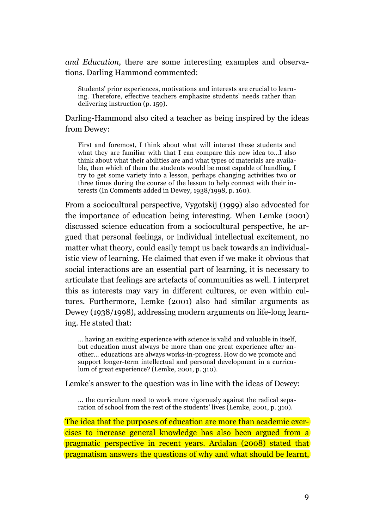*and Education,* there are some interesting examples and observations. Darling Hammond commented:

Students' prior experiences, motivations and interests are crucial to learning. Therefore, effective teachers emphasize students' needs rather than delivering instruction (p. 159).

Darling-Hammond also cited a teacher as being inspired by the ideas from Dewey:

First and foremost, I think about what will interest these students and what they are familiar with that I can compare this new idea to…I also think about what their abilities are and what types of materials are available, then which of them the students would be most capable of handling. I try to get some variety into a lesson, perhaps changing activities two or three times during the course of the lesson to help connect with their interests (In Comments added in Dewey, 1938/1998, p. 160).

From a sociocultural perspective, Vygotskij (1999) also advocated for the importance of education being interesting. When Lemke (2001) discussed science education from a sociocultural perspective, he argued that personal feelings, or individual intellectual excitement, no matter what theory, could easily tempt us back towards an individualistic view of learning. He claimed that even if we make it obvious that social interactions are an essential part of learning, it is necessary to articulate that feelings are artefacts of communities as well. I interpret this as interests may vary in different cultures, or even within cultures. Furthermore, Lemke (2001) also had similar arguments as Dewey (1938/1998), addressing modern arguments on life-long learning. He stated that:

… having an exciting experience with science is valid and valuable in itself, but education must always be more than one great experience after another… educations are always works-in-progress. How do we promote and support longer-term intellectual and personal development in a curriculum of great experience? (Lemke, 2001, p. 310).

Lemke's answer to the question was in line with the ideas of Dewey:

… the curriculum need to work more vigorously against the radical separation of school from the rest of the students' lives (Lemke, 2001, p. 310).

The idea that the purposes of education are more than academic exercises to increase general knowledge has also been argued from a pragmatic perspective in recent years. Ardalan (2008) stated that pragmatism answers the questions of why and what should be learnt,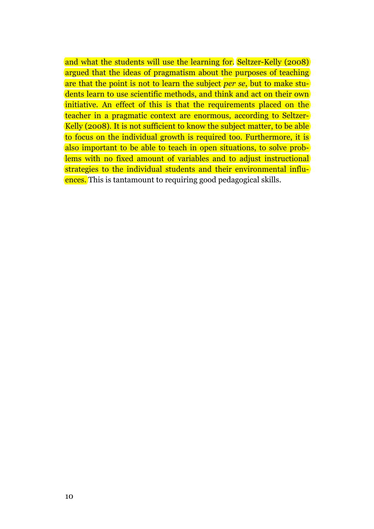and what the students will use the learning for. Seltzer-Kelly (2008) argued that the ideas of pragmatism about the purposes of teaching are that the point is not to learn the subject *per se*, but to make students learn to use scientific methods, and think and act on their own initiative. An effect of this is that the requirements placed on the teacher in a pragmatic context are enormous, according to Seltzer-Kelly (2008). It is not sufficient to know the subject matter, to be able to focus on the individual growth is required too. Furthermore, it is also important to be able to teach in open situations, to solve problems with no fixed amount of variables and to adjust instructional strategies to the individual students and their environmental influences. This is tantamount to requiring good pedagogical skills.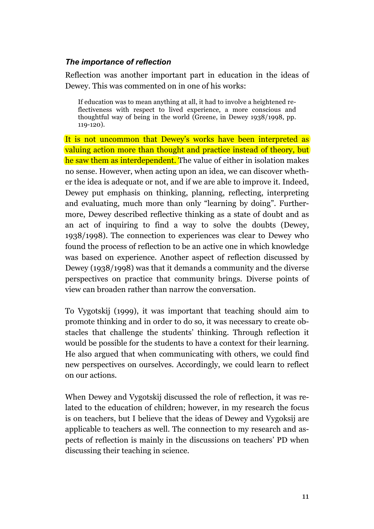## *The importance of reflection*

Reflection was another important part in education in the ideas of Dewey. This was commented on in one of his works:

If education was to mean anything at all, it had to involve a heightened reflectiveness with respect to lived experience, a more conscious and thoughtful way of being in the world (Greene, in Dewey 1938/1998, pp. 119-120).

It is not uncommon that Dewey's works have been interpreted as valuing action more than thought and practice instead of theory, but he saw them as interdependent. The value of either in isolation makes no sense. However, when acting upon an idea, we can discover whether the idea is adequate or not, and if we are able to improve it. Indeed, Dewey put emphasis on thinking, planning, reflecting, interpreting and evaluating, much more than only "learning by doing". Furthermore, Dewey described reflective thinking as a state of doubt and as an act of inquiring to find a way to solve the doubts (Dewey, 1938/1998). The connection to experiences was clear to Dewey who found the process of reflection to be an active one in which knowledge was based on experience. Another aspect of reflection discussed by Dewey (1938/1998) was that it demands a community and the diverse perspectives on practice that community brings. Diverse points of view can broaden rather than narrow the conversation.

To Vygotskij (1999), it was important that teaching should aim to promote thinking and in order to do so, it was necessary to create obstacles that challenge the students' thinking. Through reflection it would be possible for the students to have a context for their learning. He also argued that when communicating with others, we could find new perspectives on ourselves. Accordingly, we could learn to reflect on our actions.

When Dewey and Vygotskij discussed the role of reflection, it was related to the education of children; however, in my research the focus is on teachers, but I believe that the ideas of Dewey and Vygoksij are applicable to teachers as well. The connection to my research and aspects of reflection is mainly in the discussions on teachers' PD when discussing their teaching in science.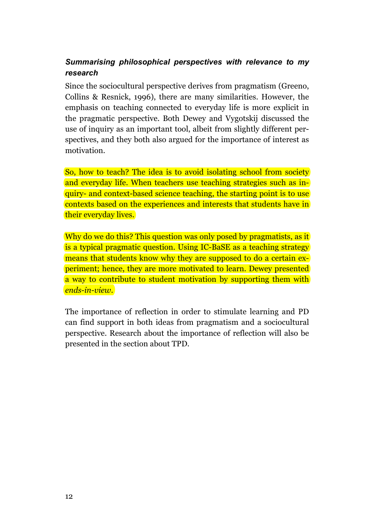# *Summarising philosophical perspectives with relevance to my research*

Since the sociocultural perspective derives from pragmatism (Greeno, Collins & Resnick, 1996), there are many similarities. However, the emphasis on teaching connected to everyday life is more explicit in the pragmatic perspective. Both Dewey and Vygotskij discussed the use of inquiry as an important tool, albeit from slightly different perspectives, and they both also argued for the importance of interest as motivation.

So, how to teach? The idea is to avoid isolating school from society and everyday life. When teachers use teaching strategies such as inquiry- and context-based science teaching, the starting point is to use contexts based on the experiences and interests that students have in their everyday lives.

Why do we do this? This question was only posed by pragmatists, as it is a typical pragmatic question. Using IC-BaSE as a teaching strategy means that students know why they are supposed to do a certain experiment; hence, they are more motivated to learn. Dewey presented a way to contribute to student motivation by supporting them with *ends-in-view*.

The importance of reflection in order to stimulate learning and PD can find support in both ideas from pragmatism and a sociocultural perspective. Research about the importance of reflection will also be presented in the section about TPD.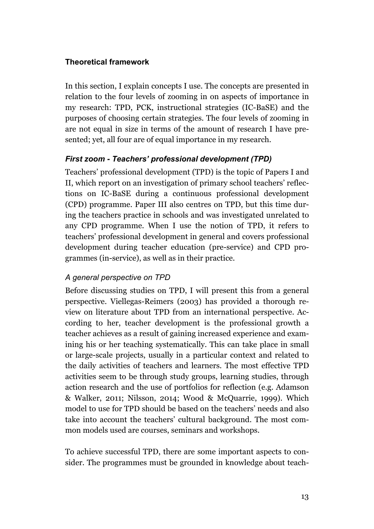# **Theoretical framework**

In this section, I explain concepts I use. The concepts are presented in relation to the four levels of zooming in on aspects of importance in my research: TPD, PCK, instructional strategies (IC-BaSE) and the purposes of choosing certain strategies. The four levels of zooming in are not equal in size in terms of the amount of research I have presented; yet, all four are of equal importance in my research.

## *First zoom - Teachers' professional development (TPD)*

Teachers' professional development (TPD) is the topic of Papers I and II, which report on an investigation of primary school teachers' reflections on IC-BaSE during a continuous professional development (CPD) programme. Paper III also centres on TPD, but this time during the teachers practice in schools and was investigated unrelated to any CPD programme. When I use the notion of TPD, it refers to teachers' professional development in general and covers professional development during teacher education (pre-service) and CPD programmes (in-service), as well as in their practice.

# *A general perspective on TPD*

Before discussing studies on TPD, I will present this from a general perspective. Viellegas-Reimers (2003) has provided a thorough review on literature about TPD from an international perspective. According to her, teacher development is the professional growth a teacher achieves as a result of gaining increased experience and examining his or her teaching systematically. This can take place in small or large-scale projects, usually in a particular context and related to the daily activities of teachers and learners. The most effective TPD activities seem to be through study groups, learning studies, through action research and the use of portfolios for reflection (e.g. Adamson & Walker, 2011; Nilsson, 2014; Wood & McQuarrie, 1999). Which model to use for TPD should be based on the teachers' needs and also take into account the teachers' cultural background. The most common models used are courses, seminars and workshops.

To achieve successful TPD, there are some important aspects to consider. The programmes must be grounded in knowledge about teach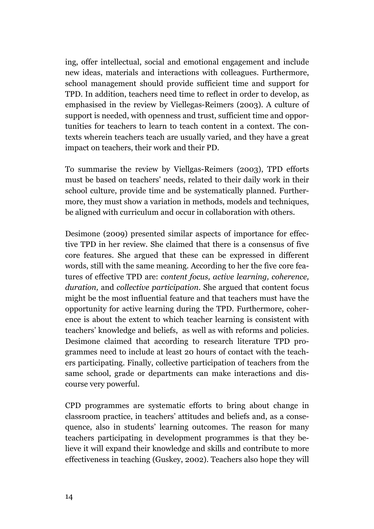ing, offer intellectual, social and emotional engagement and include new ideas, materials and interactions with colleagues. Furthermore, school management should provide sufficient time and support for TPD. In addition, teachers need time to reflect in order to develop, as emphasised in the review by Viellegas-Reimers (2003). A culture of support is needed, with openness and trust, sufficient time and opportunities for teachers to learn to teach content in a context. The contexts wherein teachers teach are usually varied, and they have a great impact on teachers, their work and their PD.

To summarise the review by Viellgas-Reimers (2003), TPD efforts must be based on teachers' needs, related to their daily work in their school culture, provide time and be systematically planned. Furthermore, they must show a variation in methods, models and techniques, be aligned with curriculum and occur in collaboration with others.

Desimone (2009) presented similar aspects of importance for effective TPD in her review. She claimed that there is a consensus of five core features. She argued that these can be expressed in different words, still with the same meaning. According to her the five core features of effective TPD are: *content focus, active learning, coherence, duration,* and *collective participation*. She argued that content focus might be the most influential feature and that teachers must have the opportunity for active learning during the TPD. Furthermore, coherence is about the extent to which teacher learning is consistent with teachers' knowledge and beliefs, as well as with reforms and policies. Desimone claimed that according to research literature TPD programmes need to include at least 20 hours of contact with the teachers participating. Finally, collective participation of teachers from the same school, grade or departments can make interactions and discourse very powerful.

CPD programmes are systematic efforts to bring about change in classroom practice, in teachers' attitudes and beliefs and, as a consequence, also in students' learning outcomes. The reason for many teachers participating in development programmes is that they believe it will expand their knowledge and skills and contribute to more effectiveness in teaching (Guskey, 2002). Teachers also hope they will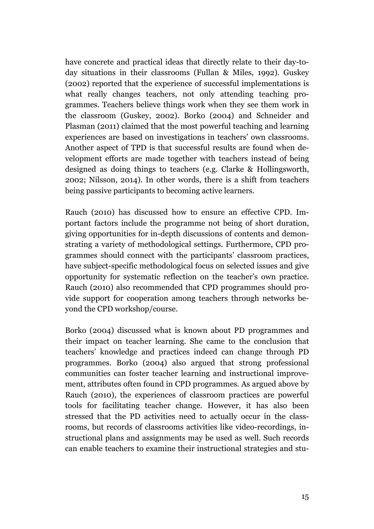have concrete and practical ideas that directly relate to their day-today situations in their classrooms (Fullan & Miles, 1992). Guskey (2002) reported that the experience of successful implementations is what really changes teachers, not only attending teaching programmes. Teachers believe things work when they see them work in the classroom (Guskey, 2002). Borko (2004) and Schneider and Plasman (2011) claimed that the most powerful teaching and learning experiences are based on investigations in teachers' own classrooms. Another aspect of TPD is that successful results are found when development efforts are made together with teachers instead of being designed as doing things to teachers (e.g. Clarke & Hollingsworth, 2002; Nilsson, 2014). In other words, there is a shift from teachers being passive participants to becoming active learners.

Rauch (2010) has discussed how to ensure an effective CPD. Important factors include the programme not being of short duration, giving opportunities for in-depth discussions of contents and demonstrating a variety of methodological settings. Furthermore, CPD programmes should connect with the participants' classroom practices, have subject-specific methodological focus on selected issues and give opportunity for systematic reflection on the teacher's own practice. Rauch (2010) also recommended that CPD programmes should provide support for cooperation among teachers through networks beyond the CPD workshop/course.

Borko (2004) discussed what is known about PD programmes and their impact on teacher learning. She came to the conclusion that teachers' knowledge and practices indeed can change through PD programmes. Borko (2004) also argued that strong professional communities can foster teacher learning and instructional improvement, attributes often found in CPD programmes. As argued above by Rauch (2010), the experiences of classroom practices are powerful tools for facilitating teacher change. However, it has also been stressed that the PD activities need to actually occur in the classrooms, but records of classrooms activities like video-recordings, instructional plans and assignments may be used as well. Such records can enable teachers to examine their instructional strategies and stu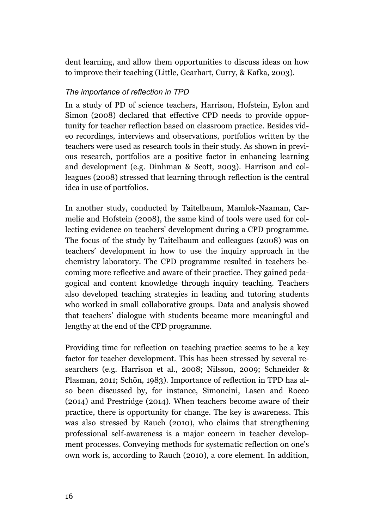dent learning, and allow them opportunities to discuss ideas on how to improve their teaching (Little, Gearhart, Curry, & Kafka, 2003).

## *The importance of reflection in TPD*

In a study of PD of science teachers, Harrison, Hofstein, Eylon and Simon (2008) declared that effective CPD needs to provide opportunity for teacher reflection based on classroom practice. Besides video recordings, interviews and observations, portfolios written by the teachers were used as research tools in their study. As shown in previous research, portfolios are a positive factor in enhancing learning and development (e.g. Dinhman & Scott, 2003). Harrison and colleagues (2008) stressed that learning through reflection is the central idea in use of portfolios.

In another study, conducted by Taitelbaum, Mamlok-Naaman, Carmelie and Hofstein (2008), the same kind of tools were used for collecting evidence on teachers' development during a CPD programme. The focus of the study by Taitelbaum and colleagues (2008) was on teachers' development in how to use the inquiry approach in the chemistry laboratory. The CPD programme resulted in teachers becoming more reflective and aware of their practice. They gained pedagogical and content knowledge through inquiry teaching. Teachers also developed teaching strategies in leading and tutoring students who worked in small collaborative groups. Data and analysis showed that teachers' dialogue with students became more meaningful and lengthy at the end of the CPD programme.

Providing time for reflection on teaching practice seems to be a key factor for teacher development. This has been stressed by several researchers (e.g. Harrison et al., 2008; Nilsson, 2009; Schneider & Plasman, 2011; Schön, 1983). Importance of reflection in TPD has also been discussed by, for instance, Simoncini, Lasen and Rocco (2014) and Prestridge (2014). When teachers become aware of their practice, there is opportunity for change. The key is awareness. This was also stressed by Rauch (2010), who claims that strengthening professional self-awareness is a major concern in teacher development processes. Conveying methods for systematic reflection on one's own work is, according to Rauch (2010), a core element. In addition,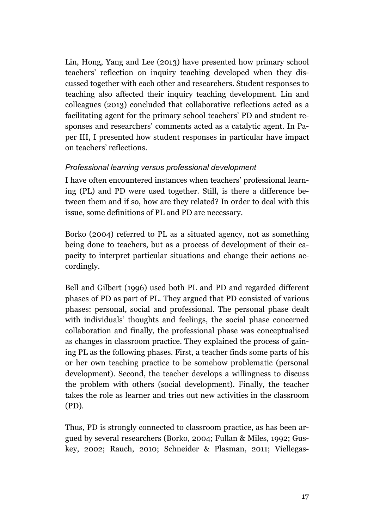Lin, Hong, Yang and Lee (2013) have presented how primary school teachers' reflection on inquiry teaching developed when they discussed together with each other and researchers. Student responses to teaching also affected their inquiry teaching development. Lin and colleagues (2013) concluded that collaborative reflections acted as a facilitating agent for the primary school teachers' PD and student responses and researchers' comments acted as a catalytic agent. In Paper III, I presented how student responses in particular have impact on teachers' reflections.

# *Professional learning versus professional development*

I have often encountered instances when teachers' professional learning (PL) and PD were used together. Still, is there a difference between them and if so, how are they related? In order to deal with this issue, some definitions of PL and PD are necessary.

Borko (2004) referred to PL as a situated agency, not as something being done to teachers, but as a process of development of their capacity to interpret particular situations and change their actions accordingly.

Bell and Gilbert (1996) used both PL and PD and regarded different phases of PD as part of PL. They argued that PD consisted of various phases: personal, social and professional. The personal phase dealt with individuals' thoughts and feelings, the social phase concerned collaboration and finally, the professional phase was conceptualised as changes in classroom practice. They explained the process of gaining PL as the following phases. First, a teacher finds some parts of his or her own teaching practice to be somehow problematic (personal development). Second, the teacher develops a willingness to discuss the problem with others (social development). Finally, the teacher takes the role as learner and tries out new activities in the classroom (PD).

Thus, PD is strongly connected to classroom practice, as has been argued by several researchers (Borko, 2004; Fullan & Miles, 1992; Guskey, 2002; Rauch, 2010; Schneider & Plasman, 2011; Viellegas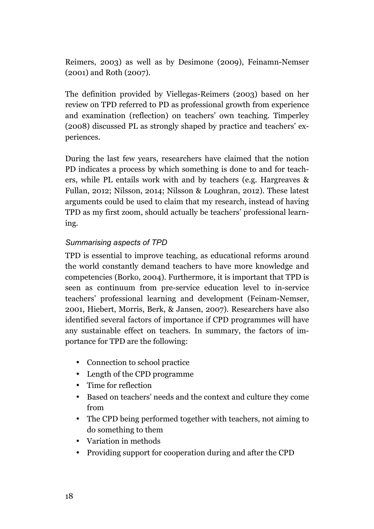Reimers, 2003) as well as by Desimone (2009), Feinamn-Nemser (2001) and Roth (2007).

The definition provided by Viellegas-Reimers (2003) based on her review on TPD referred to PD as professional growth from experience and examination (reflection) on teachers' own teaching. Timperley (2008) discussed PL as strongly shaped by practice and teachers' experiences.

During the last few years, researchers have claimed that the notion PD indicates a process by which something is done to and for teachers, while PL entails work with and by teachers (e.g. Hargreaves & Fullan, 2012; Nilsson, 2014; Nilsson & Loughran, 2012). These latest arguments could be used to claim that my research, instead of having TPD as my first zoom, should actually be teachers' professional learning.

# *Summarising aspects of TPD*

TPD is essential to improve teaching, as educational reforms around the world constantly demand teachers to have more knowledge and competencies (Borko, 2004). Furthermore, it is important that TPD is seen as continuum from pre-service education level to in-service teachers' professional learning and development (Feinam-Nemser, 2001, Hiebert, Morris, Berk, & Jansen, 2007). Researchers have also identified several factors of importance if CPD programmes will have any sustainable effect on teachers. In summary, the factors of importance for TPD are the following:

- Connection to school practice
- Length of the CPD programme
- Time for reflection
- Based on teachers' needs and the context and culture they come from
- The CPD being performed together with teachers, not aiming to do something to them
- Variation in methods
- Providing support for cooperation during and after the CPD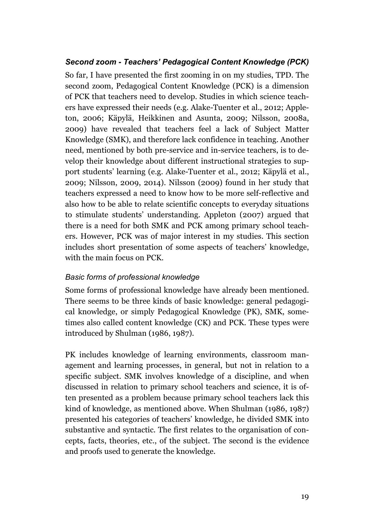# *Second zoom - Teachers' Pedagogical Content Knowledge (PCK)*

So far, I have presented the first zooming in on my studies, TPD. The second zoom, Pedagogical Content Knowledge (PCK) is a dimension of PCK that teachers need to develop. Studies in which science teachers have expressed their needs (e.g. Alake-Tuenter et al., 2012; Appleton, 2006; Käpylä, Heikkinen and Asunta, 2009; Nilsson, 2008a, 2009) have revealed that teachers feel a lack of Subject Matter Knowledge (SMK), and therefore lack confidence in teaching. Another need, mentioned by both pre-service and in-service teachers, is to develop their knowledge about different instructional strategies to support students' learning (e.g. Alake-Tuenter et al., 2012; Käpylä et al., 2009; Nilsson, 2009, 2014). Nilsson (2009) found in her study that teachers expressed a need to know how to be more self-reflective and also how to be able to relate scientific concepts to everyday situations to stimulate students' understanding. Appleton (2007) argued that there is a need for both SMK and PCK among primary school teachers. However, PCK was of major interest in my studies. This section includes short presentation of some aspects of teachers' knowledge, with the main focus on PCK.

# *Basic forms of professional knowledge*

Some forms of professional knowledge have already been mentioned. There seems to be three kinds of basic knowledge: general pedagogical knowledge, or simply Pedagogical Knowledge (PK), SMK, sometimes also called content knowledge (CK) and PCK. These types were introduced by Shulman (1986, 1987).

PK includes knowledge of learning environments, classroom management and learning processes, in general, but not in relation to a specific subject. SMK involves knowledge of a discipline, and when discussed in relation to primary school teachers and science, it is often presented as a problem because primary school teachers lack this kind of knowledge, as mentioned above. When Shulman (1986, 1987) presented his categories of teachers' knowledge, he divided SMK into substantive and syntactic. The first relates to the organisation of concepts, facts, theories, etc., of the subject. The second is the evidence and proofs used to generate the knowledge.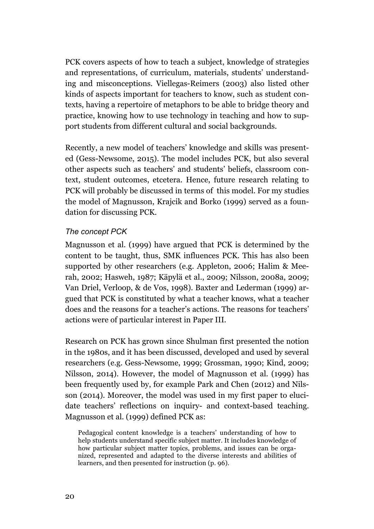PCK covers aspects of how to teach a subject, knowledge of strategies and representations, of curriculum, materials, students' understanding and misconceptions. Viellegas-Reimers (2003) also listed other kinds of aspects important for teachers to know, such as student contexts, having a repertoire of metaphors to be able to bridge theory and practice, knowing how to use technology in teaching and how to support students from different cultural and social backgrounds.

Recently, a new model of teachers' knowledge and skills was presented (Gess-Newsome, 2015). The model includes PCK, but also several other aspects such as teachers' and students' beliefs, classroom context, student outcomes, etcetera. Hence, future research relating to PCK will probably be discussed in terms of this model. For my studies the model of Magnusson, Krajcik and Borko (1999) served as a foundation for discussing PCK.

## *The concept PCK*

Magnusson et al. (1999) have argued that PCK is determined by the content to be taught, thus, SMK influences PCK. This has also been supported by other researchers (e.g. Appleton, 2006; Halim & Meerah, 2002; Hasweh, 1987; Käpylä et al., 2009; Nilsson, 2008a, 2009; Van Driel, Verloop, & de Vos, 1998). Baxter and Lederman (1999) argued that PCK is constituted by what a teacher knows, what a teacher does and the reasons for a teacher's actions. The reasons for teachers' actions were of particular interest in Paper III.

Research on PCK has grown since Shulman first presented the notion in the 1980s, and it has been discussed, developed and used by several researchers (e.g. Gess-Newsome, 1999; Grossman, 1990; Kind, 2009; Nilsson, 2014). However, the model of Magnusson et al. (1999) has been frequently used by, for example Park and Chen (2012) and Nilsson (2014). Moreover, the model was used in my first paper to elucidate teachers' reflections on inquiry- and context-based teaching. Magnusson et al. (1999) defined PCK as:

Pedagogical content knowledge is a teachers' understanding of how to help students understand specific subject matter. It includes knowledge of how particular subject matter topics, problems, and issues can be organized, represented and adapted to the diverse interests and abilities of learners, and then presented for instruction (p. 96).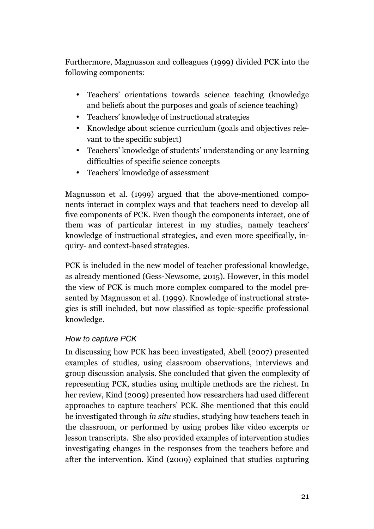Furthermore, Magnusson and colleagues (1999) divided PCK into the following components:

- Teachers' orientations towards science teaching (knowledge and beliefs about the purposes and goals of science teaching)
- Teachers' knowledge of instructional strategies
- Knowledge about science curriculum (goals and objectives relevant to the specific subject)
- Teachers' knowledge of students' understanding or any learning difficulties of specific science concepts
- Teachers' knowledge of assessment

Magnusson et al. (1999) argued that the above-mentioned components interact in complex ways and that teachers need to develop all five components of PCK. Even though the components interact, one of them was of particular interest in my studies, namely teachers' knowledge of instructional strategies, and even more specifically, inquiry- and context-based strategies.

PCK is included in the new model of teacher professional knowledge, as already mentioned (Gess-Newsome, 2015). However, in this model the view of PCK is much more complex compared to the model presented by Magnusson et al. (1999). Knowledge of instructional strategies is still included, but now classified as topic-specific professional knowledge.

# *How to capture PCK*

In discussing how PCK has been investigated, Abell (2007) presented examples of studies, using classroom observations, interviews and group discussion analysis. She concluded that given the complexity of representing PCK, studies using multiple methods are the richest. In her review, Kind (2009) presented how researchers had used different approaches to capture teachers' PCK. She mentioned that this could be investigated through *in situ* studies, studying how teachers teach in the classroom, or performed by using probes like video excerpts or lesson transcripts. She also provided examples of intervention studies investigating changes in the responses from the teachers before and after the intervention. Kind (2009) explained that studies capturing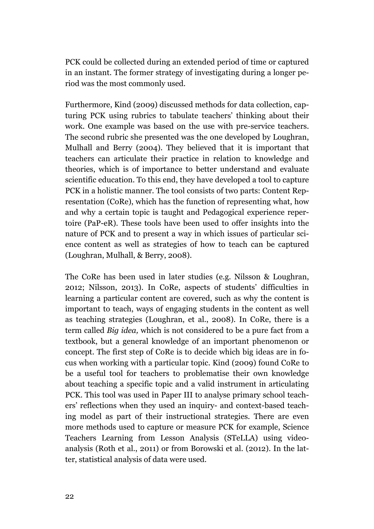PCK could be collected during an extended period of time or captured in an instant. The former strategy of investigating during a longer period was the most commonly used.

Furthermore, Kind (2009) discussed methods for data collection, capturing PCK using rubrics to tabulate teachers' thinking about their work. One example was based on the use with pre-service teachers. The second rubric she presented was the one developed by Loughran, Mulhall and Berry (2004). They believed that it is important that teachers can articulate their practice in relation to knowledge and theories, which is of importance to better understand and evaluate scientific education. To this end, they have developed a tool to capture PCK in a holistic manner. The tool consists of two parts: Content Representation (CoRe), which has the function of representing what, how and why a certain topic is taught and Pedagogical experience repertoire (PaP-eR). These tools have been used to offer insights into the nature of PCK and to present a way in which issues of particular science content as well as strategies of how to teach can be captured (Loughran, Mulhall, & Berry, 2008).

The CoRe has been used in later studies (e.g. Nilsson & Loughran, 2012; Nilsson, 2013). In CoRe, aspects of students' difficulties in learning a particular content are covered, such as why the content is important to teach, ways of engaging students in the content as well as teaching strategies (Loughran, et al., 2008). In CoRe, there is a term called *Big idea,* which is not considered to be a pure fact from a textbook, but a general knowledge of an important phenomenon or concept. The first step of CoRe is to decide which big ideas are in focus when working with a particular topic. Kind (2009) found CoRe to be a useful tool for teachers to problematise their own knowledge about teaching a specific topic and a valid instrument in articulating PCK. This tool was used in Paper III to analyse primary school teachers' reflections when they used an inquiry- and context-based teaching model as part of their instructional strategies. There are even more methods used to capture or measure PCK for example, Science Teachers Learning from Lesson Analysis (STeLLA) using videoanalysis (Roth et al., 2011) or from Borowski et al. (2012). In the latter, statistical analysis of data were used.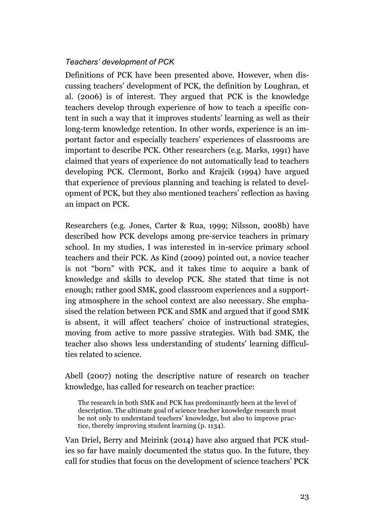# *Teachers' development of PCK*

Definitions of PCK have been presented above. However, when discussing teachers' development of PCK, the definition by Loughran, et al. (2006) is of interest. They argued that PCK is the knowledge teachers develop through experience of how to teach a specific content in such a way that it improves students' learning as well as their long-term knowledge retention. In other words, experience is an important factor and especially teachers' experiences of classrooms are important to describe PCK. Other researchers (e.g. Marks, 1991) have claimed that years of experience do not automatically lead to teachers developing PCK. Clermont, Borko and Krajcik (1994) have argued that experience of previous planning and teaching is related to development of PCK, but they also mentioned teachers' reflection as having an impact on PCK.

Researchers (e.g. Jones, Carter & Rua, 1999; Nilsson, 2008b) have described how PCK develops among pre-service teachers in primary school. In my studies, I was interested in in-service primary school teachers and their PCK. As Kind (2009) pointed out, a novice teacher is not "born" with PCK, and it takes time to acquire a bank of knowledge and skills to develop PCK. She stated that time is not enough; rather good SMK, good classroom experiences and a supporting atmosphere in the school context are also necessary. She emphasised the relation between PCK and SMK and argued that if good SMK is absent, it will affect teachers' choice of instructional strategies, moving from active to more passive strategies. With bad SMK, the teacher also shows less understanding of students' learning difficulties related to science.

Abell (2007) noting the descriptive nature of research on teacher knowledge, has called for research on teacher practice:

The research in both SMK and PCK has predominantly been at the level of description. The ultimate goal of science teacher knowledge research must be not only to understand teachers' knowledge, but also to improve practice, thereby improving student learning (p. 1134).

Van Driel, Berry and Meirink (2014) have also argued that PCK studies so far have mainly documented the status quo. In the future, they call for studies that focus on the development of science teachers' PCK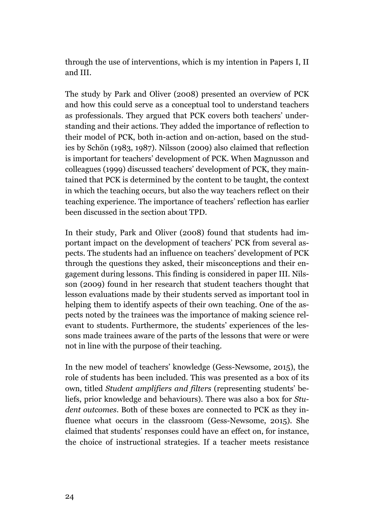through the use of interventions, which is my intention in Papers I, II and III.

The study by Park and Oliver (2008) presented an overview of PCK and how this could serve as a conceptual tool to understand teachers as professionals. They argued that PCK covers both teachers' understanding and their actions. They added the importance of reflection to their model of PCK, both in-action and on-action, based on the studies by Schön (1983, 1987). Nilsson (2009) also claimed that reflection is important for teachers' development of PCK. When Magnusson and colleagues (1999) discussed teachers' development of PCK, they maintained that PCK is determined by the content to be taught, the context in which the teaching occurs, but also the way teachers reflect on their teaching experience. The importance of teachers' reflection has earlier been discussed in the section about TPD.

In their study, Park and Oliver (2008) found that students had important impact on the development of teachers' PCK from several aspects. The students had an influence on teachers' development of PCK through the questions they asked, their misconceptions and their engagement during lessons. This finding is considered in paper III. Nilsson (2009) found in her research that student teachers thought that lesson evaluations made by their students served as important tool in helping them to identify aspects of their own teaching. One of the aspects noted by the trainees was the importance of making science relevant to students. Furthermore, the students' experiences of the lessons made trainees aware of the parts of the lessons that were or were not in line with the purpose of their teaching.

In the new model of teachers' knowledge (Gess-Newsome, 2015), the role of students has been included. This was presented as a box of its own, titled *Student amplifiers and filters* (representing students' beliefs, prior knowledge and behaviours). There was also a box for *Student outcomes*. Both of these boxes are connected to PCK as they influence what occurs in the classroom (Gess-Newsome, 2015). She claimed that students' responses could have an effect on, for instance, the choice of instructional strategies. If a teacher meets resistance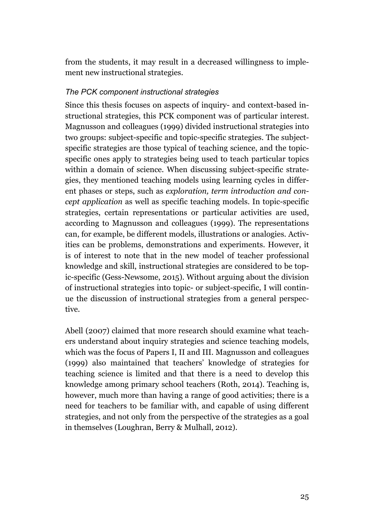from the students, it may result in a decreased willingness to implement new instructional strategies.

#### *The PCK component instructional strategies*

Since this thesis focuses on aspects of inquiry- and context-based instructional strategies, this PCK component was of particular interest. Magnusson and colleagues (1999) divided instructional strategies into two groups: subject-specific and topic-specific strategies. The subjectspecific strategies are those typical of teaching science, and the topicspecific ones apply to strategies being used to teach particular topics within a domain of science. When discussing subject-specific strategies, they mentioned teaching models using learning cycles in different phases or steps, such as *exploration, term introduction and concept application* as well as specific teaching models. In topic-specific strategies, certain representations or particular activities are used, according to Magnusson and colleagues (1999). The representations can, for example, be different models, illustrations or analogies. Activities can be problems, demonstrations and experiments. However, it is of interest to note that in the new model of teacher professional knowledge and skill, instructional strategies are considered to be topic-specific (Gess-Newsome, 2015). Without arguing about the division of instructional strategies into topic- or subject-specific, I will continue the discussion of instructional strategies from a general perspective.

Abell (2007) claimed that more research should examine what teachers understand about inquiry strategies and science teaching models, which was the focus of Papers I, II and III. Magnusson and colleagues (1999) also maintained that teachers' knowledge of strategies for teaching science is limited and that there is a need to develop this knowledge among primary school teachers (Roth, 2014). Teaching is, however, much more than having a range of good activities; there is a need for teachers to be familiar with, and capable of using different strategies, and not only from the perspective of the strategies as a goal in themselves (Loughran, Berry & Mulhall, 2012).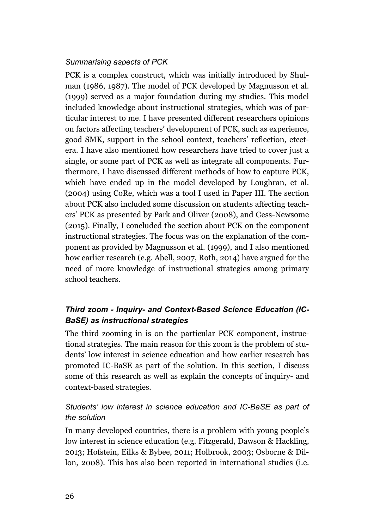#### *Summarising aspects of PCK*

PCK is a complex construct, which was initially introduced by Shulman (1986, 1987). The model of PCK developed by Magnusson et al. (1999) served as a major foundation during my studies. This model included knowledge about instructional strategies, which was of particular interest to me. I have presented different researchers opinions on factors affecting teachers' development of PCK, such as experience, good SMK, support in the school context, teachers' reflection, etcetera. I have also mentioned how researchers have tried to cover just a single, or some part of PCK as well as integrate all components. Furthermore, I have discussed different methods of how to capture PCK, which have ended up in the model developed by Loughran, et al. (2004) using CoRe, which was a tool I used in Paper III. The section about PCK also included some discussion on students affecting teachers' PCK as presented by Park and Oliver (2008), and Gess-Newsome (2015). Finally, I concluded the section about PCK on the component instructional strategies. The focus was on the explanation of the component as provided by Magnusson et al. (1999), and I also mentioned how earlier research (e.g. Abell, 2007, Roth, 2014) have argued for the need of more knowledge of instructional strategies among primary school teachers.

# *Third zoom - Inquiry- and Context-Based Science Education (IC-BaSE) as instructional strategies*

The third zooming in is on the particular PCK component, instructional strategies. The main reason for this zoom is the problem of students' low interest in science education and how earlier research has promoted IC-BaSE as part of the solution. In this section, I discuss some of this research as well as explain the concepts of inquiry- and context-based strategies.

# *Students' low interest in science education and IC-BaSE as part of the solution*

In many developed countries, there is a problem with young people's low interest in science education (e.g. Fitzgerald, Dawson & Hackling, 2013; Hofstein, Eilks & Bybee, 2011; Holbrook, 2003; Osborne & Dillon, 2008). This has also been reported in international studies (i.e.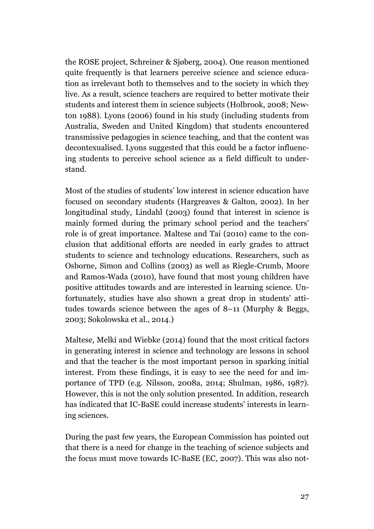the ROSE project, Schreiner & Sjøberg, 2004). One reason mentioned quite frequently is that learners perceive science and science education as irrelevant both to themselves and to the society in which they live. As a result, science teachers are required to better motivate their students and interest them in science subjects (Holbrook, 2008; Newton 1988). Lyons (2006) found in his study (including students from Australia, Sweden and United Kingdom) that students encountered transmissive pedagogies in science teaching, and that the content was decontexualised. Lyons suggested that this could be a factor influencing students to perceive school science as a field difficult to understand.

Most of the studies of students' low interest in science education have focused on secondary students (Hargreaves & Galton, 2002). In her longitudinal study, Lindahl (2003) found that interest in science is mainly formed during the primary school period and the teachers' role is of great importance. Maltese and Tai (2010) came to the conclusion that additional efforts are needed in early grades to attract students to science and technology educations. Researchers, such as Osborne, Simon and Collins (2003) as well as Riegle-Crumb, Moore and Ramos-Wada (2010), have found that most young children have positive attitudes towards and are interested in learning science. Unfortunately, studies have also shown a great drop in students' attitudes towards science between the ages of 8–11 (Murphy & Beggs, 2003; Sokolowska et al., 2014.)

Maltese, Melki and Wiebke (2014) found that the most critical factors in generating interest in science and technology are lessons in school and that the teacher is the most important person in sparking initial interest. From these findings, it is easy to see the need for and importance of TPD (e.g. Nilsson, 2008a, 2014; Shulman, 1986, 1987). However, this is not the only solution presented. In addition, research has indicated that IC-BaSE could increase students' interests in learning sciences.

During the past few years, the European Commission has pointed out that there is a need for change in the teaching of science subjects and the focus must move towards IC-BaSE (EC, 2007). This was also not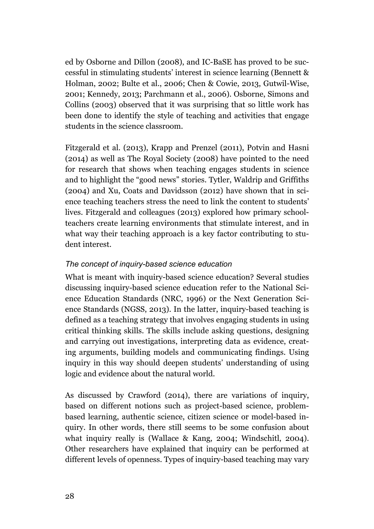ed by Osborne and Dillon (2008), and IC-BaSE has proved to be successful in stimulating students' interest in science learning (Bennett & Holman, 2002; Bulte et al., 2006; Chen & Cowie, 2013, Gutwil-Wise, 2001; Kennedy, 2013; Parchmann et al., 2006). Osborne, Simons and Collins (2003) observed that it was surprising that so little work has been done to identify the style of teaching and activities that engage students in the science classroom.

Fitzgerald et al. (2013), Krapp and Prenzel (2011), Potvin and Hasni (2014) as well as The Royal Society (2008) have pointed to the need for research that shows when teaching engages students in science and to highlight the "good news" stories. Tytler, Waldrip and Griffiths (2004) and Xu, Coats and Davidsson (2012) have shown that in science teaching teachers stress the need to link the content to students' lives. Fitzgerald and colleagues (2013) explored how primary schoolteachers create learning environments that stimulate interest, and in what way their teaching approach is a key factor contributing to student interest.

## *The concept of inquiry-based science education*

What is meant with inquiry-based science education? Several studies discussing inquiry-based science education refer to the National Science Education Standards (NRC, 1996) or the Next Generation Science Standards (NGSS, 2013). In the latter, inquiry-based teaching is defined as a teaching strategy that involves engaging students in using critical thinking skills. The skills include asking questions, designing and carrying out investigations, interpreting data as evidence, creating arguments, building models and communicating findings. Using inquiry in this way should deepen students' understanding of using logic and evidence about the natural world.

As discussed by Crawford (2014), there are variations of inquiry, based on different notions such as project-based science, problembased learning, authentic science, citizen science or model-based inquiry. In other words, there still seems to be some confusion about what inquiry really is (Wallace & Kang, 2004; Windschitl, 2004). Other researchers have explained that inquiry can be performed at different levels of openness. Types of inquiry-based teaching may vary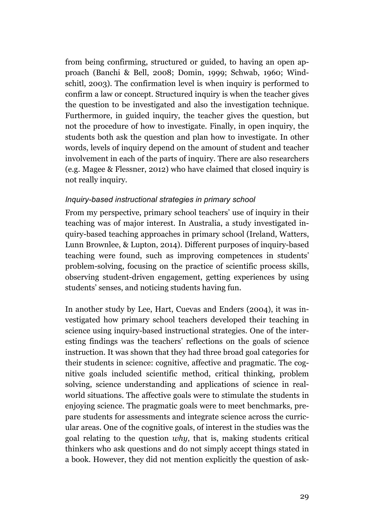from being confirming, structured or guided, to having an open approach (Banchi & Bell, 2008; Domin, 1999; Schwab, 1960; Windschitl, 2003). The confirmation level is when inquiry is performed to confirm a law or concept. Structured inquiry is when the teacher gives the question to be investigated and also the investigation technique. Furthermore, in guided inquiry, the teacher gives the question, but not the procedure of how to investigate. Finally, in open inquiry, the students both ask the question and plan how to investigate. In other words, levels of inquiry depend on the amount of student and teacher involvement in each of the parts of inquiry. There are also researchers (e.g. Magee & Flessner, 2012) who have claimed that closed inquiry is not really inquiry.

#### *Inquiry-based instructional strategies in primary school*

From my perspective, primary school teachers' use of inquiry in their teaching was of major interest. In Australia, a study investigated inquiry-based teaching approaches in primary school (Ireland, Watters, Lunn Brownlee, & Lupton, 2014). Different purposes of inquiry-based teaching were found, such as improving competences in students' problem-solving, focusing on the practice of scientific process skills, observing student-driven engagement, getting experiences by using students' senses, and noticing students having fun.

In another study by Lee, Hart, Cuevas and Enders (2004), it was investigated how primary school teachers developed their teaching in science using inquiry-based instructional strategies. One of the interesting findings was the teachers' reflections on the goals of science instruction. It was shown that they had three broad goal categories for their students in science: cognitive, affective and pragmatic. The cognitive goals included scientific method, critical thinking, problem solving, science understanding and applications of science in realworld situations. The affective goals were to stimulate the students in enjoying science. The pragmatic goals were to meet benchmarks, prepare students for assessments and integrate science across the curricular areas. One of the cognitive goals, of interest in the studies was the goal relating to the question *why*, that is, making students critical thinkers who ask questions and do not simply accept things stated in a book. However, they did not mention explicitly the question of ask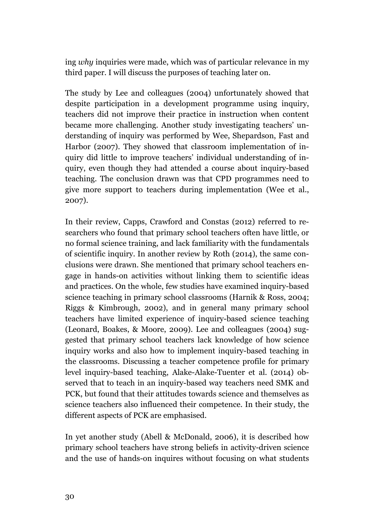ing *why* inquiries were made, which was of particular relevance in my third paper. I will discuss the purposes of teaching later on.

The study by Lee and colleagues (2004) unfortunately showed that despite participation in a development programme using inquiry, teachers did not improve their practice in instruction when content became more challenging. Another study investigating teachers' understanding of inquiry was performed by Wee, Shepardson, Fast and Harbor (2007). They showed that classroom implementation of inquiry did little to improve teachers' individual understanding of inquiry, even though they had attended a course about inquiry-based teaching. The conclusion drawn was that CPD programmes need to give more support to teachers during implementation (Wee et al., 2007).

In their review, Capps, Crawford and Constas (2012) referred to researchers who found that primary school teachers often have little, or no formal science training, and lack familiarity with the fundamentals of scientific inquiry. In another review by Roth (2014), the same conclusions were drawn. She mentioned that primary school teachers engage in hands-on activities without linking them to scientific ideas and practices. On the whole, few studies have examined inquiry-based science teaching in primary school classrooms (Harnik & Ross, 2004; Riggs & Kimbrough, 2002), and in general many primary school teachers have limited experience of inquiry-based science teaching (Leonard, Boakes, & Moore, 2009). Lee and colleagues (2004) suggested that primary school teachers lack knowledge of how science inquiry works and also how to implement inquiry-based teaching in the classrooms. Discussing a teacher competence profile for primary level inquiry-based teaching, Alake-Alake-Tuenter et al. (2014) observed that to teach in an inquiry-based way teachers need SMK and PCK, but found that their attitudes towards science and themselves as science teachers also influenced their competence. In their study, the different aspects of PCK are emphasised.

In yet another study (Abell & McDonald, 2006), it is described how primary school teachers have strong beliefs in activity-driven science and the use of hands-on inquires without focusing on what students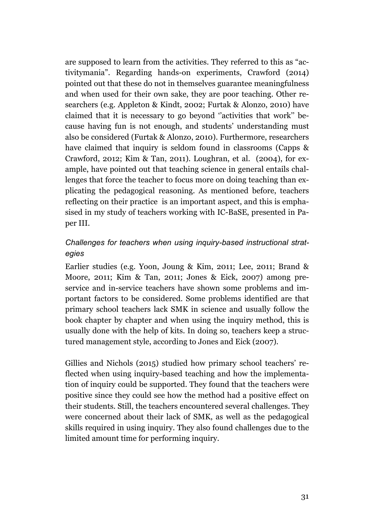are supposed to learn from the activities. They referred to this as "activitymania". Regarding hands-on experiments, Crawford (2014) pointed out that these do not in themselves guarantee meaningfulness and when used for their own sake, they are poor teaching. Other researchers (e.g. Appleton & Kindt, 2002; Furtak & Alonzo, 2010) have claimed that it is necessary to go beyond ''activities that work'' because having fun is not enough, and students' understanding must also be considered (Furtak & Alonzo, 2010). Furthermore, researchers have claimed that inquiry is seldom found in classrooms (Capps & Crawford, 2012; Kim & Tan, 2011). Loughran, et al. (2004), for example, have pointed out that teaching science in general entails challenges that force the teacher to focus more on doing teaching than explicating the pedagogical reasoning. As mentioned before, teachers reflecting on their practice is an important aspect, and this is emphasised in my study of teachers working with IC-BaSE, presented in Paper III.

# *Challenges for teachers when using inquiry-based instructional strategies*

Earlier studies (e.g. Yoon, Joung & Kim, 2011; Lee, 2011; Brand & Moore, 2011; Kim & Tan, 2011; Jones & Eick, 2007) among preservice and in-service teachers have shown some problems and important factors to be considered. Some problems identified are that primary school teachers lack SMK in science and usually follow the book chapter by chapter and when using the inquiry method, this is usually done with the help of kits. In doing so, teachers keep a structured management style, according to Jones and Eick (2007).

Gillies and Nichols (2015) studied how primary school teachers' reflected when using inquiry-based teaching and how the implementation of inquiry could be supported. They found that the teachers were positive since they could see how the method had a positive effect on their students. Still, the teachers encountered several challenges. They were concerned about their lack of SMK, as well as the pedagogical skills required in using inquiry. They also found challenges due to the limited amount time for performing inquiry.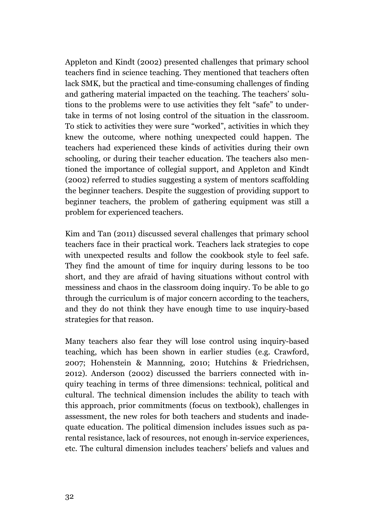Appleton and Kindt (2002) presented challenges that primary school teachers find in science teaching. They mentioned that teachers often lack SMK, but the practical and time-consuming challenges of finding and gathering material impacted on the teaching. The teachers' solutions to the problems were to use activities they felt "safe" to undertake in terms of not losing control of the situation in the classroom. To stick to activities they were sure "worked", activities in which they knew the outcome, where nothing unexpected could happen. The teachers had experienced these kinds of activities during their own schooling, or during their teacher education. The teachers also mentioned the importance of collegial support, and Appleton and Kindt (2002) referred to studies suggesting a system of mentors scaffolding the beginner teachers. Despite the suggestion of providing support to beginner teachers, the problem of gathering equipment was still a problem for experienced teachers.

Kim and Tan (2011) discussed several challenges that primary school teachers face in their practical work. Teachers lack strategies to cope with unexpected results and follow the cookbook style to feel safe. They find the amount of time for inquiry during lessons to be too short, and they are afraid of having situations without control with messiness and chaos in the classroom doing inquiry. To be able to go through the curriculum is of major concern according to the teachers, and they do not think they have enough time to use inquiry-based strategies for that reason.

Many teachers also fear they will lose control using inquiry-based teaching, which has been shown in earlier studies (e.g. Crawford, 2007; Hohenstein & Mannning, 2010; Hutchins & Friedrichsen, 2012). Anderson (2002) discussed the barriers connected with inquiry teaching in terms of three dimensions: technical, political and cultural. The technical dimension includes the ability to teach with this approach, prior commitments (focus on textbook), challenges in assessment, the new roles for both teachers and students and inadequate education. The political dimension includes issues such as parental resistance, lack of resources, not enough in-service experiences, etc. The cultural dimension includes teachers' beliefs and values and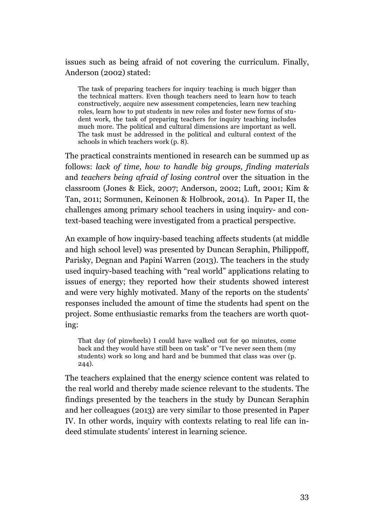issues such as being afraid of not covering the curriculum. Finally, Anderson (2002) stated:

The task of preparing teachers for inquiry teaching is much bigger than the technical matters. Even though teachers need to learn how to teach constructively, acquire new assessment competencies, learn new teaching roles, learn how to put students in new roles and foster new forms of student work, the task of preparing teachers for inquiry teaching includes much more. The political and cultural dimensions are important as well. The task must be addressed in the political and cultural context of the schools in which teachers work (p. 8).

The practical constraints mentioned in research can be summed up as follows: *lack of time, how to handle big groups, finding materials* and *teachers being afraid of losing control* over the situation in the classroom (Jones & Eick, 2007; Anderson, 2002; Luft, 2001; Kim & Tan, 2011; Sormunen, Keinonen & Holbrook, 2014). In Paper II, the challenges among primary school teachers in using inquiry- and context-based teaching were investigated from a practical perspective.

An example of how inquiry-based teaching affects students (at middle and high school level) was presented by Duncan Seraphin, Philippoff, Parisky, Degnan and Papini Warren (2013). The teachers in the study used inquiry-based teaching with "real world" applications relating to issues of energy; they reported how their students showed interest and were very highly motivated. Many of the reports on the students' responses included the amount of time the students had spent on the project. Some enthusiastic remarks from the teachers are worth quoting:

That day (of pinwheels) I could have walked out for 90 minutes, come back and they would have still been on task" or "I've never seen them (my students) work so long and hard and be bummed that class was over (p. 244).

The teachers explained that the energy science content was related to the real world and thereby made science relevant to the students. The findings presented by the teachers in the study by Duncan Seraphin and her colleagues (2013) are very similar to those presented in Paper IV. In other words, inquiry with contexts relating to real life can indeed stimulate students' interest in learning science.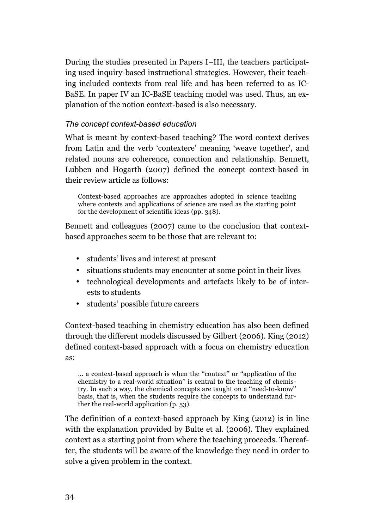During the studies presented in Papers I–III, the teachers participating used inquiry-based instructional strategies. However, their teaching included contexts from real life and has been referred to as IC-BaSE. In paper IV an IC-BaSE teaching model was used. Thus, an explanation of the notion context-based is also necessary.

### *The concept context-based education*

What is meant by context-based teaching? The word context derives from Latin and the verb 'contextere' meaning 'weave together', and related nouns are coherence, connection and relationship. Bennett, Lubben and Hogarth (2007) defined the concept context-based in their review article as follows:

Context-based approaches are approaches adopted in science teaching where contexts and applications of science are used as the starting point for the development of scientific ideas (pp. 348).

Bennett and colleagues (2007) came to the conclusion that contextbased approaches seem to be those that are relevant to:

- students' lives and interest at present
- situations students may encounter at some point in their lives
- technological developments and artefacts likely to be of interests to students
- students' possible future careers

Context-based teaching in chemistry education has also been defined through the different models discussed by Gilbert (2006). King (2012) defined context-based approach with a focus on chemistry education as:

… a context-based approach is when the ''context'' or ''application of the chemistry to a real-world situation'' is central to the teaching of chemistry. In such a way, the chemical concepts are taught on a ''need-to-know'' basis, that is, when the students require the concepts to understand further the real-world application (p. 53).

The definition of a context-based approach by King (2012) is in line with the explanation provided by Bulte et al. (2006). They explained context as a starting point from where the teaching proceeds. Thereafter, the students will be aware of the knowledge they need in order to solve a given problem in the context.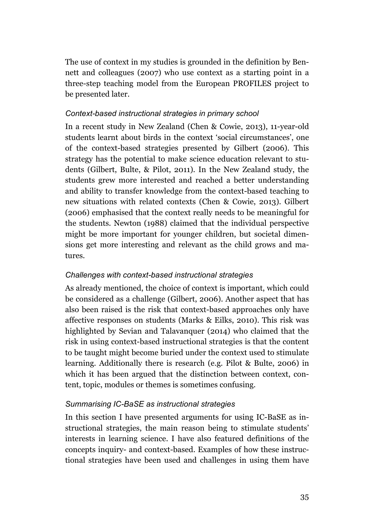The use of context in my studies is grounded in the definition by Bennett and colleagues (2007) who use context as a starting point in a three-step teaching model from the European PROFILES project to be presented later.

#### *Context-based instructional strategies in primary school*

In a recent study in New Zealand (Chen & Cowie, 2013), 11-year-old students learnt about birds in the context 'social circumstances', one of the context-based strategies presented by Gilbert (2006). This strategy has the potential to make science education relevant to students (Gilbert, Bulte, & Pilot, 2011). In the New Zealand study, the students grew more interested and reached a better understanding and ability to transfer knowledge from the context-based teaching to new situations with related contexts (Chen & Cowie, 2013). Gilbert (2006) emphasised that the context really needs to be meaningful for the students. Newton (1988) claimed that the individual perspective might be more important for younger children, but societal dimensions get more interesting and relevant as the child grows and matures.

#### *Challenges with context-based instructional strategies*

As already mentioned, the choice of context is important, which could be considered as a challenge (Gilbert, 2006). Another aspect that has also been raised is the risk that context-based approaches only have affective responses on students (Marks & Eilks, 2010). This risk was highlighted by Sevian and Talavanquer (2014) who claimed that the risk in using context-based instructional strategies is that the content to be taught might become buried under the context used to stimulate learning. Additionally there is research (e.g. Pilot & Bulte, 2006) in which it has been argued that the distinction between context, content, topic, modules or themes is sometimes confusing.

### *Summarising IC-BaSE as instructional strategies*

In this section I have presented arguments for using IC-BaSE as instructional strategies, the main reason being to stimulate students' interests in learning science. I have also featured definitions of the concepts inquiry- and context-based. Examples of how these instructional strategies have been used and challenges in using them have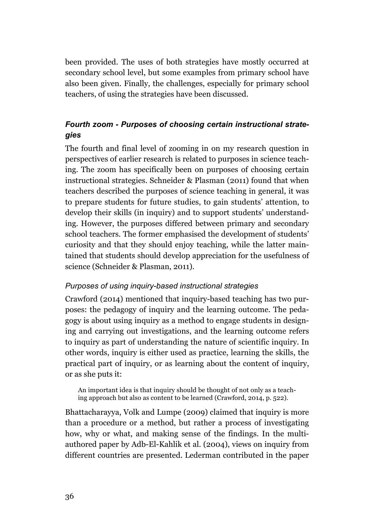been provided. The uses of both strategies have mostly occurred at secondary school level, but some examples from primary school have also been given. Finally, the challenges, especially for primary school teachers, of using the strategies have been discussed.

# *Fourth zoom - Purposes of choosing certain instructional strategies*

The fourth and final level of zooming in on my research question in perspectives of earlier research is related to purposes in science teaching. The zoom has specifically been on purposes of choosing certain instructional strategies. Schneider & Plasman (2011) found that when teachers described the purposes of science teaching in general, it was to prepare students for future studies, to gain students' attention, to develop their skills (in inquiry) and to support students' understanding. However, the purposes differed between primary and secondary school teachers. The former emphasised the development of students' curiosity and that they should enjoy teaching, while the latter maintained that students should develop appreciation for the usefulness of science (Schneider & Plasman, 2011).

#### *Purposes of using inquiry-based instructional strategies*

Crawford (2014) mentioned that inquiry-based teaching has two purposes: the pedagogy of inquiry and the learning outcome. The pedagogy is about using inquiry as a method to engage students in designing and carrying out investigations, and the learning outcome refers to inquiry as part of understanding the nature of scientific inquiry. In other words, inquiry is either used as practice, learning the skills, the practical part of inquiry, or as learning about the content of inquiry, or as she puts it:

An important idea is that inquiry should be thought of not only as a teaching approach but also as content to be learned (Crawford, 2014, p. 522).

Bhattacharayya, Volk and Lumpe (2009) claimed that inquiry is more than a procedure or a method, but rather a process of investigating how, why or what, and making sense of the findings. In the multiauthored paper by Adb-El-Kahlik et al. (2004), views on inquiry from different countries are presented. Lederman contributed in the paper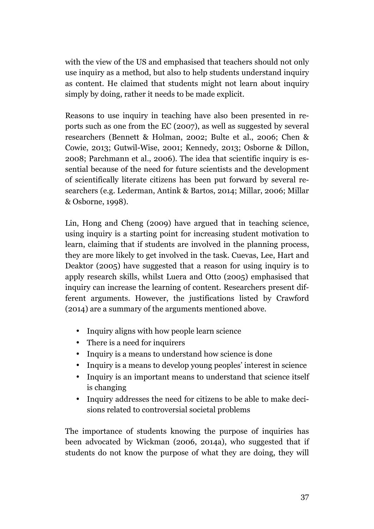with the view of the US and emphasised that teachers should not only use inquiry as a method, but also to help students understand inquiry as content. He claimed that students might not learn about inquiry simply by doing, rather it needs to be made explicit.

Reasons to use inquiry in teaching have also been presented in reports such as one from the EC (2007), as well as suggested by several researchers (Bennett & Holman, 2002; Bulte et al., 2006; Chen & Cowie, 2013; Gutwil-Wise, 2001; Kennedy, 2013; Osborne & Dillon, 2008; Parchmann et al., 2006). The idea that scientific inquiry is essential because of the need for future scientists and the development of scientifically literate citizens has been put forward by several researchers (e.g. Lederman, Antink & Bartos, 2014; Millar, 2006; Millar & Osborne, 1998).

Lin, Hong and Cheng (2009) have argued that in teaching science, using inquiry is a starting point for increasing student motivation to learn, claiming that if students are involved in the planning process, they are more likely to get involved in the task. Cuevas, Lee, Hart and Deaktor (2005) have suggested that a reason for using inquiry is to apply research skills, whilst Luera and Otto (2005) emphasised that inquiry can increase the learning of content. Researchers present different arguments. However, the justifications listed by Crawford (2014) are a summary of the arguments mentioned above.

- Inquiry aligns with how people learn science
- There is a need for inquirers
- Inquiry is a means to understand how science is done
- Inquiry is a means to develop young peoples' interest in science
- Inquiry is an important means to understand that science itself is changing
- Inquiry addresses the need for citizens to be able to make decisions related to controversial societal problems

The importance of students knowing the purpose of inquiries has been advocated by Wickman (2006, 2014a), who suggested that if students do not know the purpose of what they are doing, they will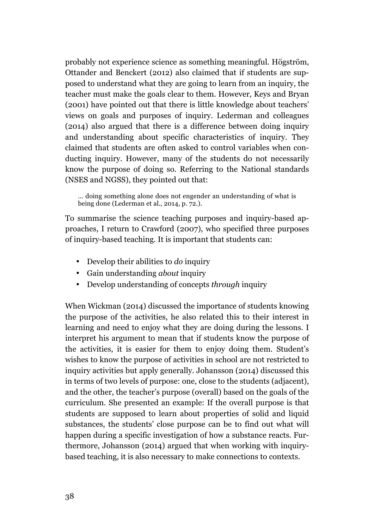probably not experience science as something meaningful. Högström, Ottander and Benckert (2012) also claimed that if students are supposed to understand what they are going to learn from an inquiry, the teacher must make the goals clear to them. However, Keys and Bryan (2001) have pointed out that there is little knowledge about teachers' views on goals and purposes of inquiry. Lederman and colleagues (2014) also argued that there is a difference between doing inquiry and understanding about specific characteristics of inquiry. They claimed that students are often asked to control variables when conducting inquiry. However, many of the students do not necessarily know the purpose of doing so. Referring to the National standards (NSES and NGSS), they pointed out that:

… doing something alone does not engender an understanding of what is being done (Lederman et al., 2014, p. 72.).

To summarise the science teaching purposes and inquiry-based approaches, I return to Crawford (2007), who specified three purposes of inquiry-based teaching. It is important that students can:

- Develop their abilities to *do* inquiry
- Gain understanding *about* inquiry
- Develop understanding of concepts *through* inquiry

When Wickman (2014) discussed the importance of students knowing the purpose of the activities, he also related this to their interest in learning and need to enjoy what they are doing during the lessons. I interpret his argument to mean that if students know the purpose of the activities, it is easier for them to enjoy doing them. Student's wishes to know the purpose of activities in school are not restricted to inquiry activities but apply generally. Johansson (2014) discussed this in terms of two levels of purpose: one, close to the students (adjacent), and the other, the teacher's purpose (overall) based on the goals of the curriculum. She presented an example: If the overall purpose is that students are supposed to learn about properties of solid and liquid substances, the students' close purpose can be to find out what will happen during a specific investigation of how a substance reacts. Furthermore, Johansson (2014) argued that when working with inquirybased teaching, it is also necessary to make connections to contexts.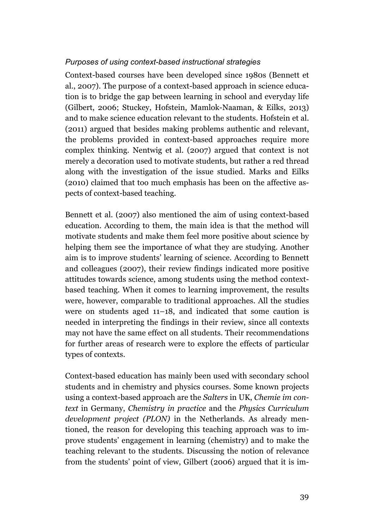### *Purposes of using context-based instructional strategies*

Context-based courses have been developed since 1980s (Bennett et al., 2007). The purpose of a context-based approach in science education is to bridge the gap between learning in school and everyday life (Gilbert, 2006; Stuckey, Hofstein, Mamlok-Naaman, & Eilks, 2013) and to make science education relevant to the students. Hofstein et al. (2011) argued that besides making problems authentic and relevant, the problems provided in context-based approaches require more complex thinking. Nentwig et al. (2007) argued that context is not merely a decoration used to motivate students, but rather a red thread along with the investigation of the issue studied. Marks and Eilks (2010) claimed that too much emphasis has been on the affective aspects of context-based teaching.

Bennett et al. (2007) also mentioned the aim of using context-based education. According to them, the main idea is that the method will motivate students and make them feel more positive about science by helping them see the importance of what they are studying. Another aim is to improve students' learning of science. According to Bennett and colleagues (2007), their review findings indicated more positive attitudes towards science, among students using the method contextbased teaching. When it comes to learning improvement, the results were, however, comparable to traditional approaches. All the studies were on students aged 11–18, and indicated that some caution is needed in interpreting the findings in their review, since all contexts may not have the same effect on all students. Their recommendations for further areas of research were to explore the effects of particular types of contexts.

Context-based education has mainly been used with secondary school students and in chemistry and physics courses. Some known projects using a context-based approach are the *Salters* in UK, *Chemie im context* in Germany, *Chemistry in practice* and the *Physics Curriculum development project (PLON)* in the Netherlands. As already mentioned, the reason for developing this teaching approach was to improve students' engagement in learning (chemistry) and to make the teaching relevant to the students. Discussing the notion of relevance from the students' point of view, Gilbert (2006) argued that it is im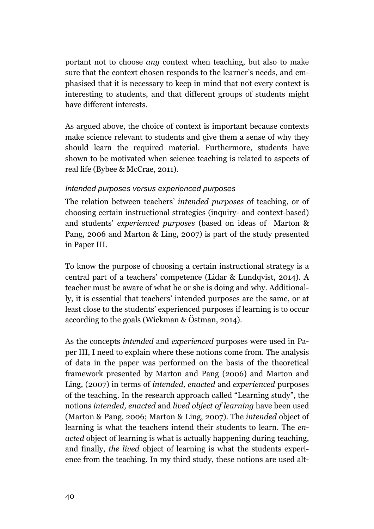portant not to choose *any* context when teaching, but also to make sure that the context chosen responds to the learner's needs, and emphasised that it is necessary to keep in mind that not every context is interesting to students, and that different groups of students might have different interests.

As argued above, the choice of context is important because contexts make science relevant to students and give them a sense of why they should learn the required material. Furthermore, students have shown to be motivated when science teaching is related to aspects of real life (Bybee & McCrae, 2011).

### *Intended purposes versus experienced purposes*

The relation between teachers' *intended purposes* of teaching, or of choosing certain instructional strategies (inquiry- and context-based) and students' *experienced purposes* (based on ideas of Marton & Pang, 2006 and Marton & Ling, 2007) is part of the study presented in Paper III.

To know the purpose of choosing a certain instructional strategy is a central part of a teachers' competence (Lidar & Lundqvist, 2014). A teacher must be aware of what he or she is doing and why. Additionally, it is essential that teachers' intended purposes are the same, or at least close to the students' experienced purposes if learning is to occur according to the goals (Wickman & Östman, 2014).

As the concepts *intended* and *experienced* purposes were used in Paper III, I need to explain where these notions come from. The analysis of data in the paper was performed on the basis of the theoretical framework presented by Marton and Pang (2006) and Marton and Ling, (2007) in terms of *intended, enacted* and *experienced* purposes of the teaching. In the research approach called "Learning study", the notions *intended, enacted* and *lived object of learning* have been used (Marton & Pang, 2006; Marton & Ling, 2007). The *intended* object of learning is what the teachers intend their students to learn. The *enacted* object of learning is what is actually happening during teaching, and finally, *the lived* object of learning is what the students experience from the teaching. In my third study, these notions are used alt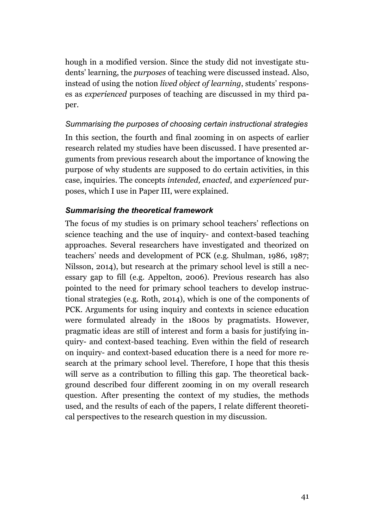hough in a modified version. Since the study did not investigate students' learning, the *purposes* of teaching were discussed instead. Also, instead of using the notion *lived object of learning*, students' responses as *experienced* purposes of teaching are discussed in my third paper.

# *Summarising the purposes of choosing certain instructional strategies*

In this section, the fourth and final zooming in on aspects of earlier research related my studies have been discussed. I have presented arguments from previous research about the importance of knowing the purpose of why students are supposed to do certain activities, in this case, inquiries. The concepts *intended, enacted*, and *experienced* purposes, which I use in Paper III, were explained.

### *Summarising the theoretical framework*

The focus of my studies is on primary school teachers' reflections on science teaching and the use of inquiry- and context-based teaching approaches. Several researchers have investigated and theorized on teachers' needs and development of PCK (e.g. Shulman, 1986, 1987; Nilsson, 2014), but research at the primary school level is still a necessary gap to fill (e.g. Appelton, 2006). Previous research has also pointed to the need for primary school teachers to develop instructional strategies (e.g. Roth, 2014), which is one of the components of PCK. Arguments for using inquiry and contexts in science education were formulated already in the 1800s by pragmatists. However, pragmatic ideas are still of interest and form a basis for justifying inquiry- and context-based teaching. Even within the field of research on inquiry- and context-based education there is a need for more research at the primary school level. Therefore, I hope that this thesis will serve as a contribution to filling this gap. The theoretical background described four different zooming in on my overall research question. After presenting the context of my studies, the methods used, and the results of each of the papers, I relate different theoretical perspectives to the research question in my discussion.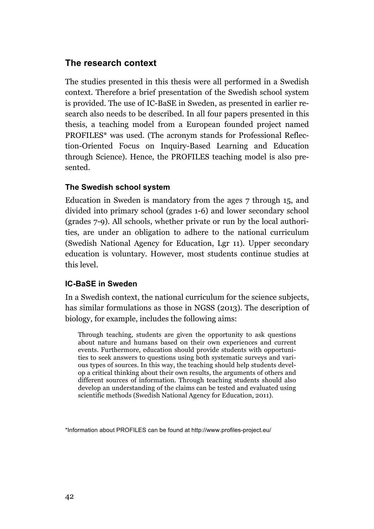# **The research context**

The studies presented in this thesis were all performed in a Swedish context. Therefore a brief presentation of the Swedish school system is provided. The use of IC-BaSE in Sweden, as presented in earlier research also needs to be described. In all four papers presented in this thesis, a teaching model from a European founded project named PROFILES\* was used. (The acronym stands for Professional Reflection-Oriented Focus on Inquiry-Based Learning and Education through Science). Hence, the PROFILES teaching model is also presented.

#### **The Swedish school system**

Education in Sweden is mandatory from the ages 7 through 15, and divided into primary school (grades 1-6) and lower secondary school (grades 7-9). All schools, whether private or run by the local authorities, are under an obligation to adhere to the national curriculum (Swedish National Agency for Education, Lgr 11). Upper secondary education is voluntary. However, most students continue studies at this level.

#### **IC-BaSE in Sweden**

In a Swedish context, the national curriculum for the science subjects, has similar formulations as those in NGSS (2013). The description of biology, for example, includes the following aims:

Through teaching, students are given the opportunity to ask questions about nature and humans based on their own experiences and current events. Furthermore, education should provide students with opportunities to seek answers to questions using both systematic surveys and various types of sources. In this way, the teaching should help students develop a critical thinking about their own results, the arguments of others and different sources of information. Through teaching students should also develop an understanding of the claims can be tested and evaluated using scientific methods (Swedish National Agency for Education, 2011).

\*Information about PROFILES can be found at http://www.profiles-project.eu/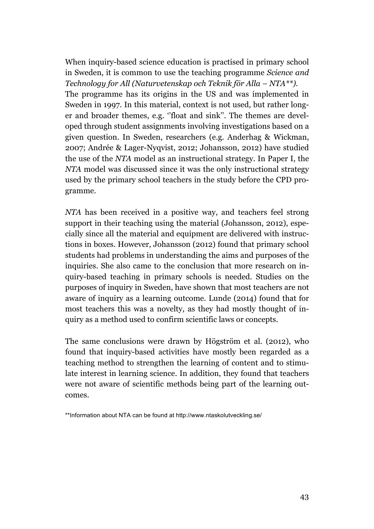When inquiry-based science education is practised in primary school in Sweden, it is common to use the teaching programme *Science and Technology for All (Naturvetenskap och Teknik för Alla – NTA\*\*).* The programme has its origins in the US and was implemented in Sweden in 1997. In this material, context is not used, but rather longer and broader themes, e.g. ''float and sink''. The themes are developed through student assignments involving investigations based on a given question. In Sweden, researchers (e.g. Anderhag & Wickman, 2007; Andrée & Lager-Nyqvist, 2012; Johansson, 2012) have studied the use of the *NTA* model as an instructional strategy. In Paper I, the *NTA* model was discussed since it was the only instructional strategy used by the primary school teachers in the study before the CPD programme.

*NTA* has been received in a positive way, and teachers feel strong support in their teaching using the material (Johansson, 2012), especially since all the material and equipment are delivered with instructions in boxes. However, Johansson (2012) found that primary school students had problems in understanding the aims and purposes of the inquiries. She also came to the conclusion that more research on inquiry-based teaching in primary schools is needed. Studies on the purposes of inquiry in Sweden, have shown that most teachers are not aware of inquiry as a learning outcome. Lunde (2014) found that for most teachers this was a novelty, as they had mostly thought of inquiry as a method used to confirm scientific laws or concepts.

The same conclusions were drawn by Högström et al. (2012), who found that inquiry-based activities have mostly been regarded as a teaching method to strengthen the learning of content and to stimulate interest in learning science. In addition, they found that teachers were not aware of scientific methods being part of the learning outcomes.

<sup>\*\*</sup>Information about NTA can be found at http://www.ntaskolutveckling.se/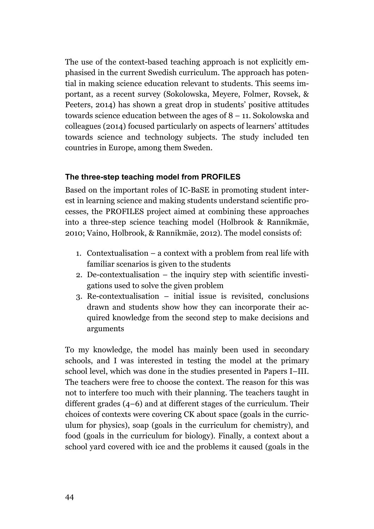The use of the context-based teaching approach is not explicitly emphasised in the current Swedish curriculum. The approach has potential in making science education relevant to students. This seems important, as a recent survey (Sokolowska, Meyere, Folmer, Rovsek, & Peeters, 2014) has shown a great drop in students' positive attitudes towards science education between the ages of 8 – 11. Sokolowska and colleagues (2014) focused particularly on aspects of learners' attitudes towards science and technology subjects. The study included ten countries in Europe, among them Sweden.

#### **The three-step teaching model from PROFILES**

Based on the important roles of IC-BaSE in promoting student interest in learning science and making students understand scientific processes, the PROFILES project aimed at combining these approaches into a three-step science teaching model (Holbrook & Rannikmäe, 2010; Vaino, Holbrook, & Rannikmäe, 2012). The model consists of:

- 1. Contextualisation a context with a problem from real life with familiar scenarios is given to the students
- 2. De-contextualisation the inquiry step with scientific investigations used to solve the given problem
- 3. Re-contextualisation initial issue is revisited, conclusions drawn and students show how they can incorporate their acquired knowledge from the second step to make decisions and arguments

To my knowledge, the model has mainly been used in secondary schools, and I was interested in testing the model at the primary school level, which was done in the studies presented in Papers I–III. The teachers were free to choose the context. The reason for this was not to interfere too much with their planning. The teachers taught in different grades (4–6) and at different stages of the curriculum. Their choices of contexts were covering CK about space (goals in the curriculum for physics), soap (goals in the curriculum for chemistry), and food (goals in the curriculum for biology). Finally, a context about a school yard covered with ice and the problems it caused (goals in the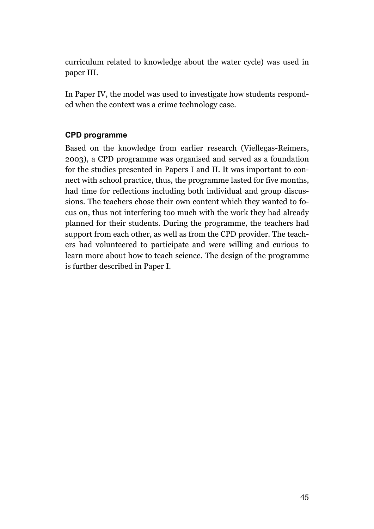curriculum related to knowledge about the water cycle) was used in paper III.

In Paper IV, the model was used to investigate how students responded when the context was a crime technology case.

### **CPD programme**

Based on the knowledge from earlier research (Viellegas-Reimers, 2003), a CPD programme was organised and served as a foundation for the studies presented in Papers I and II. It was important to connect with school practice, thus, the programme lasted for five months, had time for reflections including both individual and group discussions. The teachers chose their own content which they wanted to focus on, thus not interfering too much with the work they had already planned for their students. During the programme, the teachers had support from each other, as well as from the CPD provider. The teachers had volunteered to participate and were willing and curious to learn more about how to teach science. The design of the programme is further described in Paper I.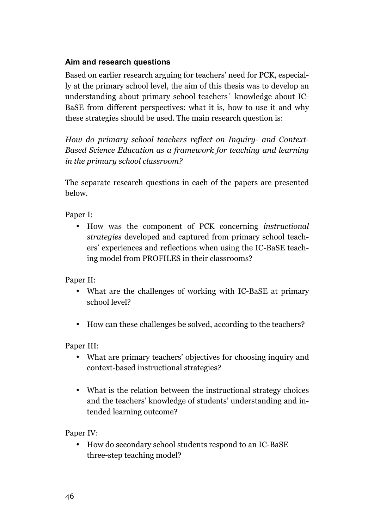# **Aim and research questions**

Based on earlier research arguing for teachers' need for PCK, especially at the primary school level, the aim of this thesis was to develop an understanding about primary school teachers´ knowledge about IC-BaSE from different perspectives: what it is, how to use it and why these strategies should be used. The main research question is:

*How do primary school teachers reflect on Inquiry- and Context-Based Science Education as a framework for teaching and learning in the primary school classroom?*

The separate research questions in each of the papers are presented below.

Paper I:

• How was the component of PCK concerning *instructional strategies* developed and captured from primary school teachers' experiences and reflections when using the IC-BaSE teaching model from PROFILES in their classrooms?

Paper II:

- What are the challenges of working with IC-BaSE at primary school level?
- How can these challenges be solved, according to the teachers?

Paper III:

- What are primary teachers' objectives for choosing inquiry and context-based instructional strategies?
- What is the relation between the instructional strategy choices and the teachers' knowledge of students' understanding and intended learning outcome?

Paper IV:

• How do secondary school students respond to an IC-BaSE three-step teaching model?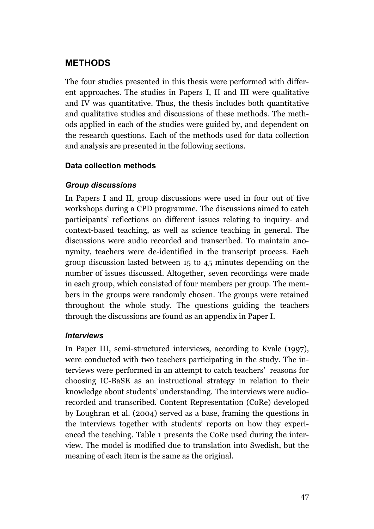# **METHODS**

The four studies presented in this thesis were performed with different approaches. The studies in Papers I, II and III were qualitative and IV was quantitative. Thus, the thesis includes both quantitative and qualitative studies and discussions of these methods. The methods applied in each of the studies were guided by, and dependent on the research questions. Each of the methods used for data collection and analysis are presented in the following sections.

#### **Data collection methods**

### *Group discussions*

In Papers I and II, group discussions were used in four out of five workshops during a CPD programme. The discussions aimed to catch participants' reflections on different issues relating to inquiry- and context-based teaching, as well as science teaching in general. The discussions were audio recorded and transcribed. To maintain anonymity, teachers were de-identified in the transcript process. Each group discussion lasted between 15 to 45 minutes depending on the number of issues discussed. Altogether, seven recordings were made in each group, which consisted of four members per group. The members in the groups were randomly chosen. The groups were retained throughout the whole study. The questions guiding the teachers through the discussions are found as an appendix in Paper I.

#### *Interviews*

In Paper III, semi-structured interviews, according to Kvale (1997), were conducted with two teachers participating in the study. The interviews were performed in an attempt to catch teachers' reasons for choosing IC-BaSE as an instructional strategy in relation to their knowledge about students' understanding. The interviews were audiorecorded and transcribed. Content Representation (CoRe) developed by Loughran et al. (2004) served as a base, framing the questions in the interviews together with students' reports on how they experienced the teaching. Table 1 presents the CoRe used during the interview. The model is modified due to translation into Swedish, but the meaning of each item is the same as the original.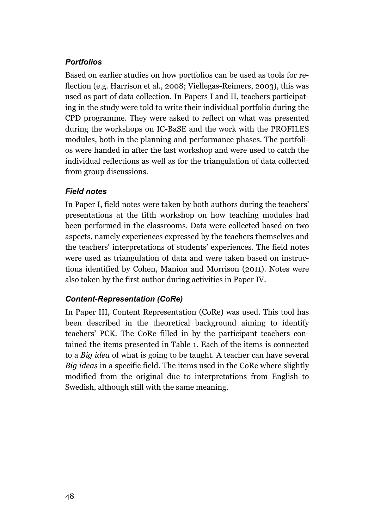## *Portfolios*

Based on earlier studies on how portfolios can be used as tools for reflection (e.g. Harrison et al., 2008; Viellegas-Reimers, 2003), this was used as part of data collection. In Papers I and II, teachers participating in the study were told to write their individual portfolio during the CPD programme. They were asked to reflect on what was presented during the workshops on IC-BaSE and the work with the PROFILES modules, both in the planning and performance phases. The portfolios were handed in after the last workshop and were used to catch the individual reflections as well as for the triangulation of data collected from group discussions.

# *Field notes*

In Paper I, field notes were taken by both authors during the teachers' presentations at the fifth workshop on how teaching modules had been performed in the classrooms. Data were collected based on two aspects, namely experiences expressed by the teachers themselves and the teachers' interpretations of students' experiences. The field notes were used as triangulation of data and were taken based on instructions identified by Cohen, Manion and Morrison (2011). Notes were also taken by the first author during activities in Paper IV.

### *Content-Representation (CoRe)*

In Paper III, Content Representation (CoRe) was used. This tool has been described in the theoretical background aiming to identify teachers' PCK. The CoRe filled in by the participant teachers contained the items presented in Table 1. Each of the items is connected to a *Big idea* of what is going to be taught. A teacher can have several *Big ideas* in a specific field. The items used in the CoRe where slightly modified from the original due to interpretations from English to Swedish, although still with the same meaning.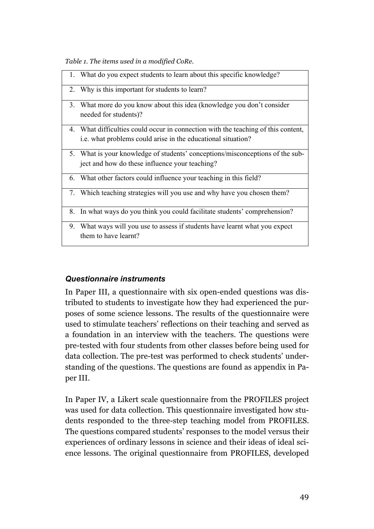*Table 1. The items used in a modified CoRe.* 

|    | 1. What do you expect students to learn about this specific knowledge?                          |
|----|-------------------------------------------------------------------------------------------------|
|    | 2. Why is this important for students to learn?                                                 |
|    | 3. What more do you know about this idea (knowledge you don't consider<br>needed for students)? |
|    | 4. What difficulties could occur in connection with the teaching of this content,               |
|    | i.e. what problems could arise in the educational situation?                                    |
|    | 5. What is your knowledge of students' conceptions/misconceptions of the sub-                   |
|    | ject and how do these influence your teaching?                                                  |
|    | 6. What other factors could influence your teaching in this field?                              |
|    | 7. Which teaching strategies will you use and why have you chosen them?                         |
|    | 8. In what ways do you think you could facilitate students' comprehension?                      |
| 9. | What ways will you use to assess if students have learnt what you expect                        |
|    | them to have learnt?                                                                            |
|    |                                                                                                 |

### *Questionnaire instruments*

In Paper III, a questionnaire with six open-ended questions was distributed to students to investigate how they had experienced the purposes of some science lessons. The results of the questionnaire were used to stimulate teachers' reflections on their teaching and served as a foundation in an interview with the teachers. The questions were pre-tested with four students from other classes before being used for data collection. The pre-test was performed to check students' understanding of the questions. The questions are found as appendix in Paper III.

In Paper IV, a Likert scale questionnaire from the PROFILES project was used for data collection. This questionnaire investigated how students responded to the three-step teaching model from PROFILES. The questions compared students' responses to the model versus their experiences of ordinary lessons in science and their ideas of ideal science lessons. The original questionnaire from PROFILES, developed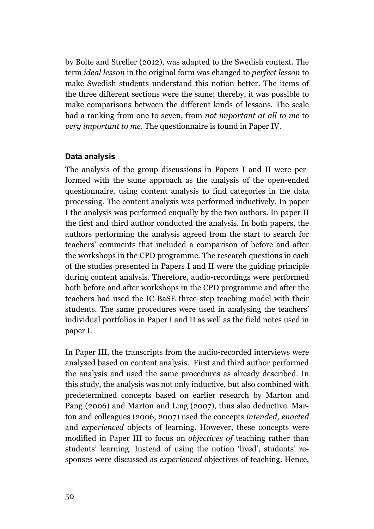by Bolte and Streller (2012), was adapted to the Swedish context. The term *ideal lesson* in the original form was changed to *perfect lesson* to make Swedish students understand this notion better. The items of the three different sections were the same; thereby, it was possible to make comparisons between the different kinds of lessons. The scale had a ranking from one to seven, from *not important at all to me* to *very important to me*. The questionnaire is found in Paper IV.

#### **Data analysis**

The analysis of the group discussions in Papers I and II were performed with the same approach as the analysis of the open-ended questionnaire, using content analysis to find categories in the data processing. The content analysis was performed inductively. In paper I the analysis was performed euqually by the two authors. In paper II the first and third author conducted the analysis. In both papers, the authors performing the analysis agreed from the start to search for teachers' comments that included a comparison of before and after the workshops in the CPD programme. The research questions in each of the studies presented in Papers I and II were the guiding principle during content analysis. Therefore, audio-recordings were performed both before and after workshops in the CPD programme and after the teachers had used the IC-BaSE three-step teaching model with their students. The same procedures were used in analysing the teachers' individual portfolios in Paper I and II as well as the field notes used in paper I.

In Paper III, the transcripts from the audio-recorded interviews were analysed based on content analysis. First and third author performed the analysis and used the same procedures as already described. In this study, the analysis was not only inductive, but also combined with predetermined concepts based on earlier research by Marton and Pang (2006) and Marton and Ling (2007), thus also deductive. Marton and colleagues (2006, 2007) used the concepts *intended, enacted*  and *experienced* objects of learning. However, these concepts were modified in Paper III to focus on *objectives of* teaching rather than students' learning. Instead of using the notion 'lived', students' responses were discussed as *experienced* objectives of teaching. Hence,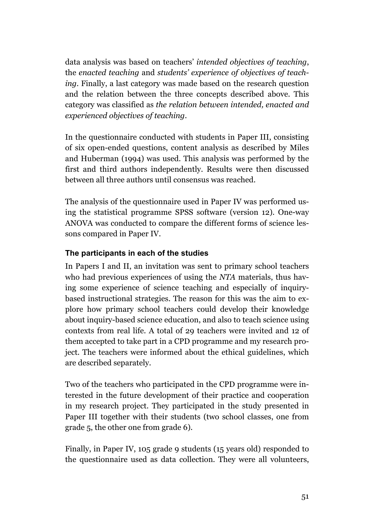data analysis was based on teachers' *intended objectives of teaching*, the *enacted teaching* and *students' experience of objectives of teaching*. Finally, a last category was made based on the research question and the relation between the three concepts described above. This category was classified as *the relation between intended, enacted and experienced objectives of teaching*.

In the questionnaire conducted with students in Paper III, consisting of six open-ended questions, content analysis as described by Miles and Huberman (1994) was used. This analysis was performed by the first and third authors independently. Results were then discussed between all three authors until consensus was reached.

The analysis of the questionnaire used in Paper IV was performed using the statistical programme SPSS software (version 12). One-way ANOVA was conducted to compare the different forms of science lessons compared in Paper IV.

# **The participants in each of the studies**

In Papers I and II, an invitation was sent to primary school teachers who had previous experiences of using the *NTA* materials, thus having some experience of science teaching and especially of inquirybased instructional strategies. The reason for this was the aim to explore how primary school teachers could develop their knowledge about inquiry-based science education, and also to teach science using contexts from real life. A total of 29 teachers were invited and 12 of them accepted to take part in a CPD programme and my research project. The teachers were informed about the ethical guidelines, which are described separately.

Two of the teachers who participated in the CPD programme were interested in the future development of their practice and cooperation in my research project. They participated in the study presented in Paper III together with their students (two school classes, one from grade 5, the other one from grade 6).

Finally, in Paper IV, 105 grade 9 students (15 years old) responded to the questionnaire used as data collection. They were all volunteers,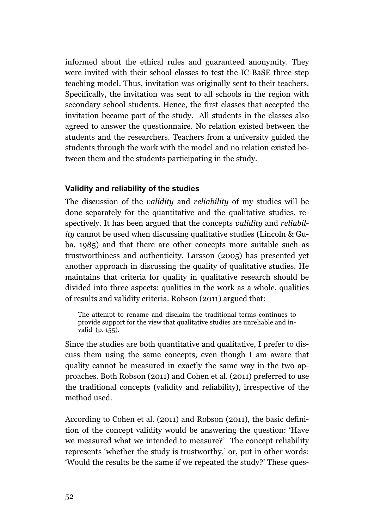informed about the ethical rules and guaranteed anonymity. They were invited with their school classes to test the IC-BaSE three-step teaching model. Thus, invitation was originally sent to their teachers. Specifically, the invitation was sent to all schools in the region with secondary school students. Hence, the first classes that accepted the invitation became part of the study. All students in the classes also agreed to answer the questionnaire. No relation existed between the students and the researchers. Teachers from a university guided the students through the work with the model and no relation existed between them and the students participating in the study.

#### **Validity and reliability of the studies**

The discussion of the *validity* and *reliability* of my studies will be done separately for the quantitative and the qualitative studies, respectively. It has been argued that the concepts *validity* and *reliability* cannot be used when discussing qualitative studies (Lincoln & Guba, 1985) and that there are other concepts more suitable such as trustworthiness and authenticity. Larsson (2005) has presented yet another approach in discussing the quality of qualitative studies. He maintains that criteria for quality in qualitative research should be divided into three aspects: qualities in the work as a whole, qualities of results and validity criteria. Robson (2011) argued that:

The attempt to rename and disclaim the traditional terms continues to provide support for the view that qualitative studies are unreliable and invalid (p. 155).

Since the studies are both quantitative and qualitative, I prefer to discuss them using the same concepts, even though I am aware that quality cannot be measured in exactly the same way in the two approaches. Both Robson (2011) and Cohen et al. (2011) preferred to use the traditional concepts (validity and reliability), irrespective of the method used.

According to Cohen et al. (2011) and Robson (2011), the basic definition of the concept validity would be answering the question: 'Have we measured what we intended to measure?' The concept reliability represents 'whether the study is trustworthy,' or, put in other words: 'Would the results be the same if we repeated the study?' These ques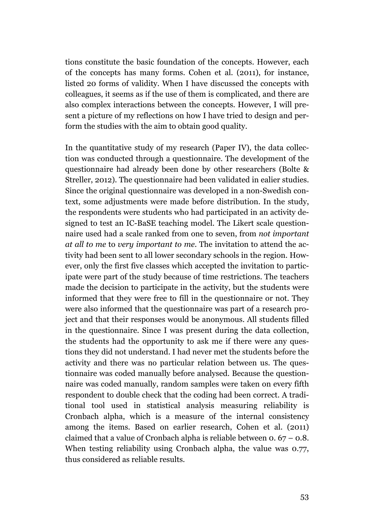tions constitute the basic foundation of the concepts. However, each of the concepts has many forms. Cohen et al. (2011), for instance, listed 20 forms of validity. When I have discussed the concepts with colleagues, it seems as if the use of them is complicated, and there are also complex interactions between the concepts. However, I will present a picture of my reflections on how I have tried to design and perform the studies with the aim to obtain good quality.

In the quantitative study of my research (Paper IV), the data collection was conducted through a questionnaire. The development of the questionnaire had already been done by other researchers (Bolte & Streller, 2012). The questionnaire had been validated in ealier studies. Since the original questionnaire was developed in a non-Swedish context, some adjustments were made before distribution. In the study, the respondents were students who had participated in an activity designed to test an IC-BaSE teaching model. The Likert scale questionnaire used had a scale ranked from one to seven, from *not important at all to me* to *very important to me*. The invitation to attend the activity had been sent to all lower secondary schools in the region. However, only the first five classes which accepted the invitation to participate were part of the study because of time restrictions. The teachers made the decision to participate in the activity, but the students were informed that they were free to fill in the questionnaire or not. They were also informed that the questionnaire was part of a research project and that their responses would be anonymous. All students filled in the questionnaire. Since I was present during the data collection, the students had the opportunity to ask me if there were any questions they did not understand. I had never met the students before the activity and there was no particular relation between us. The questionnaire was coded manually before analysed. Because the questionnaire was coded manually, random samples were taken on every fifth respondent to double check that the coding had been correct. A traditional tool used in statistical analysis measuring reliability is Cronbach alpha, which is a measure of the internal consistency among the items. Based on earlier research, Cohen et al. (2011) claimed that a value of Cronbach alpha is reliable between  $0.67 - 0.8$ . When testing reliability using Cronbach alpha, the value was 0.77, thus considered as reliable results.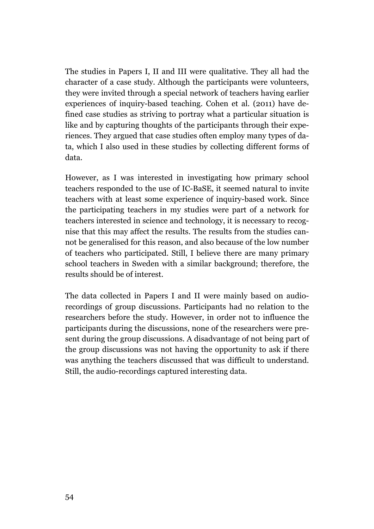The studies in Papers I, II and III were qualitative. They all had the character of a case study. Although the participants were volunteers, they were invited through a special network of teachers having earlier experiences of inquiry-based teaching. Cohen et al. (2011) have defined case studies as striving to portray what a particular situation is like and by capturing thoughts of the participants through their experiences. They argued that case studies often employ many types of data, which I also used in these studies by collecting different forms of data.

However, as I was interested in investigating how primary school teachers responded to the use of IC-BaSE, it seemed natural to invite teachers with at least some experience of inquiry-based work. Since the participating teachers in my studies were part of a network for teachers interested in science and technology, it is necessary to recognise that this may affect the results. The results from the studies cannot be generalised for this reason, and also because of the low number of teachers who participated. Still, I believe there are many primary school teachers in Sweden with a similar background; therefore, the results should be of interest.

The data collected in Papers I and II were mainly based on audiorecordings of group discussions. Participants had no relation to the researchers before the study. However, in order not to influence the participants during the discussions, none of the researchers were present during the group discussions. A disadvantage of not being part of the group discussions was not having the opportunity to ask if there was anything the teachers discussed that was difficult to understand. Still, the audio-recordings captured interesting data.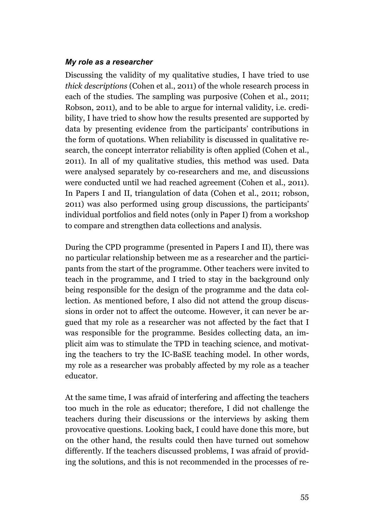#### *My role as a researcher*

Discussing the validity of my qualitative studies, I have tried to use *thick descriptions* (Cohen et al., 2011) of the whole research process in each of the studies. The sampling was purposive (Cohen et al., 2011; Robson, 2011), and to be able to argue for internal validity, i.e. credibility, I have tried to show how the results presented are supported by data by presenting evidence from the participants' contributions in the form of quotations. When reliability is discussed in qualitative research, the concept interrator reliability is often applied (Cohen et al., 2011). In all of my qualitative studies, this method was used. Data were analysed separately by co-researchers and me, and discussions were conducted until we had reached agreement (Cohen et al., 2011). In Papers I and II, triangulation of data (Cohen et al., 2011; robson, 2011) was also performed using group discussions, the participants' individual portfolios and field notes (only in Paper I) from a workshop to compare and strengthen data collections and analysis.

During the CPD programme (presented in Papers I and II), there was no particular relationship between me as a researcher and the participants from the start of the programme. Other teachers were invited to teach in the programme, and I tried to stay in the background only being responsible for the design of the programme and the data collection. As mentioned before, I also did not attend the group discussions in order not to affect the outcome. However, it can never be argued that my role as a researcher was not affected by the fact that I was responsible for the programme. Besides collecting data, an implicit aim was to stimulate the TPD in teaching science, and motivating the teachers to try the IC-BaSE teaching model. In other words, my role as a researcher was probably affected by my role as a teacher educator.

At the same time, I was afraid of interfering and affecting the teachers too much in the role as educator; therefore, I did not challenge the teachers during their discussions or the interviews by asking them provocative questions. Looking back, I could have done this more, but on the other hand, the results could then have turned out somehow differently. If the teachers discussed problems, I was afraid of providing the solutions, and this is not recommended in the processes of re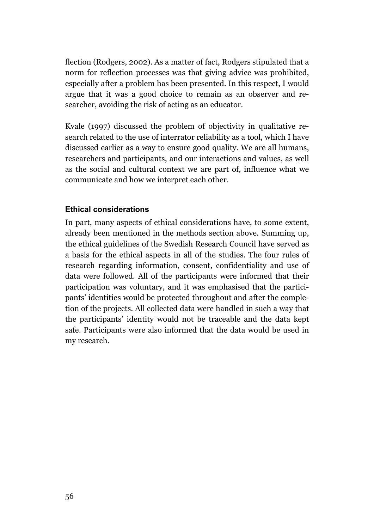flection (Rodgers, 2002). As a matter of fact, Rodgers stipulated that a norm for reflection processes was that giving advice was prohibited, especially after a problem has been presented. In this respect, I would argue that it was a good choice to remain as an observer and researcher, avoiding the risk of acting as an educator.

Kvale (1997) discussed the problem of objectivity in qualitative research related to the use of interrator reliability as a tool, which I have discussed earlier as a way to ensure good quality. We are all humans, researchers and participants, and our interactions and values, as well as the social and cultural context we are part of, influence what we communicate and how we interpret each other.

#### **Ethical considerations**

In part, many aspects of ethical considerations have, to some extent, already been mentioned in the methods section above. Summing up, the ethical guidelines of the Swedish Research Council have served as a basis for the ethical aspects in all of the studies. The four rules of research regarding information, consent, confidentiality and use of data were followed. All of the participants were informed that their participation was voluntary, and it was emphasised that the participants' identities would be protected throughout and after the completion of the projects. All collected data were handled in such a way that the participants' identity would not be traceable and the data kept safe. Participants were also informed that the data would be used in my research.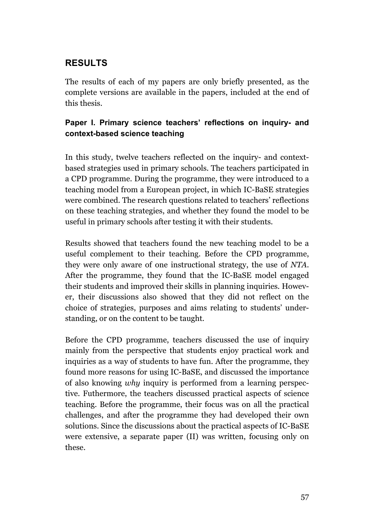# **RESULTS**

The results of each of my papers are only briefly presented, as the complete versions are available in the papers, included at the end of this thesis.

# **Paper I. Primary science teachers' reflections on inquiry- and context-based science teaching**

In this study, twelve teachers reflected on the inquiry- and contextbased strategies used in primary schools. The teachers participated in a CPD programme. During the programme, they were introduced to a teaching model from a European project, in which IC-BaSE strategies were combined. The research questions related to teachers' reflections on these teaching strategies, and whether they found the model to be useful in primary schools after testing it with their students.

Results showed that teachers found the new teaching model to be a useful complement to their teaching. Before the CPD programme, they were only aware of one instructional strategy, the use of *NTA*. After the programme, they found that the IC-BaSE model engaged their students and improved their skills in planning inquiries. However, their discussions also showed that they did not reflect on the choice of strategies, purposes and aims relating to students' understanding, or on the content to be taught.

Before the CPD programme, teachers discussed the use of inquiry mainly from the perspective that students enjoy practical work and inquiries as a way of students to have fun. After the programme, they found more reasons for using IC-BaSE, and discussed the importance of also knowing *why* inquiry is performed from a learning perspective. Futhermore, the teachers discussed practical aspects of science teaching. Before the programme, their focus was on all the practical challenges, and after the programme they had developed their own solutions. Since the discussions about the practical aspects of IC-BaSE were extensive, a separate paper (II) was written, focusing only on these.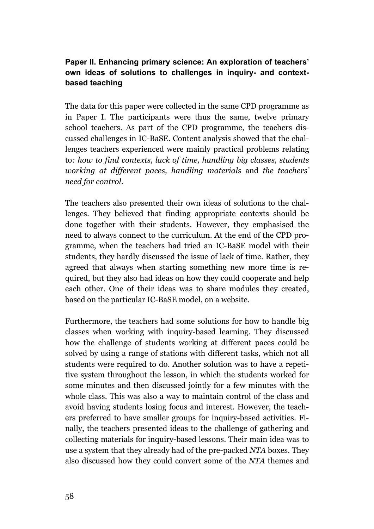# **Paper II. Enhancing primary science: An exploration of teachers' own ideas of solutions to challenges in inquiry- and contextbased teaching**

The data for this paper were collected in the same CPD programme as in Paper I. The participants were thus the same, twelve primary school teachers. As part of the CPD programme, the teachers discussed challenges in IC-BaSE. Content analysis showed that the challenges teachers experienced were mainly practical problems relating to*: how to find contexts, lack of time, handling big classes, students working at different paces, handling materials* and *the teachers' need for control.* 

The teachers also presented their own ideas of solutions to the challenges. They believed that finding appropriate contexts should be done together with their students. However, they emphasised the need to always connect to the curriculum. At the end of the CPD programme, when the teachers had tried an IC-BaSE model with their students, they hardly discussed the issue of lack of time. Rather, they agreed that always when starting something new more time is required, but they also had ideas on how they could cooperate and help each other. One of their ideas was to share modules they created, based on the particular IC-BaSE model, on a website.

Furthermore, the teachers had some solutions for how to handle big classes when working with inquiry-based learning. They discussed how the challenge of students working at different paces could be solved by using a range of stations with different tasks, which not all students were required to do. Another solution was to have a repetitive system throughout the lesson, in which the students worked for some minutes and then discussed jointly for a few minutes with the whole class. This was also a way to maintain control of the class and avoid having students losing focus and interest. However, the teachers preferred to have smaller groups for inquiry-based activities. Finally, the teachers presented ideas to the challenge of gathering and collecting materials for inquiry-based lessons. Their main idea was to use a system that they already had of the pre-packed *NTA* boxes. They also discussed how they could convert some of the *NTA* themes and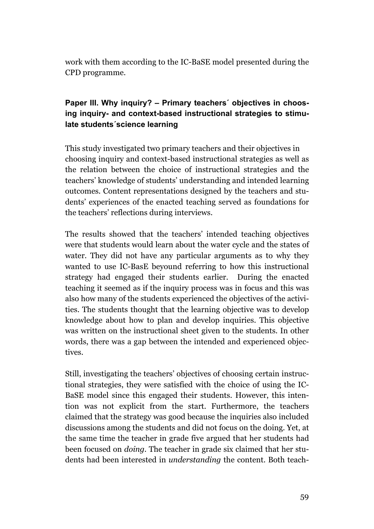work with them according to the IC-BaSE model presented during the CPD programme.

# **Paper III. Why inquiry? – Primary teachers´ objectives in choosing inquiry- and context-based instructional strategies to stimulate students´science learning**

This study investigated two primary teachers and their objectives in choosing inquiry and context-based instructional strategies as well as the relation between the choice of instructional strategies and the teachers' knowledge of students' understanding and intended learning outcomes. Content representations designed by the teachers and students' experiences of the enacted teaching served as foundations for the teachers' reflections during interviews.

The results showed that the teachers' intended teaching objectives were that students would learn about the water cycle and the states of water. They did not have any particular arguments as to why they wanted to use IC-BasE beyound referring to how this instructional strategy had engaged their students earlier. During the enacted teaching it seemed as if the inquiry process was in focus and this was also how many of the students experienced the objectives of the activities. The students thought that the learning objective was to develop knowledge about how to plan and develop inquiries. This objective was written on the instructional sheet given to the students. In other words, there was a gap between the intended and experienced objectives.

Still, investigating the teachers' objectives of choosing certain instructional strategies, they were satisfied with the choice of using the IC-BaSE model since this engaged their students. However, this intention was not explicit from the start. Furthermore, the teachers claimed that the strategy was good because the inquiries also included discussions among the students and did not focus on the doing. Yet, at the same time the teacher in grade five argued that her students had been focused on *doing.* The teacher in grade six claimed that her students had been interested in *understanding* the content. Both teach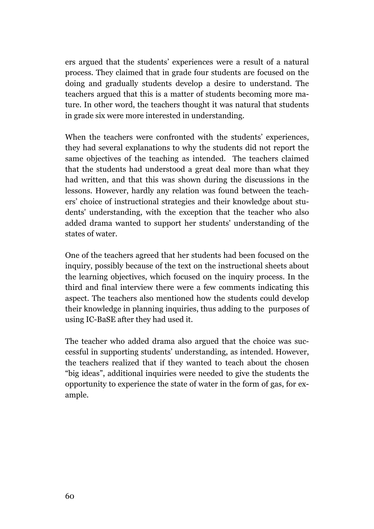ers argued that the students' experiences were a result of a natural process. They claimed that in grade four students are focused on the doing and gradually students develop a desire to understand. The teachers argued that this is a matter of students becoming more mature. In other word, the teachers thought it was natural that students in grade six were more interested in understanding.

When the teachers were confronted with the students' experiences, they had several explanations to why the students did not report the same objectives of the teaching as intended. The teachers claimed that the students had understood a great deal more than what they had written, and that this was shown during the discussions in the lessons. However, hardly any relation was found between the teachers' choice of instructional strategies and their knowledge about students' understanding, with the exception that the teacher who also added drama wanted to support her students' understanding of the states of water.

One of the teachers agreed that her students had been focused on the inquiry, possibly because of the text on the instructional sheets about the learning objectives, which focused on the inquiry process. In the third and final interview there were a few comments indicating this aspect. The teachers also mentioned how the students could develop their knowledge in planning inquiries, thus adding to the purposes of using IC-BaSE after they had used it.

The teacher who added drama also argued that the choice was successful in supporting students' understanding, as intended. However, the teachers realized that if they wanted to teach about the chosen "big ideas", additional inquiries were needed to give the students the opportunity to experience the state of water in the form of gas, for example.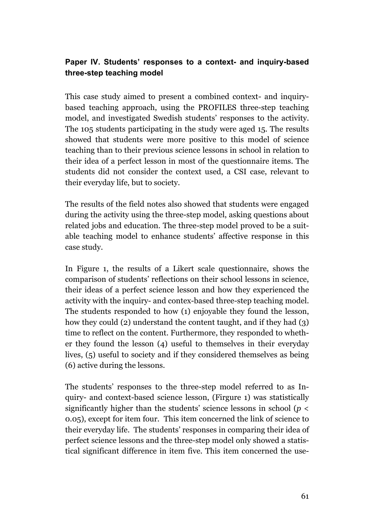# **Paper IV. Students' responses to a context- and inquiry-based three-step teaching model**

This case study aimed to present a combined context- and inquirybased teaching approach, using the PROFILES three-step teaching model, and investigated Swedish students' responses to the activity. The 105 students participating in the study were aged 15. The results showed that students were more positive to this model of science teaching than to their previous science lessons in school in relation to their idea of a perfect lesson in most of the questionnaire items. The students did not consider the context used, a CSI case, relevant to their everyday life, but to society.

The results of the field notes also showed that students were engaged during the activity using the three-step model, asking questions about related jobs and education. The three-step model proved to be a suitable teaching model to enhance students' affective response in this case study.

In Figure 1, the results of a Likert scale questionnaire, shows the comparison of students' reflections on their school lessons in science, their ideas of a perfect science lesson and how they experienced the activity with the inquiry- and contex-based three-step teaching model. The students responded to how (1) enjoyable they found the lesson, how they could (2) understand the content taught, and if they had (3) time to reflect on the content. Furthermore, they responded to whether they found the lesson (4) useful to themselves in their everyday lives, (5) useful to society and if they considered themselves as being (6) active during the lessons.

The students' responses to the three-step model referred to as Inquiry- and context-based science lesson, (Firgure 1) was statistically significantly higher than the students' science lessons in school ( $p <$ 0.05), except for item four. This item concerned the link of science to their everyday life. The students' responses in comparing their idea of perfect science lessons and the three-step model only showed a statistical significant difference in item five. This item concerned the use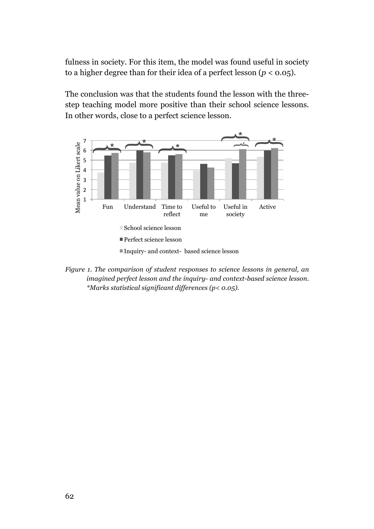fulness in society. For this item, the model was found useful in society to a higher degree than for their idea of a perfect lesson  $(p < 0.05)$ .

The conclusion was that the students found the lesson with the threestep teaching model more positive than their school science lessons. In other words, close to a perfect science lesson.



*Figure 1. The comparison of student responses to science lessons in general, an imagined perfect lesson and the inquiry- and context-based science lesson. \*Marks statistical significant differences (p< 0.05).*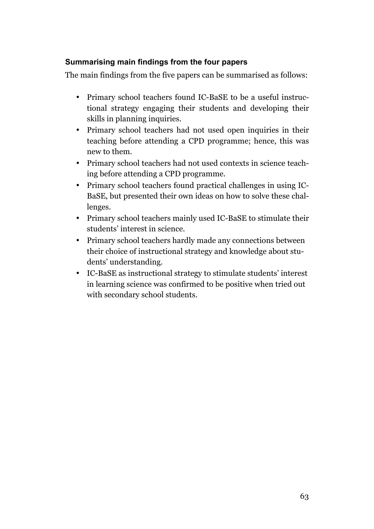# **Summarising main findings from the four papers**

The main findings from the five papers can be summarised as follows:

- Primary school teachers found IC-BaSE to be a useful instructional strategy engaging their students and developing their skills in planning inquiries.
- Primary school teachers had not used open inquiries in their teaching before attending a CPD programme; hence, this was new to them.
- Primary school teachers had not used contexts in science teaching before attending a CPD programme.
- Primary school teachers found practical challenges in using IC-BaSE, but presented their own ideas on how to solve these challenges.
- Primary school teachers mainly used IC-BaSE to stimulate their students' interest in science.
- Primary school teachers hardly made any connections between their choice of instructional strategy and knowledge about students' understanding.
- IC-BaSE as instructional strategy to stimulate students' interest in learning science was confirmed to be positive when tried out with secondary school students.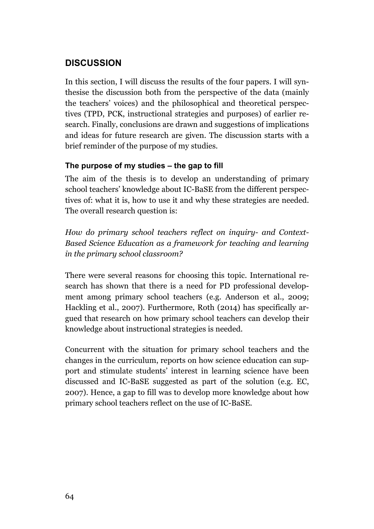# **DISCUSSION**

In this section, I will discuss the results of the four papers. I will synthesise the discussion both from the perspective of the data (mainly the teachers' voices) and the philosophical and theoretical perspectives (TPD, PCK, instructional strategies and purposes) of earlier research. Finally, conclusions are drawn and suggestions of implications and ideas for future research are given. The discussion starts with a brief reminder of the purpose of my studies.

### **The purpose of my studies – the gap to fill**

The aim of the thesis is to develop an understanding of primary school teachers' knowledge about IC-BaSE from the different perspectives of: what it is, how to use it and why these strategies are needed. The overall research question is:

*How do primary school teachers reflect on inquiry- and Context-Based Science Education as a framework for teaching and learning in the primary school classroom?*

There were several reasons for choosing this topic. International research has shown that there is a need for PD professional development among primary school teachers (e.g. Anderson et al., 2009; Hackling et al., 2007). Furthermore, Roth (2014) has specifically argued that research on how primary school teachers can develop their knowledge about instructional strategies is needed.

Concurrent with the situation for primary school teachers and the changes in the curriculum, reports on how science education can support and stimulate students' interest in learning science have been discussed and IC-BaSE suggested as part of the solution (e.g. EC, 2007). Hence, a gap to fill was to develop more knowledge about how primary school teachers reflect on the use of IC-BaSE.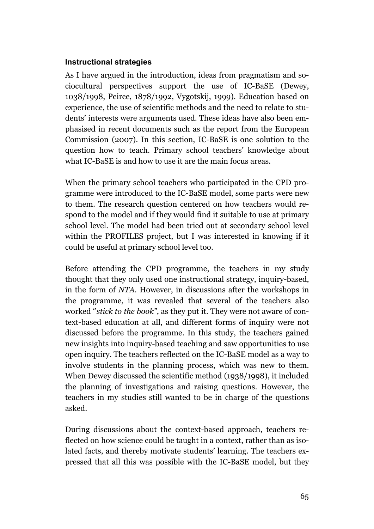### **Instructional strategies**

As I have argued in the introduction, ideas from pragmatism and sociocultural perspectives support the use of IC-BaSE (Dewey, 1038/1998, Peirce, 1878/1992, Vygotskij, 1999). Education based on experience, the use of scientific methods and the need to relate to students' interests were arguments used. These ideas have also been emphasised in recent documents such as the report from the European Commission (2007). In this section, IC-BaSE is one solution to the question how to teach. Primary school teachers' knowledge about what IC-BaSE is and how to use it are the main focus areas.

When the primary school teachers who participated in the CPD programme were introduced to the IC-BaSE model, some parts were new to them. The research question centered on how teachers would respond to the model and if they would find it suitable to use at primary school level. The model had been tried out at secondary school level within the PROFILES project, but I was interested in knowing if it could be useful at primary school level too.

Before attending the CPD programme, the teachers in my study thought that they only used one instructional strategy, inquiry-based, in the form of *NTA*. However, in discussions after the workshops in the programme, it was revealed that several of the teachers also worked ''*stick to the book''*, as they put it. They were not aware of context-based education at all, and different forms of inquiry were not discussed before the programme. In this study, the teachers gained new insights into inquiry-based teaching and saw opportunities to use open inquiry. The teachers reflected on the IC-BaSE model as a way to involve students in the planning process, which was new to them. When Dewey discussed the scientific method (1938/1998), it included the planning of investigations and raising questions. However, the teachers in my studies still wanted to be in charge of the questions asked.

During discussions about the context-based approach, teachers reflected on how science could be taught in a context, rather than as isolated facts, and thereby motivate students' learning. The teachers expressed that all this was possible with the IC-BaSE model, but they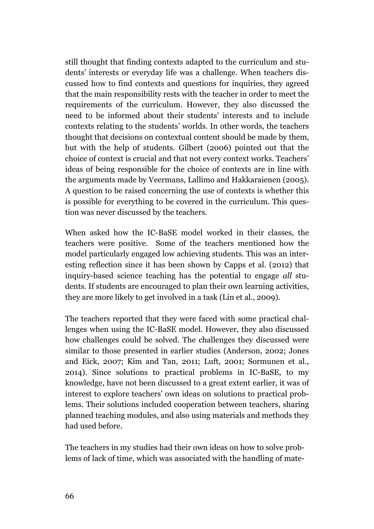still thought that finding contexts adapted to the curriculum and students' interests or everyday life was a challenge. When teachers discussed how to find contexts and questions for inquiries, they agreed that the main responsibility rests with the teacher in order to meet the requirements of the curriculum. However, they also discussed the need to be informed about their students' interests and to include contexts relating to the students' worlds. In other words, the teachers thought that decisions on contextual content should be made by them, but with the help of students. Gilbert (2006) pointed out that the choice of context is crucial and that not every context works. Teachers' ideas of being responsible for the choice of contexts are in line with the arguments made by Veermans, Lallimo and Hakkaraienen (2005). A question to be raised concerning the use of contexts is whether this is possible for everything to be covered in the curriculum. This question was never discussed by the teachers.

When asked how the IC-BaSE model worked in their classes, the teachers were positive. Some of the teachers mentioned how the model particularly engaged low achieving students. This was an interesting reflection since it has been shown by Capps et al. (2012) that inquiry-based science teaching has the potential to engage *all* students. If students are encouraged to plan their own learning activities, they are more likely to get involved in a task (Lin et al., 2009).

The teachers reported that they were faced with some practical challenges when using the IC-BaSE model. However, they also discussed how challenges could be solved. The challenges they discussed were similar to those presented in earlier studies (Anderson, 2002; Jones and Eick, 2007; Kim and Tan, 2011; Luft, 2001; Sormunen et al., 2014). Since solutions to practical problems in IC-BaSE, to my knowledge, have not been discussed to a great extent earlier, it was of interest to explore teachers' own ideas on solutions to practical problems. Their solutions included cooperation between teachers, sharing planned teaching modules, and also using materials and methods they had used before.

The teachers in my studies had their own ideas on how to solve problems of lack of time, which was associated with the handling of mate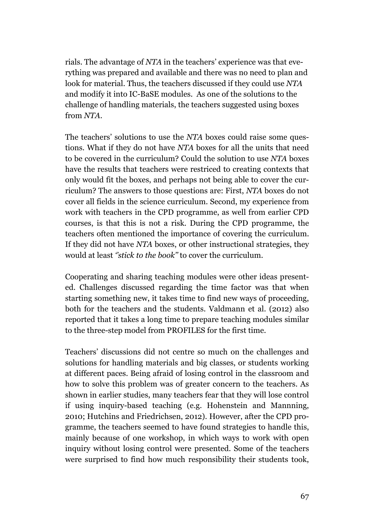rials. The advantage of *NTA* in the teachers' experience was that everything was prepared and available and there was no need to plan and look for material. Thus, the teachers discussed if they could use *NTA* and modify it into IC-BaSE modules. As one of the solutions to the challenge of handling materials, the teachers suggested using boxes from *NTA*.

The teachers' solutions to use the *NTA* boxes could raise some questions. What if they do not have *NTA* boxes for all the units that need to be covered in the curriculum? Could the solution to use *NTA* boxes have the results that teachers were restriced to creating contexts that only would fit the boxes, and perhaps not being able to cover the curriculum? The answers to those questions are: First, *NTA* boxes do not cover all fields in the science curriculum. Second, my experience from work with teachers in the CPD programme, as well from earlier CPD courses, is that this is not a risk. During the CPD programme, the teachers often mentioned the importance of covering the curriculum. If they did not have *NTA* boxes, or other instructional strategies, they would at least *''stick to the book''* to cover the curriculum.

Cooperating and sharing teaching modules were other ideas presented. Challenges discussed regarding the time factor was that when starting something new, it takes time to find new ways of proceeding, both for the teachers and the students. Valdmann et al. (2012) also reported that it takes a long time to prepare teaching modules similar to the three-step model from PROFILES for the first time.

Teachers' discussions did not centre so much on the challenges and solutions for handling materials and big classes, or students working at different paces. Being afraid of losing control in the classroom and how to solve this problem was of greater concern to the teachers. As shown in earlier studies, many teachers fear that they will lose control if using inquiry-based teaching (e.g. Hohenstein and Mannning, 2010; Hutchins and Friedrichsen, 2012). However, after the CPD programme, the teachers seemed to have found strategies to handle this, mainly because of one workshop, in which ways to work with open inquiry without losing control were presented. Some of the teachers were surprised to find how much responsibility their students took,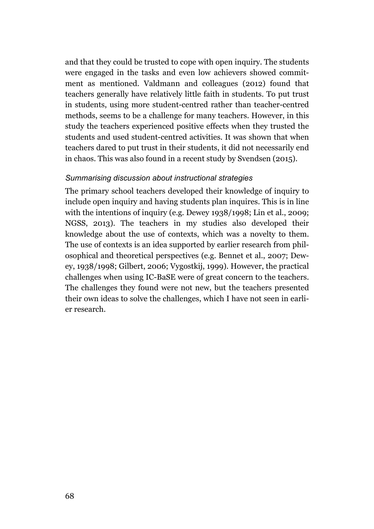and that they could be trusted to cope with open inquiry. The students were engaged in the tasks and even low achievers showed commitment as mentioned. Valdmann and colleagues (2012) found that teachers generally have relatively little faith in students. To put trust in students, using more student-centred rather than teacher-centred methods, seems to be a challenge for many teachers. However, in this study the teachers experienced positive effects when they trusted the students and used student-centred activities. It was shown that when teachers dared to put trust in their students, it did not necessarily end in chaos. This was also found in a recent study by Svendsen (2015).

#### *Summarising discussion about instructional strategies*

The primary school teachers developed their knowledge of inquiry to include open inquiry and having students plan inquires. This is in line with the intentions of inquiry (e.g. Dewey 1938/1998; Lin et al., 2009; NGSS, 2013). The teachers in my studies also developed their knowledge about the use of contexts, which was a novelty to them. The use of contexts is an idea supported by earlier research from philosophical and theoretical perspectives (e.g. Bennet et al., 2007; Dewey, 1938/1998; Gilbert, 2006; Vygostkij, 1999). However, the practical challenges when using IC-BaSE were of great concern to the teachers. The challenges they found were not new, but the teachers presented their own ideas to solve the challenges, which I have not seen in earlier research.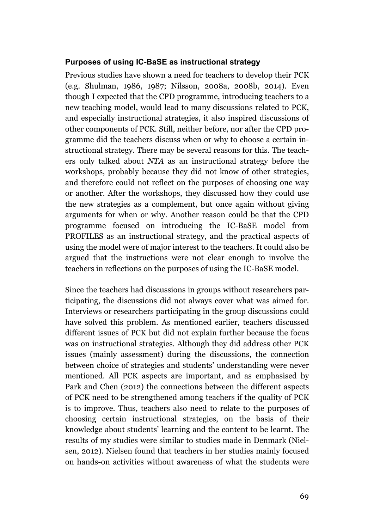#### **Purposes of using IC-BaSE as instructional strategy**

Previous studies have shown a need for teachers to develop their PCK (e.g. Shulman, 1986, 1987; Nilsson, 2008a, 2008b, 2014). Even though I expected that the CPD programme, introducing teachers to a new teaching model, would lead to many discussions related to PCK, and especially instructional strategies, it also inspired discussions of other components of PCK. Still, neither before, nor after the CPD programme did the teachers discuss when or why to choose a certain instructional strategy. There may be several reasons for this. The teachers only talked about *NTA* as an instructional strategy before the workshops, probably because they did not know of other strategies, and therefore could not reflect on the purposes of choosing one way or another. After the workshops, they discussed how they could use the new strategies as a complement, but once again without giving arguments for when or why. Another reason could be that the CPD programme focused on introducing the IC-BaSE model from PROFILES as an instructional strategy, and the practical aspects of using the model were of major interest to the teachers. It could also be argued that the instructions were not clear enough to involve the teachers in reflections on the purposes of using the IC-BaSE model.

Since the teachers had discussions in groups without researchers participating, the discussions did not always cover what was aimed for. Interviews or researchers participating in the group discussions could have solved this problem. As mentioned earlier, teachers discussed different issues of PCK but did not explain further because the focus was on instructional strategies. Although they did address other PCK issues (mainly assessment) during the discussions, the connection between choice of strategies and students' understanding were never mentioned. All PCK aspects are important, and as emphasised by Park and Chen (2012) the connections between the different aspects of PCK need to be strengthened among teachers if the quality of PCK is to improve. Thus, teachers also need to relate to the purposes of choosing certain instructional strategies, on the basis of their knowledge about students' learning and the content to be learnt. The results of my studies were similar to studies made in Denmark (Nielsen, 2012). Nielsen found that teachers in her studies mainly focused on hands-on activities without awareness of what the students were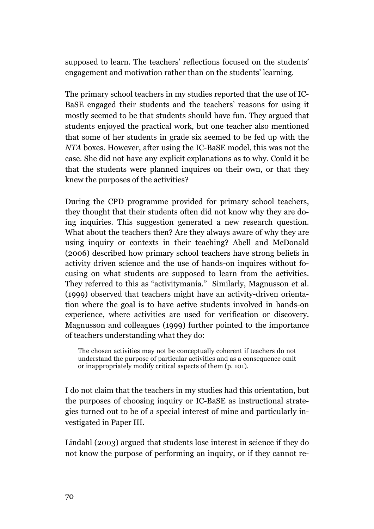supposed to learn. The teachers' reflections focused on the students' engagement and motivation rather than on the students' learning.

The primary school teachers in my studies reported that the use of IC-BaSE engaged their students and the teachers' reasons for using it mostly seemed to be that students should have fun. They argued that students enjoyed the practical work, but one teacher also mentioned that some of her students in grade six seemed to be fed up with the *NTA* boxes. However, after using the IC-BaSE model, this was not the case. She did not have any explicit explanations as to why. Could it be that the students were planned inquires on their own, or that they knew the purposes of the activities?

During the CPD programme provided for primary school teachers, they thought that their students often did not know why they are doing inquiries. This suggestion generated a new research question. What about the teachers then? Are they always aware of why they are using inquiry or contexts in their teaching? Abell and McDonald (2006) described how primary school teachers have strong beliefs in activity driven science and the use of hands-on inquires without focusing on what students are supposed to learn from the activities. They referred to this as "activitymania." Similarly, Magnusson et al. (1999) observed that teachers might have an activity-driven orientation where the goal is to have active students involved in hands-on experience, where activities are used for verification or discovery. Magnusson and colleagues (1999) further pointed to the importance of teachers understanding what they do:

The chosen activities may not be conceptually coherent if teachers do not understand the purpose of particular activities and as a consequence omit or inappropriately modify critical aspects of them (p. 101).

I do not claim that the teachers in my studies had this orientation, but the purposes of choosing inquiry or IC-BaSE as instructional strategies turned out to be of a special interest of mine and particularly investigated in Paper III.

Lindahl (2003) argued that students lose interest in science if they do not know the purpose of performing an inquiry, or if they cannot re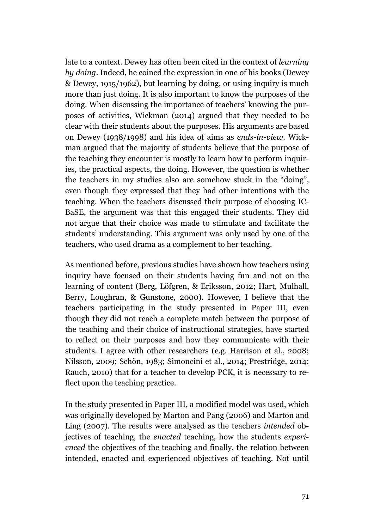late to a context. Dewey has often been cited in the context of *learning by doing*. Indeed, he coined the expression in one of his books (Dewey & Dewey, 1915/1962), but learning by doing, or using inquiry is much more than just doing. It is also important to know the purposes of the doing. When discussing the importance of teachers' knowing the purposes of activities, Wickman (2014) argued that they needed to be clear with their students about the purposes. His arguments are based on Dewey (1938/1998) and his idea of aims as *ends-in-view*. Wickman argued that the majority of students believe that the purpose of the teaching they encounter is mostly to learn how to perform inquiries, the practical aspects, the doing. However, the question is whether the teachers in my studies also are somehow stuck in the "doing", even though they expressed that they had other intentions with the teaching. When the teachers discussed their purpose of choosing IC-BaSE, the argument was that this engaged their students. They did not argue that their choice was made to stimulate and facilitate the students' understanding. This argument was only used by one of the teachers, who used drama as a complement to her teaching.

As mentioned before, previous studies have shown how teachers using inquiry have focused on their students having fun and not on the learning of content (Berg, Löfgren, & Eriksson, 2012; Hart, Mulhall, Berry, Loughran, & Gunstone, 2000). However, I believe that the teachers participating in the study presented in Paper III, even though they did not reach a complete match between the purpose of the teaching and their choice of instructional strategies, have started to reflect on their purposes and how they communicate with their students. I agree with other researchers (e.g. Harrison et al., 2008; Nilsson, 2009; Schön, 1983; Simoncini et al., 2014; Prestridge, 2014; Rauch, 2010) that for a teacher to develop PCK, it is necessary to reflect upon the teaching practice.

In the study presented in Paper III, a modified model was used, which was originally developed by Marton and Pang (2006) and Marton and Ling (2007). The results were analysed as the teachers *intended* objectives of teaching, the *enacted* teaching, how the students *experienced* the objectives of the teaching and finally, the relation between intended, enacted and experienced objectives of teaching. Not until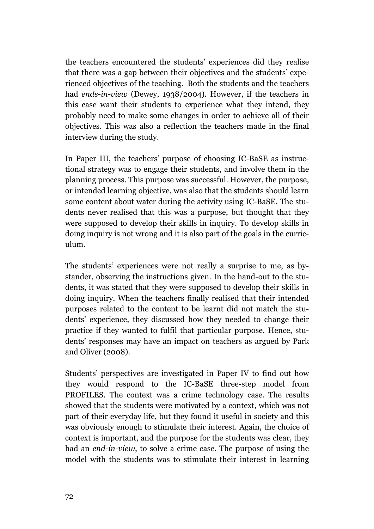the teachers encountered the students' experiences did they realise that there was a gap between their objectives and the students' experienced objectives of the teaching. Both the students and the teachers had *ends-in-view* (Dewey, 1938/2004). However, if the teachers in this case want their students to experience what they intend, they probably need to make some changes in order to achieve all of their objectives. This was also a reflection the teachers made in the final interview during the study.

In Paper III, the teachers' purpose of choosing IC-BaSE as instructional strategy was to engage their students, and involve them in the planning process. This purpose was successful. However, the purpose, or intended learning objective, was also that the students should learn some content about water during the activity using IC-BaSE. The students never realised that this was a purpose, but thought that they were supposed to develop their skills in inquiry. To develop skills in doing inquiry is not wrong and it is also part of the goals in the curriculum.

The students' experiences were not really a surprise to me, as bystander, observing the instructions given. In the hand-out to the students, it was stated that they were supposed to develop their skills in doing inquiry. When the teachers finally realised that their intended purposes related to the content to be learnt did not match the students' experience, they discussed how they needed to change their practice if they wanted to fulfil that particular purpose. Hence, students' responses may have an impact on teachers as argued by Park and Oliver (2008).

Students' perspectives are investigated in Paper IV to find out how they would respond to the IC-BaSE three-step model from PROFILES. The context was a crime technology case. The results showed that the students were motivated by a context, which was not part of their everyday life, but they found it useful in society and this was obviously enough to stimulate their interest. Again, the choice of context is important, and the purpose for the students was clear, they had an *end-in-view*, to solve a crime case. The purpose of using the model with the students was to stimulate their interest in learning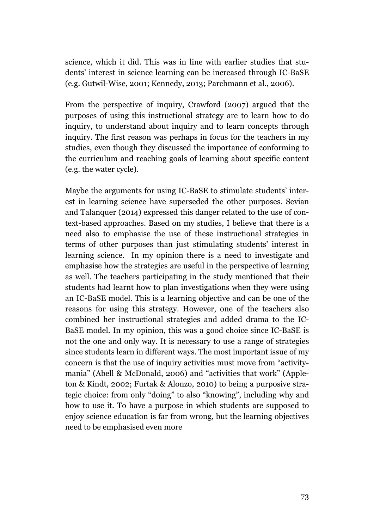science, which it did. This was in line with earlier studies that students' interest in science learning can be increased through IC-BaSE (e.g. Gutwil-Wise, 2001; Kennedy, 2013; Parchmann et al., 2006).

From the perspective of inquiry, Crawford (2007) argued that the purposes of using this instructional strategy are to learn how to do inquiry, to understand about inquiry and to learn concepts through inquiry. The first reason was perhaps in focus for the teachers in my studies, even though they discussed the importance of conforming to the curriculum and reaching goals of learning about specific content (e.g. the water cycle).

Maybe the arguments for using IC-BaSE to stimulate students' interest in learning science have superseded the other purposes. Sevian and Talanquer (2014) expressed this danger related to the use of context-based approaches. Based on my studies, I believe that there is a need also to emphasise the use of these instructional strategies in terms of other purposes than just stimulating students' interest in learning science. In my opinion there is a need to investigate and emphasise how the strategies are useful in the perspective of learning as well. The teachers participating in the study mentioned that their students had learnt how to plan investigations when they were using an IC-BaSE model. This is a learning objective and can be one of the reasons for using this strategy. However, one of the teachers also combined her instructional strategies and added drama to the IC-BaSE model. In my opinion, this was a good choice since IC-BaSE is not the one and only way. It is necessary to use a range of strategies since students learn in different ways. The most important issue of my concern is that the use of inquiry activities must move from "activitymania" (Abell & McDonald, 2006) and "activities that work" (Appleton & Kindt, 2002; Furtak & Alonzo, 2010) to being a purposive strategic choice: from only "doing" to also "knowing", including why and how to use it. To have a purpose in which students are supposed to enjoy science education is far from wrong, but the learning objectives need to be emphasised even more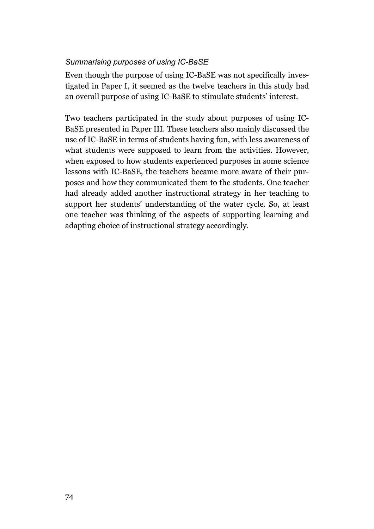## *Summarising purposes of using IC-BaSE*

Even though the purpose of using IC-BaSE was not specifically investigated in Paper I, it seemed as the twelve teachers in this study had an overall purpose of using IC-BaSE to stimulate students' interest.

Two teachers participated in the study about purposes of using IC-BaSE presented in Paper III. These teachers also mainly discussed the use of IC-BaSE in terms of students having fun, with less awareness of what students were supposed to learn from the activities. However, when exposed to how students experienced purposes in some science lessons with IC-BaSE, the teachers became more aware of their purposes and how they communicated them to the students. One teacher had already added another instructional strategy in her teaching to support her students' understanding of the water cycle. So, at least one teacher was thinking of the aspects of supporting learning and adapting choice of instructional strategy accordingly.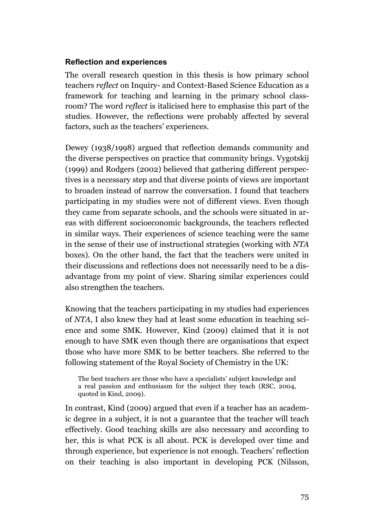### **Reflection and experiences**

The overall research question in this thesis is how primary school teachers *reflect* on Inquiry- and Context-Based Science Education as a framework for teaching and learning in the primary school classroom? The word *reflect* is italicised here to emphasise this part of the studies. However, the reflections were probably affected by several factors, such as the teachers' experiences.

Dewey (1938/1998) argued that reflection demands community and the diverse perspectives on practice that community brings. Vygotskij (1999) and Rodgers (2002) believed that gathering different perspectives is a necessary step and that diverse points of views are important to broaden instead of narrow the conversation. I found that teachers participating in my studies were not of different views. Even though they came from separate schools, and the schools were situated in areas with different socioeconomic backgrounds, the teachers reflected in similar ways. Their experiences of science teaching were the same in the sense of their use of instructional strategies (working with *NTA* boxes). On the other hand, the fact that the teachers were united in their discussions and reflections does not necessarily need to be a disadvantage from my point of view. Sharing similar experiences could also strengthen the teachers.

Knowing that the teachers participating in my studies had experiences of *NTA*, I also knew they had at least some education in teaching science and some SMK. However, Kind (2009) claimed that it is not enough to have SMK even though there are organisations that expect those who have more SMK to be better teachers. She referred to the following statement of the Royal Society of Chemistry in the UK:

The best teachers are those who have a specialists' subject knowledge and a real passion and enthusiasm for the subject they teach (RSC, 2004, quoted in Kind, 2009).

In contrast, Kind (2009) argued that even if a teacher has an academic degree in a subject, it is not a guarantee that the teacher will teach effectively. Good teaching skills are also necessary and according to her, this is what PCK is all about. PCK is developed over time and through experience, but experience is not enough. Teachers' reflection on their teaching is also important in developing PCK (Nilsson,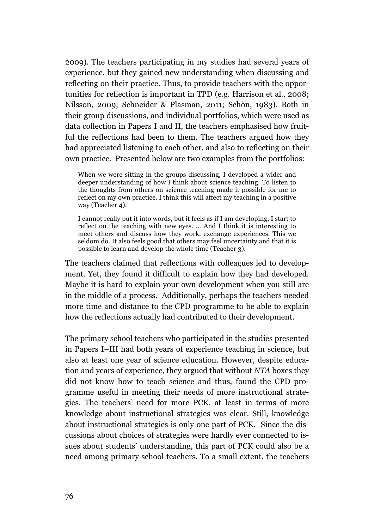2009). The teachers participating in my studies had several years of experience, but they gained new understanding when discussing and reflecting on their practice. Thus, to provide teachers with the opportunities for reflection is important in TPD (e.g. Harrison et al., 2008; Nilsson, 2009; Schneider & Plasman, 2011; Schön, 1983). Both in their group discussions, and individual portfolios, which were used as data collection in Papers I and II, the teachers emphasised how fruitful the reflections had been to them. The teachers argued how they had appreciated listening to each other, and also to reflecting on their own practice. Presented below are two examples from the portfolios:

When we were sitting in the groups discussing, I developed a wider and deeper understanding of how I think about science teaching. To listen to the thoughts from others on science teaching made it possible for me to reflect on my own practice. I think this will affect my teaching in a positive way (Teacher 4).

I cannot really put it into words, but it feels as if I am developing, I start to reflect on the teaching with new eyes. … And I think it is interesting to meet others and discuss how they work, exchange experiences. This we seldom do. It also feels good that others may feel uncertainty and that it is possible to learn and develop the whole time (Teacher 3).

The teachers claimed that reflections with colleagues led to development. Yet, they found it difficult to explain how they had developed. Maybe it is hard to explain your own development when you still are in the middle of a process. Additionally, perhaps the teachers needed more time and distance to the CPD programme to be able to explain how the reflections actually had contributed to their development.

The primary school teachers who participated in the studies presented in Papers I–III had both years of experience teaching in science, but also at least one year of science education. However, despite education and years of experience, they argued that without *NTA* boxes they did not know how to teach science and thus, found the CPD programme useful in meeting their needs of more instructional strategies. The teachers' need for more PCK, at least in terms of more knowledge about instructional strategies was clear. Still, knowledge about instructional strategies is only one part of PCK. Since the discussions about choices of strategies were hardly ever connected to issues about students' understanding, this part of PCK could also be a need among primary school teachers. To a small extent, the teachers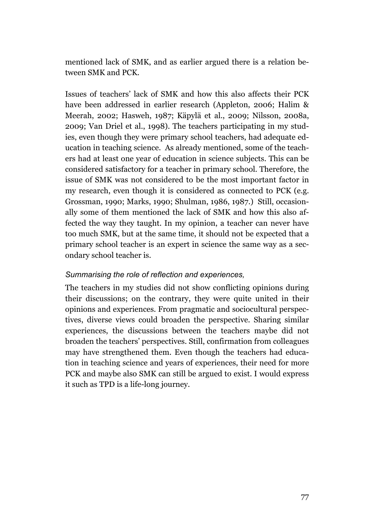mentioned lack of SMK, and as earlier argued there is a relation between SMK and PCK.

Issues of teachers' lack of SMK and how this also affects their PCK have been addressed in earlier research (Appleton, 2006; Halim & Meerah, 2002; Hasweh, 1987; Käpylä et al., 2009; Nilsson, 2008a, 2009; Van Driel et al., 1998). The teachers participating in my studies, even though they were primary school teachers, had adequate education in teaching science. As already mentioned, some of the teachers had at least one year of education in science subjects. This can be considered satisfactory for a teacher in primary school. Therefore, the issue of SMK was not considered to be the most important factor in my research, even though it is considered as connected to PCK (e.g. Grossman, 1990; Marks, 1990; Shulman, 1986, 1987.) Still, occasionally some of them mentioned the lack of SMK and how this also affected the way they taught. In my opinion, a teacher can never have too much SMK, but at the same time, it should not be expected that a primary school teacher is an expert in science the same way as a secondary school teacher is.

### *Summarising the role of reflection and experiences,*

The teachers in my studies did not show conflicting opinions during their discussions; on the contrary, they were quite united in their opinions and experiences. From pragmatic and sociocultural perspectives, diverse views could broaden the perspective. Sharing similar experiences, the discussions between the teachers maybe did not broaden the teachers' perspectives. Still, confirmation from colleagues may have strengthened them. Even though the teachers had education in teaching science and years of experiences, their need for more PCK and maybe also SMK can still be argued to exist. I would express it such as TPD is a life-long journey.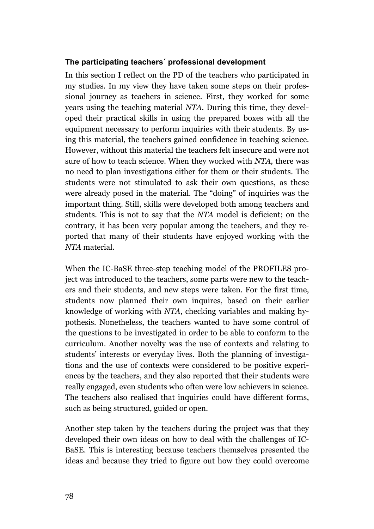### **The participating teachers´ professional development**

In this section I reflect on the PD of the teachers who participated in my studies. In my view they have taken some steps on their professional journey as teachers in science. First, they worked for some years using the teaching material *NTA*. During this time, they developed their practical skills in using the prepared boxes with all the equipment necessary to perform inquiries with their students. By using this material, the teachers gained confidence in teaching science. However, without this material the teachers felt insecure and were not sure of how to teach science. When they worked with *NTA,* there was no need to plan investigations either for them or their students. The students were not stimulated to ask their own questions, as these were already posed in the material. The "doing" of inquiries was the important thing. Still, skills were developed both among teachers and students. This is not to say that the *NTA* model is deficient; on the contrary, it has been very popular among the teachers, and they reported that many of their students have enjoyed working with the *NTA* material.

When the IC-BaSE three-step teaching model of the PROFILES project was introduced to the teachers, some parts were new to the teachers and their students, and new steps were taken. For the first time, students now planned their own inquires, based on their earlier knowledge of working with *NTA*, checking variables and making hypothesis. Nonetheless, the teachers wanted to have some control of the questions to be investigated in order to be able to conform to the curriculum. Another novelty was the use of contexts and relating to students' interests or everyday lives. Both the planning of investigations and the use of contexts were considered to be positive experiences by the teachers, and they also reported that their students were really engaged, even students who often were low achievers in science. The teachers also realised that inquiries could have different forms, such as being structured, guided or open.

Another step taken by the teachers during the project was that they developed their own ideas on how to deal with the challenges of IC-BaSE. This is interesting because teachers themselves presented the ideas and because they tried to figure out how they could overcome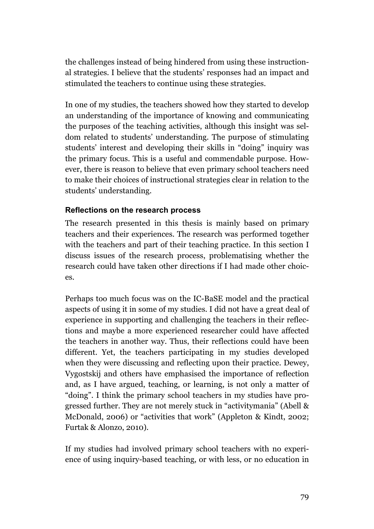the challenges instead of being hindered from using these instructional strategies. I believe that the students' responses had an impact and stimulated the teachers to continue using these strategies.

In one of my studies, the teachers showed how they started to develop an understanding of the importance of knowing and communicating the purposes of the teaching activities, although this insight was seldom related to students' understanding. The purpose of stimulating students' interest and developing their skills in "doing" inquiry was the primary focus. This is a useful and commendable purpose. However, there is reason to believe that even primary school teachers need to make their choices of instructional strategies clear in relation to the students' understanding.

### **Reflections on the research process**

The research presented in this thesis is mainly based on primary teachers and their experiences. The research was performed together with the teachers and part of their teaching practice. In this section I discuss issues of the research process, problematising whether the research could have taken other directions if I had made other choices.

Perhaps too much focus was on the IC-BaSE model and the practical aspects of using it in some of my studies. I did not have a great deal of experience in supporting and challenging the teachers in their reflections and maybe a more experienced researcher could have affected the teachers in another way. Thus, their reflections could have been different. Yet, the teachers participating in my studies developed when they were discussing and reflecting upon their practice. Dewey, Vygostskij and others have emphasised the importance of reflection and, as I have argued, teaching, or learning, is not only a matter of "doing". I think the primary school teachers in my studies have progressed further. They are not merely stuck in "activitymania" (Abell & McDonald, 2006) or "activities that work" (Appleton & Kindt, 2002; Furtak & Alonzo, 2010).

If my studies had involved primary school teachers with no experience of using inquiry-based teaching, or with less, or no education in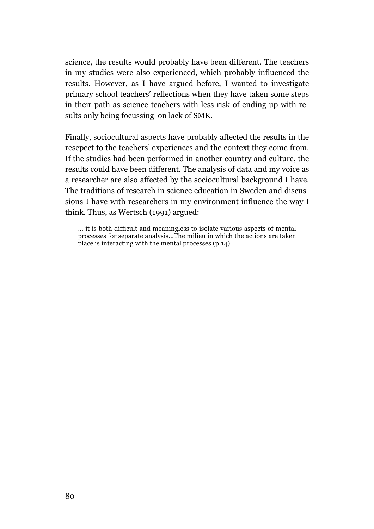science, the results would probably have been different. The teachers in my studies were also experienced, which probably influenced the results. However, as I have argued before, I wanted to investigate primary school teachers' reflections when they have taken some steps in their path as science teachers with less risk of ending up with results only being focussing on lack of SMK.

Finally, sociocultural aspects have probably affected the results in the resepect to the teachers' experiences and the context they come from. If the studies had been performed in another country and culture, the results could have been different. The analysis of data and my voice as a researcher are also affected by the sociocultural background I have. The traditions of research in science education in Sweden and discussions I have with researchers in my environment influence the way I think. Thus, as Wertsch (1991) argued:

… it is both difficult and meaningless to isolate various aspects of mental processes for separate analysis…The milieu in which the actions are taken place is interacting with the mental processes (p.14)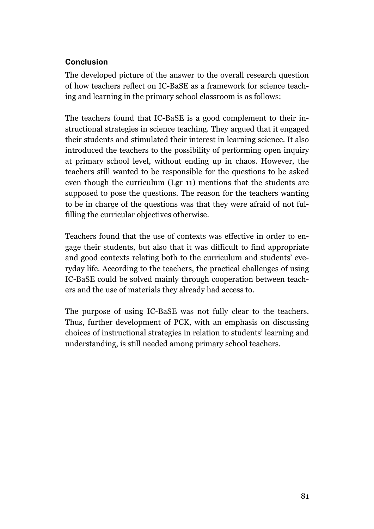# **Conclusion**

The developed picture of the answer to the overall research question of how teachers reflect on IC-BaSE as a framework for science teaching and learning in the primary school classroom is as follows:

The teachers found that IC-BaSE is a good complement to their instructional strategies in science teaching. They argued that it engaged their students and stimulated their interest in learning science. It also introduced the teachers to the possibility of performing open inquiry at primary school level, without ending up in chaos. However, the teachers still wanted to be responsible for the questions to be asked even though the curriculum (Lgr 11) mentions that the students are supposed to pose the questions. The reason for the teachers wanting to be in charge of the questions was that they were afraid of not fulfilling the curricular objectives otherwise.

Teachers found that the use of contexts was effective in order to engage their students, but also that it was difficult to find appropriate and good contexts relating both to the curriculum and students' everyday life. According to the teachers, the practical challenges of using IC-BaSE could be solved mainly through cooperation between teachers and the use of materials they already had access to.

The purpose of using IC-BaSE was not fully clear to the teachers. Thus, further development of PCK, with an emphasis on discussing choices of instructional strategies in relation to students' learning and understanding, is still needed among primary school teachers.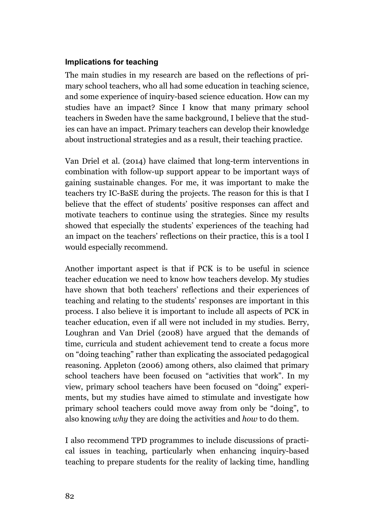### **Implications for teaching**

The main studies in my research are based on the reflections of primary school teachers, who all had some education in teaching science, and some experience of inquiry-based science education. How can my studies have an impact? Since I know that many primary school teachers in Sweden have the same background, I believe that the studies can have an impact. Primary teachers can develop their knowledge about instructional strategies and as a result, their teaching practice.

Van Driel et al. (2014) have claimed that long-term interventions in combination with follow-up support appear to be important ways of gaining sustainable changes. For me, it was important to make the teachers try IC-BaSE during the projects. The reason for this is that I believe that the effect of students' positive responses can affect and motivate teachers to continue using the strategies. Since my results showed that especially the students' experiences of the teaching had an impact on the teachers' reflections on their practice, this is a tool I would especially recommend.

Another important aspect is that if PCK is to be useful in science teacher education we need to know how teachers develop. My studies have shown that both teachers' reflections and their experiences of teaching and relating to the students' responses are important in this process. I also believe it is important to include all aspects of PCK in teacher education, even if all were not included in my studies. Berry, Loughran and Van Driel (2008) have argued that the demands of time, curricula and student achievement tend to create a focus more on "doing teaching" rather than explicating the associated pedagogical reasoning. Appleton (2006) among others, also claimed that primary school teachers have been focused on "activities that work". In my view, primary school teachers have been focused on "doing" experiments, but my studies have aimed to stimulate and investigate how primary school teachers could move away from only be "doing", to also knowing *why* they are doing the activities and *how* to do them.

I also recommend TPD programmes to include discussions of practical issues in teaching, particularly when enhancing inquiry-based teaching to prepare students for the reality of lacking time, handling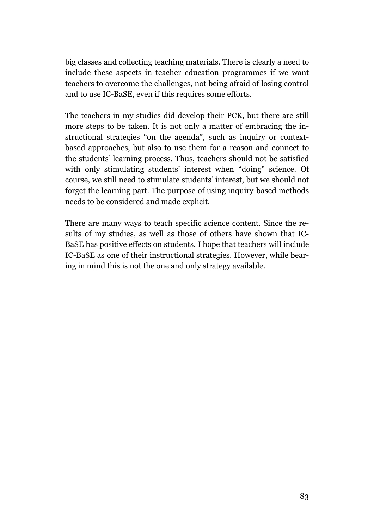big classes and collecting teaching materials. There is clearly a need to include these aspects in teacher education programmes if we want teachers to overcome the challenges, not being afraid of losing control and to use IC-BaSE, even if this requires some efforts.

The teachers in my studies did develop their PCK, but there are still more steps to be taken. It is not only a matter of embracing the instructional strategies "on the agenda", such as inquiry or contextbased approaches, but also to use them for a reason and connect to the students' learning process. Thus, teachers should not be satisfied with only stimulating students' interest when "doing" science. Of course, we still need to stimulate students' interest, but we should not forget the learning part. The purpose of using inquiry-based methods needs to be considered and made explicit.

There are many ways to teach specific science content. Since the results of my studies, as well as those of others have shown that IC-BaSE has positive effects on students, I hope that teachers will include IC-BaSE as one of their instructional strategies. However, while bearing in mind this is not the one and only strategy available.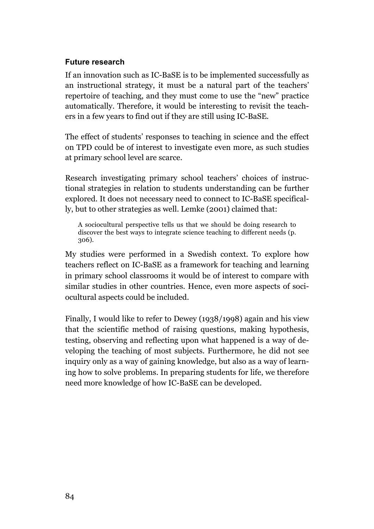### **Future research**

If an innovation such as IC-BaSE is to be implemented successfully as an instructional strategy, it must be a natural part of the teachers' repertoire of teaching, and they must come to use the "new" practice automatically. Therefore, it would be interesting to revisit the teachers in a few years to find out if they are still using IC-BaSE.

The effect of students' responses to teaching in science and the effect on TPD could be of interest to investigate even more, as such studies at primary school level are scarce.

Research investigating primary school teachers' choices of instructional strategies in relation to students understanding can be further explored. It does not necessary need to connect to IC-BaSE specifically, but to other strategies as well. Lemke (2001) claimed that:

A sociocultural perspective tells us that we should be doing research to discover the best ways to integrate science teaching to different needs (p. 306).

My studies were performed in a Swedish context. To explore how teachers reflect on IC-BaSE as a framework for teaching and learning in primary school classrooms it would be of interest to compare with similar studies in other countries. Hence, even more aspects of sociocultural aspects could be included.

Finally, I would like to refer to Dewey (1938/1998) again and his view that the scientific method of raising questions, making hypothesis, testing, observing and reflecting upon what happened is a way of developing the teaching of most subjects. Furthermore, he did not see inquiry only as a way of gaining knowledge, but also as a way of learning how to solve problems. In preparing students for life, we therefore need more knowledge of how IC-BaSE can be developed.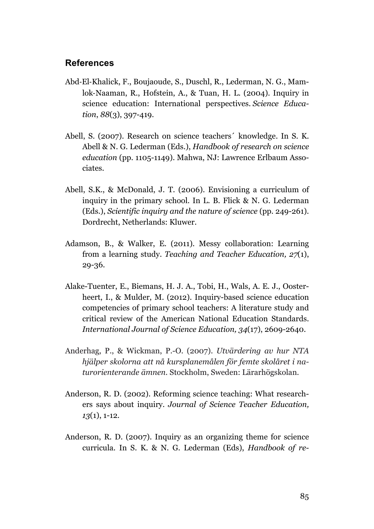### **References**

- Abd-El-Khalick, F., Boujaoude, S., Duschl, R., Lederman, N. G., Mamlok-Naaman, R., Hofstein, A., & Tuan, H. L. (2004). Inquiry in science education: International perspectives. *Science Education*, *88*(3), 397-419.
- Abell, S. (2007). Research on science teachers´ knowledge. In S. K. Abell & N. G. Lederman (Eds.), *Handbook of research on science education* (pp. 1105-1149). Mahwa, NJ: Lawrence Erlbaum Associates.
- Abell, S.K., & McDonald, J. T. (2006). Envisioning a curriculum of inquiry in the primary school. In L. B. Flick & N. G. Lederman (Eds.), *Scientific inquiry and the nature of science* (pp. 249-261)*.* Dordrecht, Netherlands: Kluwer.
- Adamson, B., & Walker, E. (2011). Messy collaboration: Learning from a learning study. *Teaching and Teacher Education, 27*(1), 29-36.
- Alake-Tuenter, E., Biemans, H. J. A., Tobi, H., Wals, A. E. J., Oosterheert, I., & Mulder, M. (2012). Inquiry-based science education competencies of primary school teachers: A literature study and critical review of the American National Education Standards. *International Journal of Science Education, 34*(17), 2609-2640.
- Anderhag, P., & Wickman, P.-O. (2007). *Utvärdering av hur NTA hjälper skolorna att nå kursplanemålen för femte skolåret i naturorienterande ämnen.* Stockholm, Sweden: Lärarhögskolan.
- Anderson, R. D. (2002). Reforming science teaching: What researchers says about inquiry. *Journal of Science Teacher Education, 13*(1), 1-12.
- Anderson, R. D. (2007). Inquiry as an organizing theme for science curricula. In S. K. & N. G. Lederman (Eds), *Handbook of re-*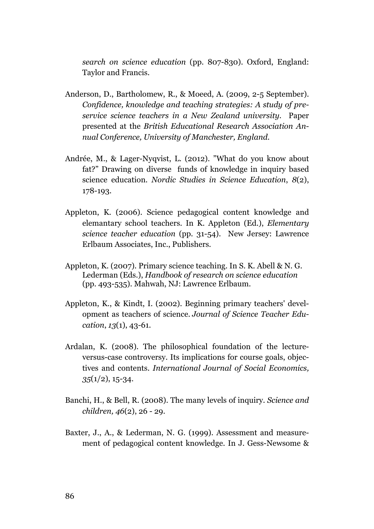*search on science education* (pp. 807-830). Oxford, England: Taylor and Francis.

- Anderson, D., Bartholomew, R., & Moeed, A. (2009, 2-5 September). *Confidence, knowledge and teaching strategies: A study of preservice science teachers in a New Zealand university.* Paper presented at the *British Educational Research Association Annual Conference, University of Manchester, England.*
- Andrée, M., & Lager-Nyqvist, L. (2012). "What do you know about fat?" Drawing on diverse funds of knowledge in inquiry based science education. *Nordic Studies in Science Education*, *8*(2), 178-193.
- Appleton, K. (2006). Science pedagogical content knowledge and elemantary school teachers. In K. Appleton (Ed.), *Elementary science teacher education* (pp. 31-54). New Jersey: Lawrence Erlbaum Associates, Inc., Publishers.
- Appleton, K. (2007). Primary science teaching. In S. K. Abell & N. G. Lederman (Eds.), *Handbook of research on science education* (pp. 493-535). Mahwah, NJ: Lawrence Erlbaum.
- Appleton, K., & Kindt, I. (2002). Beginning primary teachers' development as teachers of science. *Journal of Science Teacher Education*, *13*(1), 43-61.
- Ardalan, K. (2008). The philosophical foundation of the lectureversus-case controversy. Its implications for course goals, objectives and contents. *International Journal of Social Economics, 35*(1/2), 15-34.
- Banchi, H., & Bell, R. (2008). The many levels of inquiry. *Science and children, 46*(2), 26 - 29.
- Baxter, J., A., & Lederman, N. G. (1999). Assessment and measurement of pedagogical content knowledge. In J. Gess-Newsome &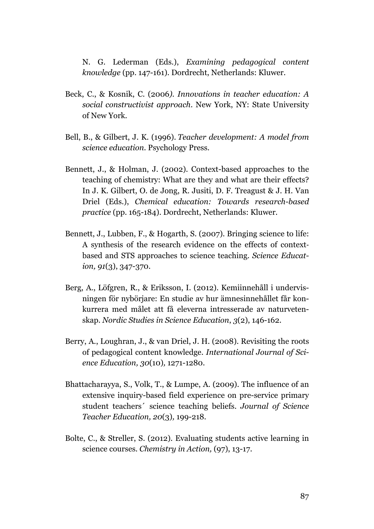N. G. Lederman (Eds.), *Examining pedagogical content knowledge* (pp. 147-161). Dordrecht, Netherlands: Kluwer.

- Beck, C., & Kosnik, C. (2006*). Innovations in teacher education: A social constructivist approach*. New York, NY: State University of New York.
- Bell, B., & Gilbert, J. K. (1996). *Teacher development: A model from science education*. Psychology Press.
- Bennett, J., & Holman, J. (2002). Context-based approaches to the teaching of chemistry: What are they and what are their effects? In J. K. Gilbert, O. de Jong, R. Jusiti, D. F. Treagust & J. H. Van Driel (Eds.), *Chemical education: Towards research-based practice* (pp. 165-184). Dordrecht, Netherlands: Kluwer.
- Bennett, J., Lubben, F., & Hogarth, S. (2007). Bringing science to life: A synthesis of the research evidence on the effects of contextbased and STS approaches to science teaching. *Science Education, 91*(3), 347-370.
- Berg, A., Löfgren, R., & Eriksson, I. (2012). Kemiinnehåll i undervisningen för nybörjare: En studie av hur ämnesinnehållet får konkurrera med målet att få eleverna intresserade av naturvetenskap. *Nordic Studies in Science Education*, *3*(2), 146-162.
- Berry, A., Loughran, J., & van Driel, J. H. (2008). Revisiting the roots of pedagogical content knowledge. *International Journal of Science Education, 30*(10)*,* 1271-1280.
- Bhattacharayya, S., Volk, T., & Lumpe, A. (2009). The influence of an extensive inquiry-based field experience on pre-service primary student teachers´ science teaching beliefs. *Journal of Science Teacher Education, 20*(3)*,* 199-218.
- Bolte, C., & Streller, S. (2012). Evaluating students active learning in science courses. *Chemistry in Action,* (97), 13-17.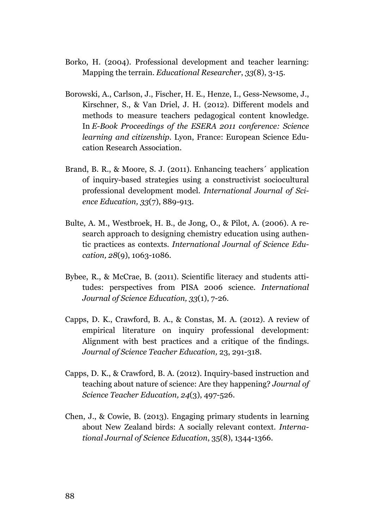- Borko, H. (2004). Professional development and teacher learning: Mapping the terrain. *Educational Researcher*, *33*(8), 3-15.
- Borowski, A., Carlson, J., Fischer, H. E., Henze, I., Gess-Newsome, J., Kirschner, S., & Van Driel, J. H. (2012). Different models and methods to measure teachers pedagogical content knowledge. In *E-Book Proceedings of the ESERA 2011 conference: Science learning and citizenship.* Lyon, France: European Science Education Research Association.
- Brand, B. R., & Moore, S. J. (2011). Enhancing teachers´ application of inquiry-based strategies using a constructivist sociocultural professional development model*. International Journal of Science Education, 33*(7), 889-913.
- Bulte, A. M., Westbroek, H. B., de Jong, O., & Pilot, A. (2006). A research approach to designing chemistry education using authentic practices as contexts. *International Journal of Science Education, 28*(9), 1063-1086.
- Bybee, R., & McCrae, B. (2011). Scientific literacy and students attitudes: perspectives from PISA 2006 science. *International Journal of Science Education, 33*(1), 7-26.
- Capps, D. K., Crawford, B. A., & Constas, M. A. (2012). A review of empirical literature on inquiry professional development: Alignment with best practices and a critique of the findings. *Journal of Science Teacher Education,* 23, 291-318.
- Capps, D. K., & Crawford, B. A. (2012). Inquiry-based instruction and teaching about nature of science: Are they happening? *Journal of Science Teacher Education, 24*(3), 497-526.
- Chen, J., & Cowie, B. (2013). Engaging primary students in learning about New Zealand birds: A socially relevant context. *International Journal of Science Education*, 35(8), 1344-1366.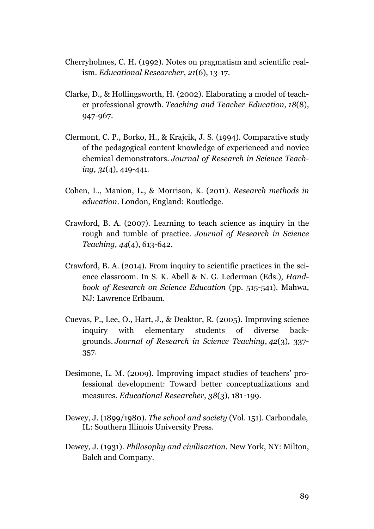- Cherryholmes, C. H. (1992). Notes on pragmatism and scientific realism. *Educational Researcher*, *21*(6), 13-17.
- Clarke, D., & Hollingsworth, H. (2002). Elaborating a model of teacher professional growth. *Teaching and Teacher Education*, *18*(8), 947-967.
- Clermont, C. P., Borko, H., & Krajcik, J. S. (1994). Comparative study of the pedagogical content knowledge of experienced and novice chemical demonstrators. *Journal of Research in Science Teaching, 31*(4), 419-441.
- Cohen, L., Manion, L., & Morrison, K. (2011). *Research methods in education*. London, England: Routledge.
- Crawford, B. A. (2007). Learning to teach science as inquiry in the rough and tumble of practice. *Journal of Research in Science Teaching, 44*(4), 613-642.
- Crawford, B. A. (2014). From inquiry to scientific practices in the science classroom. In S. K. Abell & N. G. Lederman (Eds.), *Handbook of Research on Science Education* (pp. 515-541). Mahwa, NJ: Lawrence Erlbaum.
- Cuevas, P., Lee, O., Hart, J., & Deaktor, R. (2005). Improving science inquiry with elementary students of diverse backgrounds. *Journal of Research in Science Teaching*, *42*(3), 337- 357.
- Desimone, L. M. (2009). Improving impact studies of teachers' professional development: Toward better conceptualizations and measures. *Educational Researcher, 38*(3), 181‑199.
- Dewey, J. (1899/1980). *The school and society* (Vol. 151). Carbondale, IL: Southern Illinois University Press.
- Dewey, J. (1931). *Philosophy and civilisaztion.* New York, NY: Milton, Balch and Company.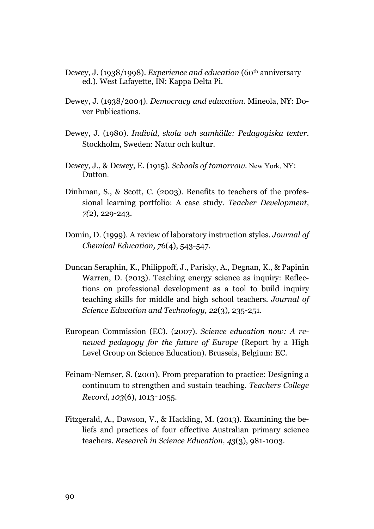- Dewey, J. (1938/1998). *Experience and education* (60th anniversary ed.). West Lafayette, IN: Kappa Delta Pi.
- Dewey, J. (1938/2004). *Democracy and education.* Mineola, NY: Dover Publications.
- Dewey, J. (1980). *Individ, skola och samhälle: Pedagogiska texter.* Stockholm, Sweden: Natur och kultur.
- Dewey, J., & Dewey, E. (1915). *Schools of tomorrow*. New York, NY: **Dutton**
- Dinhman, S., & Scott, C. (2003). Benefits to teachers of the professional learning portfolio: A case study. *Teacher Development, 7(*2), 229-243.
- Domin, D. (1999). A review of laboratory instruction styles. *Journal of Chemical Education, 76*(4), 543-547.
- Duncan Seraphin, K., Philippoff, J., Parisky, A., Degnan, K., & Papinin Warren, D. (2013). Teaching energy science as inquiry: Reflections on professional development as a tool to build inquiry teaching skills for middle and high school teachers. *Journal of Science Education and Technology, 22*(3)*,* 235-251.
- European Commission (EC). (2007). *Science education now: A renewed pedagogy for the future of Europe* (Report by a High Level Group on Science Education). Brussels, Belgium: EC.
- Feinam-Nemser, S. (2001). From preparation to practice: Designing a continuum to strengthen and sustain teaching. *Teachers College Record, 103*(6), 1013‑1055.
- Fitzgerald, A., Dawson, V., & Hackling, M. (2013). Examining the beliefs and practices of four effective Australian primary science teachers. *Research in Science Education, 43*(3), 981-1003.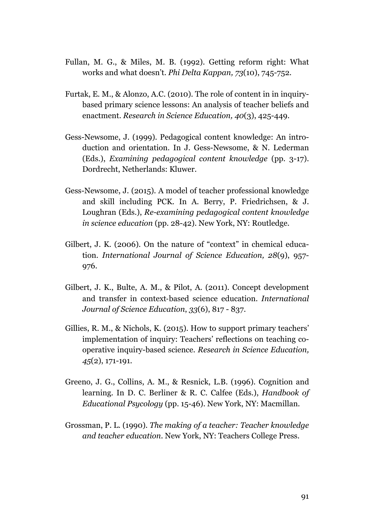- Fullan, M. G., & Miles, M. B. (1992). Getting reform right: What works and what doesn't. *Phi Delta Kappan, 73*(10), 745-752.
- Furtak, E. M., & Alonzo, A.C. (2010). The role of content in in inquirybased primary science lessons: An analysis of teacher beliefs and enactment. *Research in Science Education, 40*(3), 425-449.
- Gess-Newsome, J. (1999). Pedagogical content knowledge: An introduction and orientation. In J. Gess-Newsome, & N. Lederman (Eds.), *Examining pedagogical content knowledge* (pp. 3-17). Dordrecht, Netherlands: Kluwer.
- Gess-Newsome, J. (2015). A model of teacher professional knowledge and skill including PCK. In A. Berry, P. Friedrichsen, & J. Loughran (Eds.), *Re-examining pedagogical content knowledge in science education* (pp. 28-42). New York, NY: Routledge.
- Gilbert, J. K. (2006). On the nature of "context" in chemical education. *International Journal of Science Education, 28*(9), 957- 976.
- Gilbert, J. K., Bulte, A. M., & Pilot, A. (2011). Concept development and transfer in context-based science education. *International Journal of Science Education*, *33*(6), 817 - 837.
- Gillies, R. M., & Nichols, K. (2015). How to support primary teachers' implementation of inquiry: Teachers' reflections on teaching cooperative inquiry-based science. *Research in Science Education, 45*(2), 171-191.
- Greeno, J. G., Collins, A. M., & Resnick, L.B. (1996). Cognition and learning. In D. C. Berliner & R. C. Calfee (Eds.), *Handbook of Educational Psycology* (pp. 15-46). New York, NY: Macmillan.
- Grossman, P. L. (1990). *The making of a teacher: Teacher knowledge and teacher education*. New York, NY: Teachers College Press.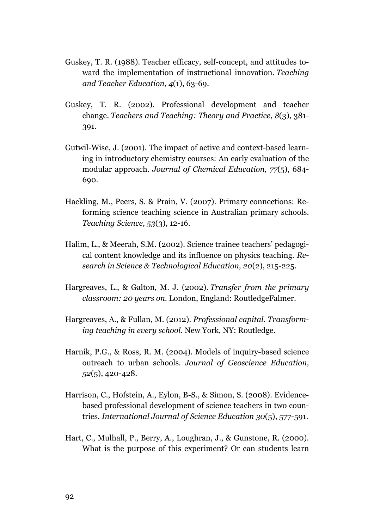- Guskey, T. R. (1988). Teacher efficacy, self-concept, and attitudes toward the implementation of instructional innovation. *Teaching and Teacher Education*, *4*(1), 63-69.
- Guskey, T. R. (2002). Professional development and teacher change. *Teachers and Teaching: Theory and Practice*, *8*(3), 381- 391.
- Gutwil-Wise, J. (2001). The impact of active and context-based learning in introductory chemistry courses: An early evaluation of the modular approach. *Journal of Chemical Education, 77*(5), 684- 690.
- Hackling, M., Peers, S. & Prain, V. (2007). Primary connections: Reforming science teaching science in Australian primary schools. *Teaching Science, 53*(3), 12-16.
- Halim, L., & Meerah, S.M. (2002). Science trainee teachers' pedagogical content knowledge and its influence on physics teaching. *Research in Science & Technological Education, 20*(2), 215-225.
- Hargreaves, L., & Galton, M. J. (2002). *Transfer from the primary classroom: 20 years on*. London, England: RoutledgeFalmer.
- Hargreaves, A., & Fullan, M. (2012). *Professional capital. Transforming teaching in every school.* New York, NY: Routledge.
- Harnik, P.G., & Ross, R. M. (2004). Models of inquiry-based science outreach to urban schools. *Journal of Geoscience Education, 52*(5), 420-428.
- Harrison, C., Hofstein, A., Eylon, B-S., & Simon, S. (2008). Evidencebased professional development of science teachers in two countries*. International Journal of Science Education 30*(5), 577-591.
- Hart, C., Mulhall, P., Berry, A., Loughran, J., & Gunstone, R. (2000). What is the purpose of this experiment? Or can students learn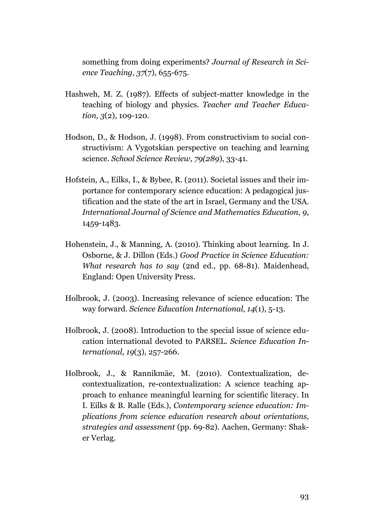something from doing experiments? *Journal of Research in Science Teaching*, *37*(7), 655-675.

- Hashweh, M. Z. (1987). Effects of subject-matter knowledge in the teaching of biology and physics. *Teacher and Teacher Education, 3*(2), 109-120.
- Hodson, D., & Hodson, J. (1998). From constructivism to social constructivism: A Vygotskian perspective on teaching and learning science. *School Science Review, 79(289*), 33-41.
- Hofstein, A., Eilks, I., & Bybee, R. (2011). Societal issues and their importance for contemporary science education: A pedagogical justification and the state of the art in Israel, Germany and the USA. *International Journal of Science and Mathematics Education, 9*, 1459-1483.
- Hohenstein, J., & Manning, A. (2010). Thinking about learning. In J. Osborne, & J. Dillon (Eds.) *Good Practice in Science Education: What research has to say* (2nd ed., pp. 68-81). Maidenhead, England: Open University Press.
- Holbrook, J. (2003). Increasing relevance of science education: The way forward. *Science Education International, 14*(1), 5-13.
- Holbrook, J. (2008). Introduction to the special issue of science education international devoted to PARSEL. *Science Education International, 19*(3), 257-266.
- Holbrook, J., & Rannikmäe, M. (2010). Contextualization, decontextualization, re-contextualization: A science teaching approach to enhance meaningful learning for scientific literacy. In I. Eilks & B. Ralle (Eds.), *Contemporary science education: Implications from science education research about orientations, strategies and assessment* (pp. 69-82). Aachen, Germany: Shaker Verlag.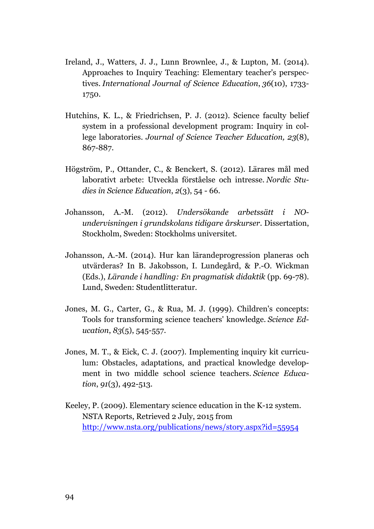- Ireland, J., Watters, J. J., Lunn Brownlee, J., & Lupton, M. (2014). Approaches to Inquiry Teaching: Elementary teacher's perspectives. *International Journal of Science Education*, *36*(10), 1733- 1750.
- Hutchins, K. L., & Friedrichsen, P. J. (2012). Science faculty belief system in a professional development program: Inquiry in college laboratories. *Journal of Science Teacher Education, 23*(8), 867-887.
- Högström, P., Ottander, C., & Benckert, S. (2012). Lärares mål med laborativt arbete: Utveckla förståelse och intresse. *Nordic Studies in Science Education*, *2*(3), 54 - 66.
- Johansson, A.-M. (2012). *Undersökande arbetssätt i NOundervisningen i grundskolans tidigare årskurser*. Dissertation, Stockholm, Sweden: Stockholms universitet.
- Johansson, A.-M. (2014). Hur kan lärandeprogression planeras och utvärderas? In B. Jakobsson, I. Lundegård, & P.-O. Wickman (Eds.), *Lärande i handling: En pragmatisk didaktik* (pp. 69-78)*.* Lund, Sweden: Studentlitteratur.
- Jones, M. G., Carter, G., & Rua, M. J. (1999). Children's concepts: Tools for transforming science teachers' knowledge. *Science Education*, *83*(5), 545-557.
- Jones, M. T., & Eick, C. J. (2007). Implementing inquiry kit curriculum: Obstacles, adaptations, and practical knowledge development in two middle school science teachers. *Science Education*, *91*(3), 492-513.
- Keeley, P. (2009). Elementary science education in the K-12 system. NSTA Reports, Retrieved 2 July, 2015 from http://www.nsta.org/publications/news/story.aspx?id=55954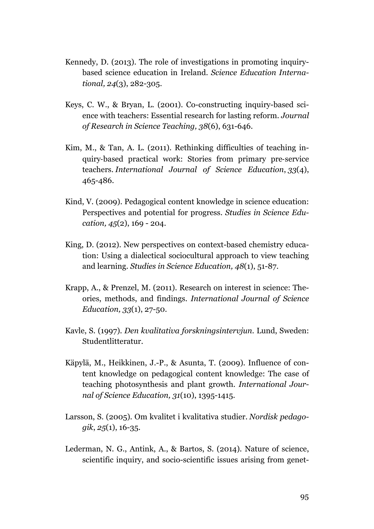- Kennedy, D. (2013). The role of investigations in promoting inquirybased science education in Ireland. *Science Education International, 24*(3), 282-305.
- Keys, C. W., & Bryan, L. (2001). Co-constructing inquiry-based science with teachers: Essential research for lasting reform. *Journal of Research in Science Teaching, 38*(6), 631-646.
- Kim, M., & Tan, A. L. (2011). Rethinking difficulties of teaching inquiry-based practical work: Stories from primary pre-service teachers. *International Journal of Science Education*, *33*(4), 465-486.
- Kind, V. (2009). Pedagogical content knowledge in science education: Perspectives and potential for progress. *Studies in Science Education, 45*(2), 169 - 204.
- King, D. (2012). New perspectives on context-based chemistry education: Using a dialectical sociocultural approach to view teaching and learning. *Studies in Science Education, 48*(1), 51-87.
- Krapp, A., & Prenzel, M. (2011). Research on interest in science: Theories, methods, and findings. *International Journal of Science Education, 33*(1), 27-50.
- Kavle, S. (1997). *Den kvalitativa forskningsintervjun.* Lund, Sweden: Studentlitteratur.
- Käpylä, M., Heikkinen, J.-P., & Asunta, T. (2009). Influence of content knowledge on pedagogical content knowledge: The case of teaching photosynthesis and plant growth. *International Journal of Science Education, 31*(10), 1395-1415.
- Larsson, S. (2005). Om kvalitet i kvalitativa studier. *Nordisk pedagogik*, *25*(1), 16-35.
- Lederman, N. G., Antink, A., & Bartos, S. (2014). Nature of science, scientific inquiry, and socio-scientific issues arising from genet-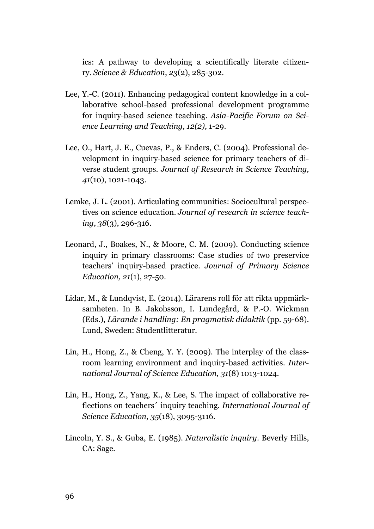ics: A pathway to developing a scientifically literate citizenry. *Science & Education*, *23*(2), 285-302.

- Lee, Y.-C. (2011). Enhancing pedagogical content knowledge in a collaborative school-based professional development programme for inquiry-based science teaching. *Asia-Pacific Forum on Science Learning and Teaching, 12(2),* 1-29.
- Lee, O., Hart, J. E., Cuevas, P., & Enders, C. (2004). Professional development in inquiry-based science for primary teachers of diverse student groups. *Journal of Research in Science Teaching, 41*(10), 1021-1043.
- Lemke, J. L. (2001). Articulating communities: Sociocultural perspectives on science education. *Journal of research in science teaching*, *38*(3), 296-316.
- Leonard, J., Boakes, N., & Moore, C. M. (2009). Conducting science inquiry in primary classrooms: Case studies of two preservice teachers' inquiry-based practice. *Journal of Primary Science Education, 21*(1), 27-50.
- Lidar, M., & Lundqvist, E. (2014). Lärarens roll för att rikta uppmärksamheten. In B. Jakobsson, I. Lundegård, & P.-O. Wickman (Eds.), *Lärande i handling: En pragmatisk didaktik* (pp. 59-68). Lund, Sweden: Studentlitteratur.
- Lin, H., Hong, Z., & Cheng, Y. Y. (2009). The interplay of the classroom learning environment and inquiry-based activities. *International Journal of Science Education, 31*(8) 1013-1024.
- Lin, H., Hong, Z., Yang, K., & Lee, S. The impact of collaborative reflections on teachers´ inquiry teaching. *International Journal of Science Education, 35*(18), 3095-3116.
- Lincoln, Y. S., & Guba, E. (1985). *Naturalistic inquiry*. Beverly Hills, CA: Sage.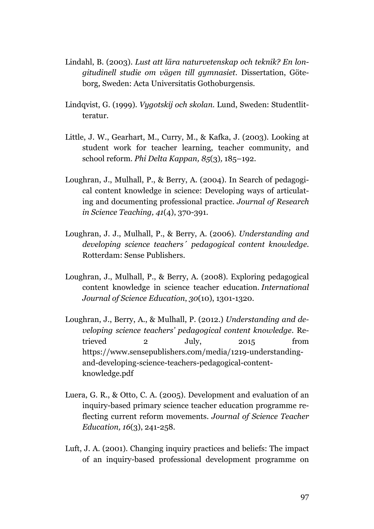- Lindahl, B. (2003). *Lust att lära naturvetenskap och teknik? En longitudinell studie om vägen till gymnasiet.* Dissertation, Göteborg, Sweden: Acta Universitatis Gothoburgensis.
- Lindqvist, G. (1999). *Vygotskij och skolan.* Lund, Sweden: Studentlitteratur.
- Little, J. W., Gearhart, M., Curry, M., & Kafka, J. (2003). Looking at student work for teacher learning, teacher community, and school reform. *Phi Delta Kappan, 85*(3)*,* 185–192.
- Loughran, J., Mulhall, P., & Berry, A. (2004). In Search of pedagogical content knowledge in science: Developing ways of articulating and documenting professional practice. *Journal of Research in Science Teaching, 41*(4), 370-391.
- Loughran, J. J., Mulhall, P., & Berry, A. (2006). *Understanding and developing science teachers´ pedagogical content knowledge.* Rotterdam: Sense Publishers.
- Loughran, J., Mulhall, P., & Berry, A. (2008). Exploring pedagogical content knowledge in science teacher education. *International Journal of Science Education*, *30*(10), 1301-1320.
- Loughran, J., Berry, A., & Mulhall, P. (2012.) *Understanding and developing science teachers' pedagogical content knowledge*. Retrieved 2 July, 2015 from https://www.sensepublishers.com/media/1219-understandingand-developing-science-teachers-pedagogical-contentknowledge.pdf
- Luera, G. R., & Otto, C. A. (2005). Development and evaluation of an inquiry-based primary science teacher education programme reflecting current reform movements. *Journal of Science Teacher Education, 16*(3), 241-258.
- Luft, J. A. (2001). Changing inquiry practices and beliefs: The impact of an inquiry-based professional development programme on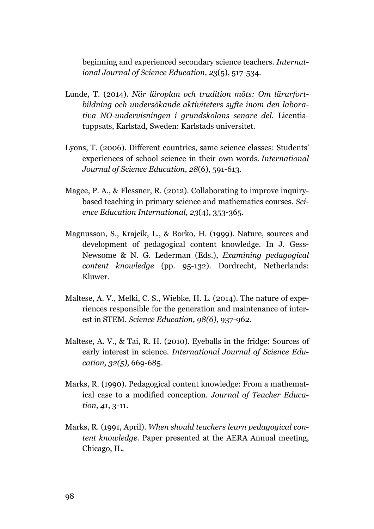beginning and experienced secondary science teachers. *International Journal of Science Education, 23*(5), 517-534.

- Lunde, T. (2014). *När läroplan och tradition möts: Om lärarfortbildning och undersökande aktiviteters syfte inom den laborativa NO-undervisningen i grundskolans senare del.* Licentiatuppsats, Karlstad, Sweden: Karlstads universitet.
- Lyons, T. (2006). Different countries, same science classes: Students' experiences of school science in their own words. *International Journal of Science Education*, *28*(6), 591-613.
- Magee, P. A., & Flessner, R. (2012). Collaborating to improve inquirybased teaching in primary science and mathematics courses. *Science Education International, 23*(4), 353-365.
- Magnusson, S., Krajcik, L., & Borko, H. (1999). Nature, sources and development of pedagogical content knowledge. In J. Gess-Newsome & N. G. Lederman (Eds.), *Examining pedagogical content knowledge* (pp. 95-132). Dordrecht, Netherlands: Kluwer.
- Maltese, A. V., Melki, C. S., Wiebke, H. L. (2014). The nature of experiences responsible for the generation and maintenance of interest in STEM. *Science Education, 98(6),* 937-962.
- Maltese, A. V., & Tai, R. H. (2010). Eyeballs in the fridge: Sources of early interest in science. *International Journal of Science Education, 32(5),* 669-685.
- Marks, R. (1990). Pedagogical content knowledge: From a mathematical case to a modified conception. *Journal of Teacher Education, 41*, 3-11.
- Marks, R. (1991, April). *When should teachers learn pedagogical content knowledge.* Paper presented at the AERA Annual meeting, Chicago, IL.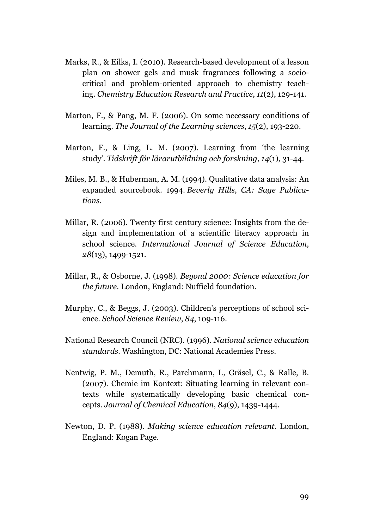- Marks, R., & Eilks, I. (2010). Research-based development of a lesson plan on shower gels and musk fragrances following a sociocritical and problem-oriented approach to chemistry teaching. *Chemistry Education Research and Practice*, *11*(2), 129-141.
- Marton, F., & Pang, M. F. (2006). On some necessary conditions of learning. *The Journal of the Learning sciences*, *15*(2), 193-220.
- Marton, F., & Ling, L. M. (2007). Learning from 'the learning study'. *Tidskrift för lärarutbildning och forskning*, *14*(1), 31-44.
- Miles, M. B., & Huberman, A. M. (1994). Qualitative data analysis: An expanded sourcebook. 1994. *Beverly Hills, CA: Sage Publications*.
- Millar, R. (2006). Twenty first century science: Insights from the design and implementation of a scientific literacy approach in school science. *International Journal of Science Education, 28*(13), 1499-1521.
- Millar, R., & Osborne, J. (1998). *Beyond 2000: Science education for the future.* London, England: Nuffield foundation.
- Murphy, C., & Beggs, J. (2003). Children's perceptions of school science. *School Science Review*, *84*, 109-116.
- National Research Council (NRC). (1996). *National science education standards.* Washington, DC: National Academies Press.
- Nentwig, P. M., Demuth, R., Parchmann, I., Gräsel, C., & Ralle, B. (2007). Chemie im Kontext: Situating learning in relevant contexts while systematically developing basic chemical concepts. *Journal of Chemical Education*, *84*(9), 1439-1444.
- Newton, D. P. (1988). *Making science education relevant*. London, England: Kogan Page.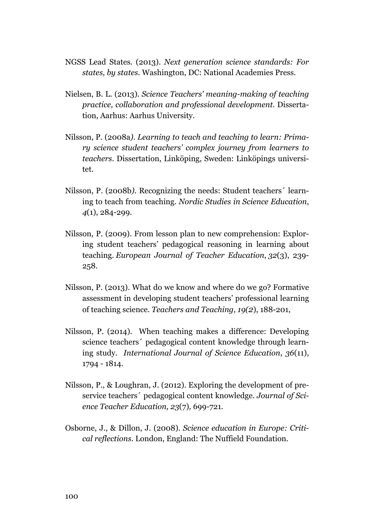- NGSS Lead States. (2013). *Next generation science standards: For states, by states.* Washington, DC: National Academies Press.
- Nielsen, B. L. (2013). *Science Teachers' meaning-making of teaching practice, collaboration and professional development.* Dissertation, Aarhus: Aarhus University.
- Nilsson, P. (2008a*). Learning to teach and teaching to learn: Primary science student teachers' complex journey from learners to teachers*. Dissertation, Linköping, Sweden: Linköpings universitet.
- Nilsson, P. (2008b*).* Recognizing the needs: Student teachers´ learning to teach from teaching. *Nordic Studies in Science Education*, *4*(1), 284-299.
- Nilsson, P. (2009). From lesson plan to new comprehension: Exploring student teachers' pedagogical reasoning in learning about teaching. *European Journal of Teacher Education*, *32*(3), 239- 258.
- Nilsson, P. (2013). What do we know and where do we go? Formative assessment in developing student teachers' professional learning of teaching science. *Teachers and Teaching, 19(2*), 188-201,
- Nilsson, P. (2014). When teaching makes a difference: Developing science teachers´ pedagogical content knowledge through learning study. *International Journal of Science Education*, *36*(11), 1794 - 1814.
- Nilsson, P., & Loughran, J. (2012). Exploring the development of preservice teachers´ pedagogical content knowledge. *Journal of Science Teacher Education, 23*(7)*,* 699-721*.*
- Osborne, J., & Dillon, J. (2008). *Science education in Europe: Critical reflections*. London, England: The Nuffield Foundation.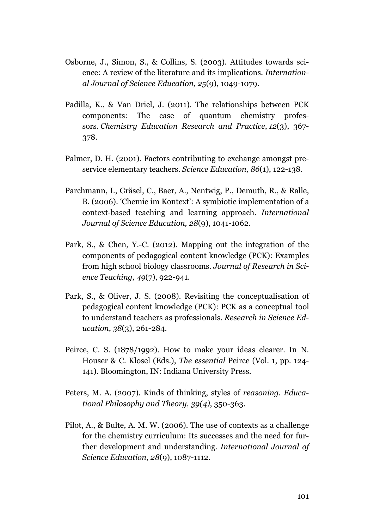- Osborne, J., Simon, S., & Collins, S. (2003). Attitudes towards science: A review of the literature and its implications. *International Journal of Science Education, 25*(9), 1049-1079.
- Padilla, K., & Van Driel, J. (2011). The relationships between PCK components: The case of quantum chemistry professors. *Chemistry Education Research and Practice*, *12*(3), 367- 378.
- Palmer, D. H. (2001). Factors contributing to exchange amongst preservice elementary teachers. *Science Education, 86*(1), 122-138.
- Parchmann, I., Gräsel, C., Baer, A., Nentwig, P., Demuth, R., & Ralle, B. (2006). 'Chemie im Kontext': A symbiotic implementation of a context-based teaching and learning approach. *International Journal of Science Education, 28*(9), 1041-1062.
- Park, S., & Chen, Y.-C. (2012). Mapping out the integration of the components of pedagogical content knowledge (PCK): Examples from high school biology classrooms. *Journal of Research in Science Teaching, 49*(7), 922-941.
- Park, S., & Oliver, J. S. (2008). Revisiting the conceptualisation of pedagogical content knowledge (PCK): PCK as a conceptual tool to understand teachers as professionals. *Research in Science Education*, *38*(3), 261-284.
- Peirce, C. S. (1878/1992). How to make your ideas clearer. In N. Houser & C. Klosel (Eds.), *The essential* Peirce (Vol*.* 1, pp. 124- 141). Bloomington, IN: Indiana University Press.
- Peters, M. A. (2007). Kinds of thinking, styles of *reasoning. Educational Philosophy and Theory, 39(4)*, 350-363.
- Pilot, A., & Bulte, A. M. W. (2006). The use of contexts as a challenge for the chemistry curriculum: Its successes and the need for further development and understanding. *International Journal of Science Education, 28*(9), 1087-1112.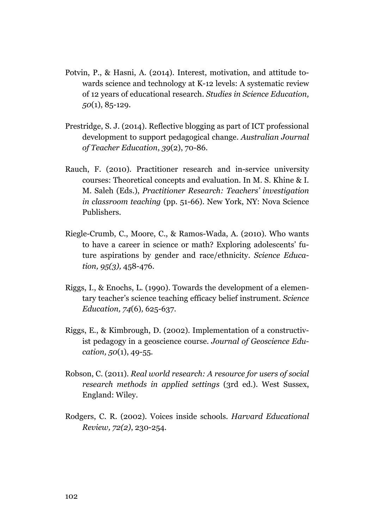- Potvin, P., & Hasni, A. (2014). Interest, motivation, and attitude towards science and technology at K-12 levels: A systematic review of 12 years of educational research. *Studies in Science Education, 50*(1), 85-129.
- Prestridge, S. J. (2014). Reflective blogging as part of ICT professional development to support pedagogical change. *Australian Journal of Teacher Education*, *39*(2), 70-86.
- Rauch, F. (2010). Practitioner research and in-service university courses: Theoretical concepts and evaluation. In M. S. Khine & I. M. Saleh (Eds.), *Practitioner Research: Teachers' investigation in classroom teaching* (pp. 51-66). New York, NY: Nova Science Publishers.
- Riegle-Crumb, C., Moore, C., & Ramos-Wada, A. (2010). Who wants to have a career in science or math? Exploring adolescents' future aspirations by gender and race/ethnicity. *Science Education, 95(3),* 458-476.
- Riggs, I., & Enochs, L. (1990). Towards the development of a elementary teacher's science teaching efficacy belief instrument. *Science Education, 74*(6)*,* 625-637.
- Riggs, E., & Kimbrough, D. (2002). Implementation of a constructivist pedagogy in a geoscience course. *Journal of Geoscience Education, 50*(1), 49-55.
- Robson, C. (2011). *Real world research: A resource for users of social research methods in applied settings* (3rd ed.). West Sussex, England: Wiley.
- Rodgers, C. R. (2002). Voices inside schools. *Harvard Educational Review, 72(2)*, 230-254.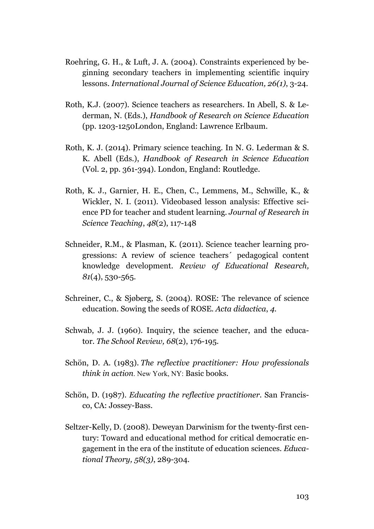- Roehring, G. H., & Luft, J. A. (2004). Constraints experienced by beginning secondary teachers in implementing scientific inquiry lessons. *International Journal of Science Education, 26(1)*, 3-24.
- Roth, K.J. (2007). Science teachers as researchers. In Abell, S. & Lederman, N. (Eds.), *Handbook of Research on Science Education* (pp. 1203-1250London, England: Lawrence Erlbaum.
- Roth, K. J. (2014). Primary science teaching. In N. G. Lederman & S. K. Abell (Eds.), *Handbook of Research in Science Education* (Vol. 2, pp. 361-394). London, England: Routledge.
- Roth, K. J., Garnier, H. E., Chen, C., Lemmens, M., Schwille, K., & Wickler, N. I. (2011). Videobased lesson analysis: Effective science PD for teacher and student learning. *Journal of Research in Science Teaching*, *48*(2), 117-148
- Schneider, R.M., & Plasman, K. (2011). Science teacher learning progressions: A review of science teachers´ pedagogical content knowledge development. *Review of Educational Research, 81*(4), 530-565.
- Schreiner, C., & Sjøberg, S. (2004). ROSE: The relevance of science education. Sowing the seeds of ROSE. *Acta didactica*, *4*.
- Schwab, J. J. (1960). Inquiry, the science teacher, and the educator. *The School Review, 68*(2), 176-195.
- Schön, D. A. (1983). *The reflective practitioner: How professionals think in action*. New York, NY: Basic books.
- Schön, D. (1987). *Educating the reflective practitioner.* San Francisco, CA: Jossey-Bass.
- Seltzer-Kelly, D. (2008). Deweyan Darwinism for the twenty-first century: Toward and educational method for critical democratic engagement in the era of the institute of education sciences. *Educational Theory, 58(3)*, 289-304.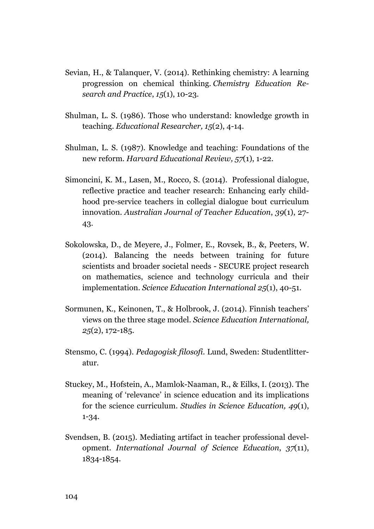- Sevian, H., & Talanquer, V. (2014). Rethinking chemistry: A learning progression on chemical thinking. *Chemistry Education Research and Practice*, *15*(1), 10-23.
- Shulman, L. S. (1986). Those who understand: knowledge growth in teaching. *Educational Researcher, 15*(2), 4-14.
- Shulman, L. S. (1987). Knowledge and teaching: Foundations of the new reform. *Harvard Educational Review, 57*(1), 1-22.
- Simoncini, K. M., Lasen, M., Rocco, S. (2014). Professional dialogue, reflective practice and teacher research: Enhancing early childhood pre-service teachers in collegial dialogue bout curriculum innovation. *Australian Journal of Teacher Education*, *39*(1), 27- 43.
- Sokolowska, D., de Meyere, J., Folmer, E., Rovsek, B., &, Peeters, W. (2014). Balancing the needs between training for future scientists and broader societal needs - SECURE project research on mathematics, science and technology curricula and their implementation. *Science Education International 25*(1), 40-51.
- Sormunen, K., Keinonen, T., & Holbrook, J. (2014). Finnish teachers' views on the three stage model. *Science Education International, 25*(2), 172-185.
- Stensmo, C. (1994). *Pedagogisk filosofi.* Lund, Sweden: Studentlitteratur.
- Stuckey, M., Hofstein, A., Mamlok-Naaman, R., & Eilks, I. (2013). The meaning of 'relevance' in science education and its implications for the science curriculum. *Studies in Science Education, 49*(1), 1-34.
- Svendsen, B. (2015). Mediating artifact in teacher professional development. *International Journal of Science Education*, *37*(11), 1834-1854.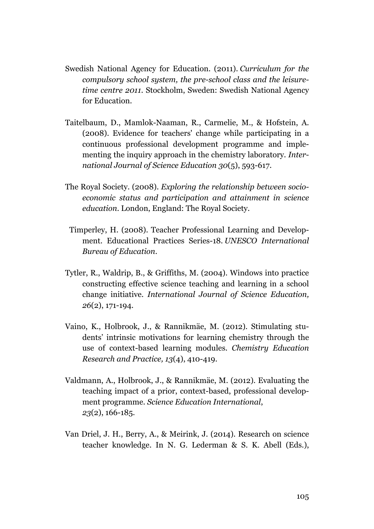- Swedish National Agency for Education. (2011). *Curriculum for the compulsory school system, the pre-school class and the leisuretime centre 2011*. Stockholm, Sweden: Swedish National Agency for Education.
- Taitelbaum, D., Mamlok-Naaman, R., Carmelie, M., & Hofstein, A. (2008). Evidence for teachers' change while participating in a continuous professional development programme and implementing the inquiry approach in the chemistry laboratory*. International Journal of Science Education 30*(5), 593-617.
- The Royal Society. (2008). *Exploring the relationship between socioeconomic status and participation and attainment in science education.* London, England: The Royal Society.
- Timperley, H. (2008). Teacher Professional Learning and Development. Educational Practices Series-18. *UNESCO International Bureau of Education*.
- Tytler, R., Waldrip, B., & Griffiths, M. (2004). Windows into practice constructing effective science teaching and learning in a school change initiative. *International Journal of Science Education, 26*(2), 171-194.
- Vaino, K., Holbrook, J., & Rannikmäe, M. (2012). Stimulating students' intrinsic motivations for learning chemistry through the use of context-based learning modules. *Chemistry Education Research and Practice, 13*(4), 410-419.
- Valdmann, A., Holbrook, J., & Rannikmäe, M. (2012). Evaluating the teaching impact of a prior, context-based, professional development programme. *Science Education International*, *23*(2), 166-185.
- Van Driel, J. H., Berry, A., & Meirink, J. (2014). Research on science teacher knowledge. In N. G. Lederman & S. K. Abell (Eds.),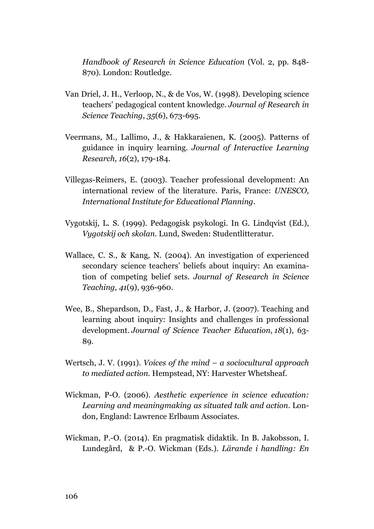*Handbook of Research in Science Education* (Vol. 2, pp. 848- 870). London: Routledge.

- Van Driel, J. H., Verloop, N., & de Vos, W. (1998). Developing science teachers' pedagogical content knowledge. *Journal of Research in Science Teaching*, *35*(6), 673-695.
- Veermans, M., Lallimo, J., & Hakkaraienen, K. (2005). Patterns of guidance in inquiry learning. *Journal of Interactive Learning Research, 16*(2), 179-184.
- Villegas-Reimers, E. (2003). Teacher professional development: An international review of the literature. Paris, France: *UNESCO, International Institute for Educational Planning.*
- Vygotskij, L. S. (1999). Pedagogisk psykologi. In G. Lindqvist (Ed.), *Vygotskij och skolan.* Lund, Sweden: Studentlitteratur.
- Wallace, C. S., & Kang, N. (2004). An investigation of experienced secondary science teachers' beliefs about inquiry: An examination of competing belief sets. *Journal of Research in Science Teaching, 41*(9), 936-960.
- Wee, B., Shepardson, D., Fast, J., & Harbor, J. (2007). Teaching and learning about inquiry: Insights and challenges in professional development. *Journal of Science Teacher Education*, *18*(1), 63- 89.
- Wertsch, J. V. (1991). *Voices of the mind – a sociocultural approach to mediated action.* Hempstead, NY: Harvester Whetsheaf.
- Wickman, P-O. (2006). *Aesthetic experience in science education: Learning and meaningmaking as situated talk and action*. London, England: Lawrence Erlbaum Associates.
- Wickman, P.-O. (2014). En pragmatisk didaktik. In B. Jakobsson, I. Lundegård, & P.-O. Wickman (Eds.). *Lärande i handling: En*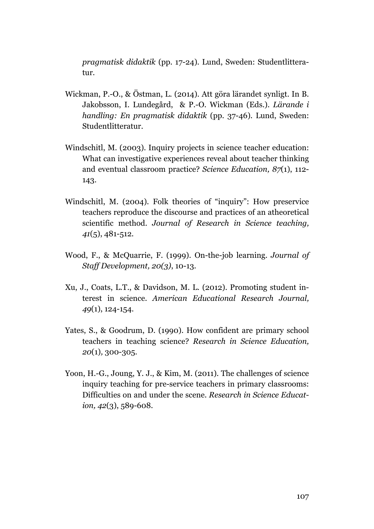*pragmatisk didaktik* (pp. 17-24)*.* Lund, Sweden: Studentlitteratur.

- Wickman, P.-O., & Östman, L. (2014). Att göra lärandet synligt. In B. Jakobsson, I. Lundegård, & P.-O. Wickman (Eds.). *Lärande i handling: En pragmatisk didaktik* (pp. 37-46)*.* Lund, Sweden: Studentlitteratur.
- Windschitl, M. (2003). Inquiry projects in science teacher education: What can investigative experiences reveal about teacher thinking and eventual classroom practice? *Science Education, 87*(1), 112- 143.
- Windschitl, M. (2004). Folk theories of "inquiry": How preservice teachers reproduce the discourse and practices of an atheoretical scientific method. *Journal of Research in Science teaching, 41*(5), 481-512.
- Wood, F., & McQuarrie, F. (1999). On-the-job learning. *Journal of Staff Development, 20(3)*, 10-13.
- Xu, J., Coats, L.T., & Davidson, M. L. (2012). Promoting student interest in science. *American Educational Research Journal, 49*(1), 124-154.
- Yates, S., & Goodrum, D. (1990). How confident are primary school teachers in teaching science? *Research in Science Education, 20*(1)*,* 300-305.
- Yoon, H.-G., Joung, Y. J., & Kim, M. (2011). The challenges of science inquiry teaching for pre-service teachers in primary classrooms: Difficulties on and under the scene. *Research in Science Education, 42*(3), 589-608.